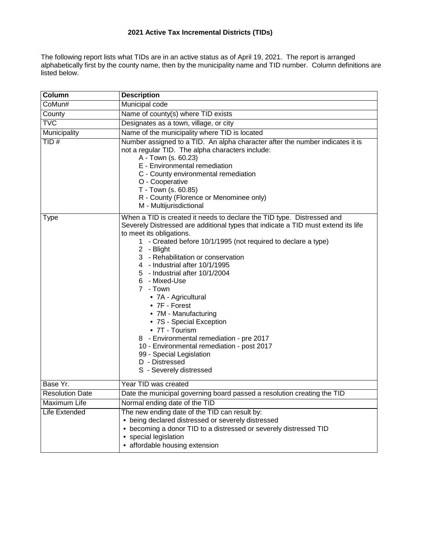# **2021 Active Tax Incremental Districts (TIDs)**

The following report lists what TIDs are in an active status as of April 19, 2021. The report is arranged alphabetically first by the county name, then by the municipality name and TID number. Column definitions are listed below.

| Column                 | <b>Description</b>                                                                                                                                                                                                                                                                                                                                                                                                                                                                                                                                                                                                                                                                             |
|------------------------|------------------------------------------------------------------------------------------------------------------------------------------------------------------------------------------------------------------------------------------------------------------------------------------------------------------------------------------------------------------------------------------------------------------------------------------------------------------------------------------------------------------------------------------------------------------------------------------------------------------------------------------------------------------------------------------------|
| CoMun#                 | Municipal code                                                                                                                                                                                                                                                                                                                                                                                                                                                                                                                                                                                                                                                                                 |
| County                 | Name of county(s) where TID exists                                                                                                                                                                                                                                                                                                                                                                                                                                                                                                                                                                                                                                                             |
| <b>TVC</b>             | Designates as a town, village, or city                                                                                                                                                                                                                                                                                                                                                                                                                                                                                                                                                                                                                                                         |
| Municipality           | Name of the municipality where TID is located                                                                                                                                                                                                                                                                                                                                                                                                                                                                                                                                                                                                                                                  |
| TID#                   | Number assigned to a TID. An alpha character after the number indicates it is<br>not a regular TID. The alpha characters include:<br>A - Town (s. 60.23)<br>E - Environmental remediation<br>C - County environmental remediation<br>O - Cooperative<br>T - Town (s. 60.85)<br>R - County (Florence or Menominee only)<br>M - Multijurisdictional                                                                                                                                                                                                                                                                                                                                              |
| Type                   | When a TID is created it needs to declare the TID type. Distressed and<br>Severely Distressed are additional types that indicate a TID must extend its life<br>to meet its obligations.<br>1 - Created before 10/1/1995 (not required to declare a type)<br>2 - Blight<br>3 - Rehabilitation or conservation<br>4 - Industrial after 10/1/1995<br>5 - Industrial after 10/1/2004<br>6 - Mixed-Use<br>7 - Town<br>• 7A - Agricultural<br>• 7F - Forest<br>• 7M - Manufacturing<br>• 7S - Special Exception<br>• 7T - Tourism<br>8 - Environmental remediation - pre 2017<br>10 - Environmental remediation - post 2017<br>99 - Special Legislation<br>D - Distressed<br>S - Severely distressed |
| Base Yr.               | Year TID was created                                                                                                                                                                                                                                                                                                                                                                                                                                                                                                                                                                                                                                                                           |
| <b>Resolution Date</b> | Date the municipal governing board passed a resolution creating the TID                                                                                                                                                                                                                                                                                                                                                                                                                                                                                                                                                                                                                        |
| Maximum Life           | Normal ending date of the TID                                                                                                                                                                                                                                                                                                                                                                                                                                                                                                                                                                                                                                                                  |
| Life Extended          | The new ending date of the TID can result by:<br>• being declared distressed or severely distressed<br>• becoming a donor TID to a distressed or severely distressed TID<br>• special legislation<br>• affordable housing extension                                                                                                                                                                                                                                                                                                                                                                                                                                                            |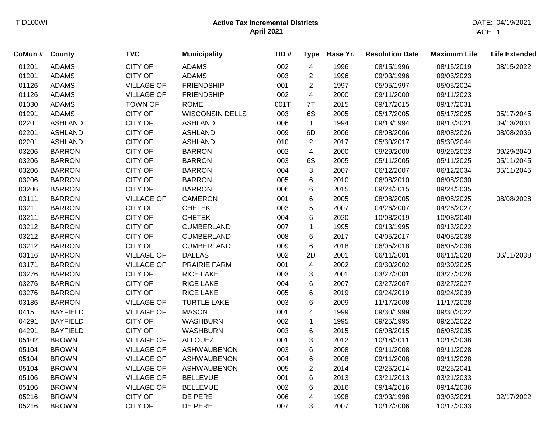| CoMun # | County          | <b>TVC</b>        | <b>Municipality</b>    | TID# | <b>Type</b>             | Base Yr. | <b>Resolution Date</b> | <b>Maximum Life</b> | <b>Life Extended</b> |
|---------|-----------------|-------------------|------------------------|------|-------------------------|----------|------------------------|---------------------|----------------------|
| 01201   | <b>ADAMS</b>    | <b>CITY OF</b>    | <b>ADAMS</b>           | 002  | $\overline{\mathbf{4}}$ | 1996     | 08/15/1996             | 08/15/2019          | 08/15/2022           |
| 01201   | <b>ADAMS</b>    | <b>CITY OF</b>    | <b>ADAMS</b>           | 003  | $\overline{c}$          | 1996     | 09/03/1996             | 09/03/2023          |                      |
| 01126   | <b>ADAMS</b>    | <b>VILLAGE OF</b> | <b>FRIENDSHIP</b>      | 001  | $\overline{2}$          | 1997     | 05/05/1997             | 05/05/2024          |                      |
| 01126   | <b>ADAMS</b>    | <b>VILLAGE OF</b> | <b>FRIENDSHIP</b>      | 002  | 4                       | 2000     | 09/11/2000             | 09/11/2023          |                      |
| 01030   | <b>ADAMS</b>    | <b>TOWN OF</b>    | <b>ROME</b>            | 001T | 7T                      | 2015     | 09/17/2015             | 09/17/2031          |                      |
| 01291   | <b>ADAMS</b>    | <b>CITY OF</b>    | <b>WISCONSIN DELLS</b> | 003  | 6S                      | 2005     | 05/17/2005             | 05/17/2025          | 05/17/2045           |
| 02201   | <b>ASHLAND</b>  | <b>CITY OF</b>    | <b>ASHLAND</b>         | 006  | $\mathbf{1}$            | 1994     | 09/13/1994             | 09/13/2021          | 09/13/2031           |
| 02201   | <b>ASHLAND</b>  | <b>CITY OF</b>    | <b>ASHLAND</b>         | 009  | 6D                      | 2006     | 08/08/2006             | 08/08/2026          | 08/08/2036           |
| 02201   | <b>ASHLAND</b>  | <b>CITY OF</b>    | <b>ASHLAND</b>         | 010  | $\overline{2}$          | 2017     | 05/30/2017             | 05/30/2044          |                      |
| 03206   | <b>BARRON</b>   | <b>CITY OF</b>    | <b>BARRON</b>          | 002  | $\overline{\mathbf{4}}$ | 2000     | 09/29/2000             | 09/29/2023          | 09/29/2040           |
| 03206   | <b>BARRON</b>   | <b>CITY OF</b>    | <b>BARRON</b>          | 003  | 6S                      | 2005     | 05/11/2005             | 05/11/2025          | 05/11/2045           |
| 03206   | <b>BARRON</b>   | <b>CITY OF</b>    | <b>BARRON</b>          | 004  | $\sqrt{3}$              | 2007     | 06/12/2007             | 06/12/2034          | 05/11/2045           |
| 03206   | <b>BARRON</b>   | <b>CITY OF</b>    | <b>BARRON</b>          | 005  | 6                       | 2010     | 06/08/2010             | 06/08/2030          |                      |
| 03206   | <b>BARRON</b>   | <b>CITY OF</b>    | <b>BARRON</b>          | 006  | $\,6$                   | 2015     | 09/24/2015             | 09/24/2035          |                      |
| 03111   | <b>BARRON</b>   | <b>VILLAGE OF</b> | <b>CAMERON</b>         | 001  | 6                       | 2005     | 08/08/2005             | 08/08/2025          | 08/08/2028           |
| 03211   | <b>BARRON</b>   | <b>CITY OF</b>    | <b>CHETEK</b>          | 003  | 5                       | 2007     | 04/26/2007             | 04/26/2027          |                      |
| 03211   | <b>BARRON</b>   | <b>CITY OF</b>    | <b>CHETEK</b>          | 004  | 6                       | 2020     | 10/08/2019             | 10/08/2040          |                      |
| 03212   | <b>BARRON</b>   | <b>CITY OF</b>    | <b>CUMBERLAND</b>      | 007  | $\mathbf{1}$            | 1995     | 09/13/1995             | 09/13/2022          |                      |
| 03212   | <b>BARRON</b>   | <b>CITY OF</b>    | <b>CUMBERLAND</b>      | 008  | 6                       | 2017     | 04/05/2017             | 04/05/2038          |                      |
| 03212   | <b>BARRON</b>   | <b>CITY OF</b>    | <b>CUMBERLAND</b>      | 009  | 6                       | 2018     | 06/05/2018             | 06/05/2038          |                      |
| 03116   | <b>BARRON</b>   | <b>VILLAGE OF</b> | <b>DALLAS</b>          | 002  | 2D                      | 2001     | 06/11/2001             | 06/11/2028          | 06/11/2038           |
| 03171   | <b>BARRON</b>   | <b>VILLAGE OF</b> | PRAIRIE FARM           | 001  | 4                       | 2002     | 09/30/2002             | 09/30/2025          |                      |
| 03276   | <b>BARRON</b>   | <b>CITY OF</b>    | <b>RICE LAKE</b>       | 003  | 3                       | 2001     | 03/27/2001             | 03/27/2028          |                      |
| 03276   | <b>BARRON</b>   | <b>CITY OF</b>    | <b>RICE LAKE</b>       | 004  | 6                       | 2007     | 03/27/2007             | 03/27/2027          |                      |
| 03276   | <b>BARRON</b>   | <b>CITY OF</b>    | <b>RICE LAKE</b>       | 005  | $\,6$                   | 2019     | 09/24/2019             | 09/24/2039          |                      |
| 03186   | <b>BARRON</b>   | <b>VILLAGE OF</b> | <b>TURTLE LAKE</b>     | 003  | 6                       | 2009     | 11/17/2008             | 11/17/2028          |                      |
| 04151   | <b>BAYFIELD</b> | <b>VILLAGE OF</b> | <b>MASON</b>           | 001  | $\overline{\mathbf{4}}$ | 1999     | 09/30/1999             | 09/30/2022          |                      |
| 04291   | <b>BAYFIELD</b> | <b>CITY OF</b>    | <b>WASHBURN</b>        | 002  | $\mathbf 1$             | 1995     | 09/25/1995             | 09/25/2022          |                      |
| 04291   | <b>BAYFIELD</b> | <b>CITY OF</b>    | <b>WASHBURN</b>        | 003  | $\,6$                   | 2015     | 06/08/2015             | 06/08/2035          |                      |
| 05102   | <b>BROWN</b>    | <b>VILLAGE OF</b> | <b>ALLOUEZ</b>         | 001  | 3                       | 2012     | 10/18/2011             | 10/18/2038          |                      |
| 05104   | <b>BROWN</b>    | <b>VILLAGE OF</b> | <b>ASHWAUBENON</b>     | 003  | 6                       | 2008     | 09/11/2008             | 09/11/2028          |                      |
| 05104   | <b>BROWN</b>    | <b>VILLAGE OF</b> | <b>ASHWAUBENON</b>     | 004  | 6                       | 2008     | 09/11/2008             | 09/11/2028          |                      |
| 05104   | <b>BROWN</b>    | <b>VILLAGE OF</b> | <b>ASHWAUBENON</b>     | 005  | $\overline{c}$          | 2014     | 02/25/2014             | 02/25/2041          |                      |
| 05106   | <b>BROWN</b>    | <b>VILLAGE OF</b> | <b>BELLEVUE</b>        | 001  | 6                       | 2013     | 03/21/2013             | 03/21/2033          |                      |
| 05106   | <b>BROWN</b>    | <b>VILLAGE OF</b> | <b>BELLEVUE</b>        | 002  | 6                       | 2016     | 09/14/2016             | 09/14/2036          |                      |
| 05216   | <b>BROWN</b>    | <b>CITY OF</b>    | DE PERE                | 006  | 4                       | 1998     | 03/03/1998             | 03/03/2021          | 02/17/2022           |
| 05216   | <b>BROWN</b>    | <b>CITY OF</b>    | DE PERE                | 007  | 3                       | 2007     | 10/17/2006             | 10/17/2033          |                      |
|         |                 |                   |                        |      |                         |          |                        |                     |                      |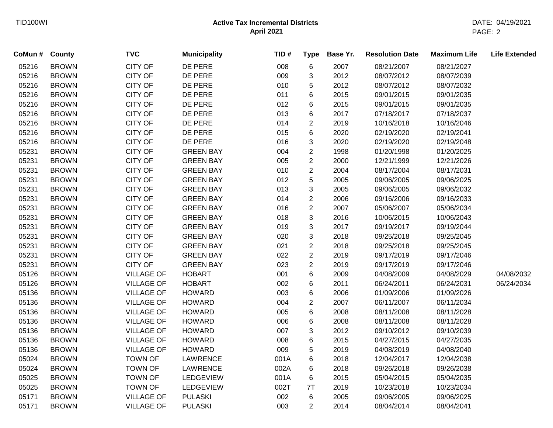| CoMun # | County       | <b>TVC</b>        | <b>Municipality</b> | TID# | <b>Type</b>    | Base Yr. | <b>Resolution Date</b> | <b>Maximum Life</b> | <b>Life Extended</b> |
|---------|--------------|-------------------|---------------------|------|----------------|----------|------------------------|---------------------|----------------------|
| 05216   | <b>BROWN</b> | <b>CITY OF</b>    | DE PERE             | 008  | 6              | 2007     | 08/21/2007             | 08/21/2027          |                      |
| 05216   | <b>BROWN</b> | <b>CITY OF</b>    | DE PERE             | 009  | 3              | 2012     | 08/07/2012             | 08/07/2039          |                      |
| 05216   | <b>BROWN</b> | <b>CITY OF</b>    | DE PERE             | 010  | 5              | 2012     | 08/07/2012             | 08/07/2032          |                      |
| 05216   | <b>BROWN</b> | <b>CITY OF</b>    | DE PERE             | 011  | 6              | 2015     | 09/01/2015             | 09/01/2035          |                      |
| 05216   | <b>BROWN</b> | <b>CITY OF</b>    | DE PERE             | 012  | 6              | 2015     | 09/01/2015             | 09/01/2035          |                      |
| 05216   | <b>BROWN</b> | <b>CITY OF</b>    | DE PERE             | 013  | 6              | 2017     | 07/18/2017             | 07/18/2037          |                      |
| 05216   | <b>BROWN</b> | <b>CITY OF</b>    | DE PERE             | 014  | $\overline{c}$ | 2019     | 10/16/2018             | 10/16/2046          |                      |
| 05216   | <b>BROWN</b> | CITY OF           | DE PERE             | 015  | 6              | 2020     | 02/19/2020             | 02/19/2041          |                      |
| 05216   | <b>BROWN</b> | <b>CITY OF</b>    | DE PERE             | 016  | 3              | 2020     | 02/19/2020             | 02/19/2048          |                      |
| 05231   | <b>BROWN</b> | <b>CITY OF</b>    | <b>GREEN BAY</b>    | 004  | $\overline{2}$ | 1998     | 01/20/1998             | 01/20/2025          |                      |
| 05231   | <b>BROWN</b> | <b>CITY OF</b>    | <b>GREEN BAY</b>    | 005  | $\overline{2}$ | 2000     | 12/21/1999             | 12/21/2026          |                      |
| 05231   | <b>BROWN</b> | <b>CITY OF</b>    | <b>GREEN BAY</b>    | 010  | $\overline{2}$ | 2004     | 08/17/2004             | 08/17/2031          |                      |
| 05231   | <b>BROWN</b> | <b>CITY OF</b>    | <b>GREEN BAY</b>    | 012  | 5              | 2005     | 09/06/2005             | 09/06/2025          |                      |
| 05231   | <b>BROWN</b> | <b>CITY OF</b>    | <b>GREEN BAY</b>    | 013  | 3              | 2005     | 09/06/2005             | 09/06/2032          |                      |
| 05231   | <b>BROWN</b> | <b>CITY OF</b>    | <b>GREEN BAY</b>    | 014  | $\overline{2}$ | 2006     | 09/16/2006             | 09/16/2033          |                      |
| 05231   | <b>BROWN</b> | <b>CITY OF</b>    | <b>GREEN BAY</b>    | 016  | $\overline{2}$ | 2007     | 05/06/2007             | 05/06/2034          |                      |
| 05231   | <b>BROWN</b> | <b>CITY OF</b>    | <b>GREEN BAY</b>    | 018  | 3              | 2016     | 10/06/2015             | 10/06/2043          |                      |
| 05231   | <b>BROWN</b> | <b>CITY OF</b>    | <b>GREEN BAY</b>    | 019  | 3              | 2017     | 09/19/2017             | 09/19/2044          |                      |
| 05231   | <b>BROWN</b> | <b>CITY OF</b>    | <b>GREEN BAY</b>    | 020  | 3              | 2018     | 09/25/2018             | 09/25/2045          |                      |
| 05231   | <b>BROWN</b> | CITY OF           | <b>GREEN BAY</b>    | 021  | $\overline{c}$ | 2018     | 09/25/2018             | 09/25/2045          |                      |
| 05231   | <b>BROWN</b> | <b>CITY OF</b>    | <b>GREEN BAY</b>    | 022  | $\overline{c}$ | 2019     | 09/17/2019             | 09/17/2046          |                      |
| 05231   | <b>BROWN</b> | <b>CITY OF</b>    | <b>GREEN BAY</b>    | 023  | $\overline{2}$ | 2019     | 09/17/2019             | 09/17/2046          |                      |
| 05126   | <b>BROWN</b> | <b>VILLAGE OF</b> | <b>HOBART</b>       | 001  | 6              | 2009     | 04/08/2009             | 04/08/2029          | 04/08/2032           |
| 05126   | <b>BROWN</b> | <b>VILLAGE OF</b> | <b>HOBART</b>       | 002  | 6              | 2011     | 06/24/2011             | 06/24/2031          | 06/24/2034           |
| 05136   | <b>BROWN</b> | <b>VILLAGE OF</b> | <b>HOWARD</b>       | 003  | 6              | 2006     | 01/09/2006             | 01/09/2026          |                      |
| 05136   | <b>BROWN</b> | <b>VILLAGE OF</b> | <b>HOWARD</b>       | 004  | $\overline{c}$ | 2007     | 06/11/2007             | 06/11/2034          |                      |
| 05136   | <b>BROWN</b> | <b>VILLAGE OF</b> | <b>HOWARD</b>       | 005  | 6              | 2008     | 08/11/2008             | 08/11/2028          |                      |
| 05136   | <b>BROWN</b> | <b>VILLAGE OF</b> | <b>HOWARD</b>       | 006  | 6              | 2008     | 08/11/2008             | 08/11/2028          |                      |
| 05136   | <b>BROWN</b> | <b>VILLAGE OF</b> | <b>HOWARD</b>       | 007  | 3              | 2012     | 09/10/2012             | 09/10/2039          |                      |
| 05136   | <b>BROWN</b> | <b>VILLAGE OF</b> | <b>HOWARD</b>       | 008  | 6              | 2015     | 04/27/2015             | 04/27/2035          |                      |
| 05136   | <b>BROWN</b> | <b>VILLAGE OF</b> | <b>HOWARD</b>       | 009  | 5              | 2019     | 04/08/2019             | 04/08/2040          |                      |
| 05024   | <b>BROWN</b> | <b>TOWN OF</b>    | LAWRENCE            | 001A | 6              | 2018     | 12/04/2017             | 12/04/2038          |                      |
| 05024   | <b>BROWN</b> | <b>TOWN OF</b>    | LAWRENCE            | 002A | 6              | 2018     | 09/26/2018             | 09/26/2038          |                      |
| 05025   | <b>BROWN</b> | <b>TOWN OF</b>    | LEDGEVIEW           | 001A | 6              | 2015     | 05/04/2015             | 05/04/2035          |                      |
| 05025   | <b>BROWN</b> | <b>TOWN OF</b>    | LEDGEVIEW           | 002T | 7T             | 2019     | 10/23/2018             | 10/23/2034          |                      |
| 05171   | <b>BROWN</b> | <b>VILLAGE OF</b> | <b>PULASKI</b>      | 002  | 6              | 2005     | 09/06/2005             | 09/06/2025          |                      |
| 05171   | <b>BROWN</b> | <b>VILLAGE OF</b> | <b>PULASKI</b>      | 003  | $\overline{2}$ | 2014     | 08/04/2014             | 08/04/2041          |                      |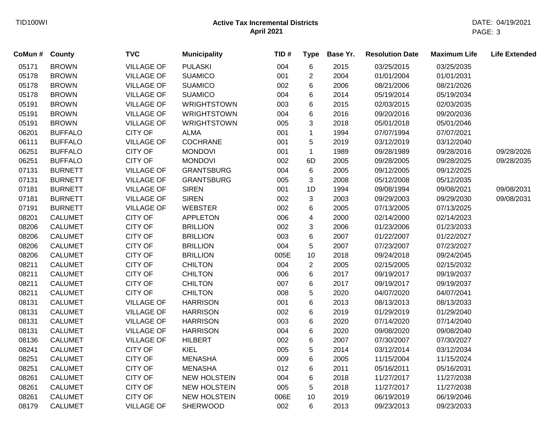| 03/25/2035<br>03/25/2015<br>01/01/2004<br>01/01/2031<br>08/21/2006<br>08/21/2026 |
|----------------------------------------------------------------------------------|
|                                                                                  |
|                                                                                  |
|                                                                                  |
| 05/19/2014<br>05/19/2034                                                         |
| 02/03/2015<br>02/03/2035                                                         |
| 09/20/2016<br>09/20/2036                                                         |
| 05/01/2018<br>05/01/2046                                                         |
| 07/07/1994<br>07/07/2021                                                         |
| 03/12/2019<br>03/12/2040                                                         |
| 09/28/1989<br>09/28/2016<br>09/28/2026                                           |
| 09/28/2005<br>09/28/2025<br>09/28/2035                                           |
| 09/12/2005<br>09/12/2025                                                         |
| 05/12/2008<br>05/12/2035                                                         |
| 09/08/1994<br>09/08/2021<br>09/08/2031                                           |
| 09/29/2003<br>09/08/2031<br>09/29/2030                                           |
| 07/13/2005<br>07/13/2025                                                         |
| 02/14/2000<br>02/14/2023                                                         |
| 01/23/2006<br>01/23/2033                                                         |
| 01/22/2007<br>01/22/2027                                                         |
| 07/23/2007<br>07/23/2027                                                         |
| 09/24/2018<br>09/24/2045                                                         |
| 02/15/2005<br>02/15/2032                                                         |
| 09/19/2017<br>09/19/2037                                                         |
| 09/19/2017<br>09/19/2037                                                         |
| 04/07/2020<br>04/07/2041                                                         |
| 08/13/2013<br>08/13/2033                                                         |
| 01/29/2019<br>01/29/2040                                                         |
| 07/14/2020<br>07/14/2040                                                         |
| 09/08/2020<br>09/08/2040                                                         |
| 07/30/2007<br>07/30/2027                                                         |
| 03/12/2014<br>03/12/2034                                                         |
| 11/15/2004<br>11/15/2024                                                         |
| 05/16/2011<br>05/16/2031                                                         |
| 11/27/2017<br>11/27/2038                                                         |
| 11/27/2017<br>11/27/2038                                                         |
| 06/19/2019<br>06/19/2046                                                         |
|                                                                                  |
|                                                                                  |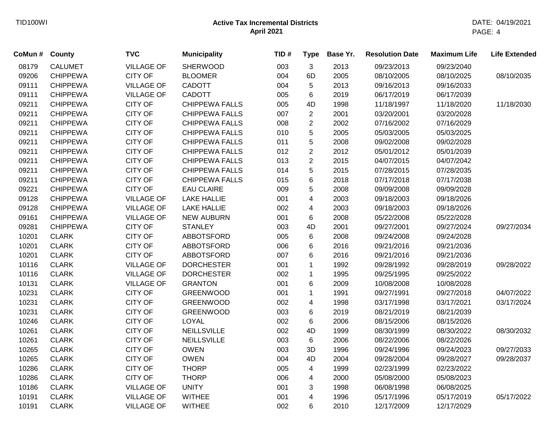| 08179<br><b>CALUMET</b><br><b>VILLAGE OF</b><br><b>SHERWOOD</b><br>003<br>3<br>2013<br>09/23/2013<br>09/23/2040<br><b>CHIPPEWA</b><br><b>CITY OF</b><br>6D<br>09206<br><b>BLOOMER</b><br>004<br>2005<br>08/10/2005<br>08/10/2025<br>08/10/2035<br>09111<br><b>CHIPPEWA</b><br><b>VILLAGE OF</b><br><b>CADOTT</b><br>5<br>2013<br>09/16/2013<br>09/16/2033<br>004<br>09111<br><b>CHIPPEWA</b><br><b>VILLAGE OF</b><br>CADOTT<br>6<br>2019<br>005<br>06/17/2019<br>06/17/2039<br><b>CHIPPEWA</b><br><b>CITY OF</b><br><b>CHIPPEWA FALLS</b><br>09211<br>005<br>4D<br>1998<br>11/18/1997<br>11/18/2020<br>11/18/2030<br><b>CITY OF</b><br>09211<br><b>CHIPPEWA</b><br><b>CHIPPEWA FALLS</b><br>$\overline{2}$<br>2001<br>03/20/2001<br>007<br>03/20/2028<br>09211<br><b>CHIPPEWA</b><br><b>CITY OF</b><br><b>CHIPPEWA FALLS</b><br>$\overline{c}$<br>2002<br>07/16/2002<br>07/16/2029<br>008<br>09211<br><b>CITY OF</b><br>5<br>2005<br><b>CHIPPEWA</b><br><b>CHIPPEWA FALLS</b><br>010<br>05/03/2005<br>05/03/2025<br><b>CITY OF</b><br>5<br>09211<br><b>CHIPPEWA</b><br><b>CHIPPEWA FALLS</b><br>011<br>2008<br>09/02/2008<br>09/02/2028<br><b>CITY OF</b><br>$\overline{c}$<br>09211<br><b>CHIPPEWA</b><br><b>CHIPPEWA FALLS</b><br>012<br>2012<br>05/01/2012<br>05/01/2039<br><b>CITY OF</b><br>$\overline{2}$<br>09211<br><b>CHIPPEWA</b><br><b>CHIPPEWA FALLS</b><br>013<br>2015<br>04/07/2015<br>04/07/2042<br><b>CITY OF</b><br>5<br>09211<br><b>CHIPPEWA</b><br><b>CHIPPEWA FALLS</b><br>014<br>2015<br>07/28/2015<br>07/28/2035<br><b>CITY OF</b><br>$\,6\,$<br>09211<br><b>CHIPPEWA</b><br><b>CHIPPEWA FALLS</b><br>015<br>2018<br>07/17/2018<br>07/17/2038<br><b>CITY OF</b><br>5<br>09221<br><b>CHIPPEWA</b><br><b>EAU CLAIRE</b><br>2008<br>09/09/2008<br>009<br>09/09/2028<br>09128<br><b>VILLAGE OF</b><br>$\overline{\mathbf{4}}$<br>2003<br><b>CHIPPEWA</b><br><b>LAKE HALLIE</b><br>09/18/2003<br>09/18/2026<br>001<br>$\overline{\mathbf{4}}$<br>09128<br><b>CHIPPEWA</b><br><b>VILLAGE OF</b><br><b>LAKE HALLIE</b><br>002<br>2003<br>09/18/2003<br>09/18/2026<br><b>VILLAGE OF</b><br>$\,6\,$<br>09161<br><b>CHIPPEWA</b><br><b>NEW AUBURN</b><br>001<br>2008<br>05/22/2008<br>05/22/2028<br>09281<br><b>CITY OF</b><br><b>STANLEY</b><br>4D<br>2001<br>09/27/2001<br><b>CHIPPEWA</b><br>003<br>09/27/2024<br>09/27/2034<br><b>CITY OF</b><br><b>CLARK</b><br><b>ABBOTSFORD</b><br>6<br>2008<br>10201<br>005<br>09/24/2008<br>09/24/2028<br><b>CITY OF</b><br>10201<br><b>CLARK</b><br><b>ABBOTSFORD</b><br>6<br>2016<br>09/21/2016<br>09/21/2036<br>006<br>10201<br><b>CLARK</b><br><b>CITY OF</b><br><b>ABBOTSFORD</b><br>6<br>2016<br>09/21/2016<br>007<br>09/21/2036<br>10116<br><b>CLARK</b><br><b>VILLAGE OF</b><br><b>DORCHESTER</b><br>1992<br>09/28/2022<br>001<br>$\mathbf{1}$<br>09/28/1992<br>09/28/2019<br>10116<br><b>CLARK</b><br><b>VILLAGE OF</b><br><b>DORCHESTER</b><br>1995<br>002<br>$\mathbf{1}$<br>09/25/1995<br>09/25/2022<br>10131<br><b>CLARK</b><br><b>VILLAGE OF</b><br><b>GRANTON</b><br>6<br>2009<br>10/08/2008<br>001<br>10/08/2028<br>10231<br><b>CLARK</b><br><b>CITY OF</b><br><b>GREENWOOD</b><br>$\mathbf{1}$<br>001<br>1991<br>09/27/1991<br>09/27/2018<br>04/07/2022<br><b>CITY OF</b><br>10231<br><b>CLARK</b><br><b>GREENWOOD</b><br>002<br>4<br>1998<br>03/17/1998<br>03/17/2021<br>03/17/2024<br><b>CLARK</b><br><b>CITY OF</b><br>10231<br><b>GREENWOOD</b><br>003<br>6<br>2019<br>08/21/2019<br>08/21/2039<br><b>CLARK</b><br><b>CITY OF</b><br><b>LOYAL</b><br>$\,6$<br>10246<br>002<br>2006<br>08/15/2006<br>08/15/2026<br><b>CLARK</b><br><b>CITY OF</b><br>4D<br>10261<br><b>NEILLSVILLE</b><br>002<br>1999<br>08/30/1999<br>08/30/2022<br>08/30/2032<br><b>CLARK</b><br><b>CITY OF</b><br>10261<br><b>NEILLSVILLE</b><br>003<br>6<br>2006<br>08/22/2006<br>08/22/2026<br><b>CLARK</b><br><b>CITY OF</b><br>10265<br><b>OWEN</b><br>3D<br>1996<br>09/27/2033<br>003<br>09/24/1996<br>09/24/2023<br><b>CLARK</b><br><b>CITY OF</b><br><b>OWEN</b><br>4D<br>10265<br>2004<br>09/28/2037<br>004<br>09/28/2004<br>09/28/2027<br><b>CLARK</b><br>10286<br><b>CITY OF</b><br><b>THORP</b><br>005<br>4<br>1999<br>02/23/1999<br>02/23/2022<br>10286<br><b>CLARK</b><br><b>CITY OF</b><br><b>THORP</b><br>4<br>2000<br>006<br>05/08/2000<br>05/08/2023<br>10186<br><b>CLARK</b><br><b>VILLAGE OF</b><br><b>UNITY</b><br>3<br>001<br>1998<br>06/08/1998<br>06/08/2025<br>10191<br><b>CLARK</b><br>4<br>05/17/2022<br><b>VILLAGE OF</b><br><b>WITHEE</b><br>001<br>1996<br>05/17/1996<br>05/17/2019<br>10191<br><b>CLARK</b><br><b>VILLAGE OF</b><br>002<br>6<br>2010<br><b>WITHEE</b><br>12/17/2009<br>12/17/2029 | CoMun # | County | <b>TVC</b> | <b>Municipality</b> | TID# | <b>Type</b> | Base Yr. | <b>Resolution Date</b> | <b>Maximum Life</b> | <b>Life Extended</b> |
|-----------------------------------------------------------------------------------------------------------------------------------------------------------------------------------------------------------------------------------------------------------------------------------------------------------------------------------------------------------------------------------------------------------------------------------------------------------------------------------------------------------------------------------------------------------------------------------------------------------------------------------------------------------------------------------------------------------------------------------------------------------------------------------------------------------------------------------------------------------------------------------------------------------------------------------------------------------------------------------------------------------------------------------------------------------------------------------------------------------------------------------------------------------------------------------------------------------------------------------------------------------------------------------------------------------------------------------------------------------------------------------------------------------------------------------------------------------------------------------------------------------------------------------------------------------------------------------------------------------------------------------------------------------------------------------------------------------------------------------------------------------------------------------------------------------------------------------------------------------------------------------------------------------------------------------------------------------------------------------------------------------------------------------------------------------------------------------------------------------------------------------------------------------------------------------------------------------------------------------------------------------------------------------------------------------------------------------------------------------------------------------------------------------------------------------------------------------------------------------------------------------------------------------------------------------------------------------------------------------------------------------------------------------------------------------------------------------------------------------------------------------------------------------------------------------------------------------------------------------------------------------------------------------------------------------------------------------------------------------------------------------------------------------------------------------------------------------------------------------------------------------------------------------------------------------------------------------------------------------------------------------------------------------------------------------------------------------------------------------------------------------------------------------------------------------------------------------------------------------------------------------------------------------------------------------------------------------------------------------------------------------------------------------------------------------------------------------------------------------------------------------------------------------------------------------------------------------------------------------------------------------------------------------------------------------------------------------------------------------------------------------------------------------------------------------------------------------------------------------------------------------------------------------------------------------------------------------------------------------------------------------------------------------------------------------------------------------------------------------------------------------------------------------------------------------------------------------------------------------------------------------------------------------------------------------------------------------------------------------------------------------------------------------------------------|---------|--------|------------|---------------------|------|-------------|----------|------------------------|---------------------|----------------------|
|                                                                                                                                                                                                                                                                                                                                                                                                                                                                                                                                                                                                                                                                                                                                                                                                                                                                                                                                                                                                                                                                                                                                                                                                                                                                                                                                                                                                                                                                                                                                                                                                                                                                                                                                                                                                                                                                                                                                                                                                                                                                                                                                                                                                                                                                                                                                                                                                                                                                                                                                                                                                                                                                                                                                                                                                                                                                                                                                                                                                                                                                                                                                                                                                                                                                                                                                                                                                                                                                                                                                                                                                                                                                                                                                                                                                                                                                                                                                                                                                                                                                                                                                                                                                                                                                                                                                                                                                                                                                                                                                                                                                                                                                             |         |        |            |                     |      |             |          |                        |                     |                      |
|                                                                                                                                                                                                                                                                                                                                                                                                                                                                                                                                                                                                                                                                                                                                                                                                                                                                                                                                                                                                                                                                                                                                                                                                                                                                                                                                                                                                                                                                                                                                                                                                                                                                                                                                                                                                                                                                                                                                                                                                                                                                                                                                                                                                                                                                                                                                                                                                                                                                                                                                                                                                                                                                                                                                                                                                                                                                                                                                                                                                                                                                                                                                                                                                                                                                                                                                                                                                                                                                                                                                                                                                                                                                                                                                                                                                                                                                                                                                                                                                                                                                                                                                                                                                                                                                                                                                                                                                                                                                                                                                                                                                                                                                             |         |        |            |                     |      |             |          |                        |                     |                      |
|                                                                                                                                                                                                                                                                                                                                                                                                                                                                                                                                                                                                                                                                                                                                                                                                                                                                                                                                                                                                                                                                                                                                                                                                                                                                                                                                                                                                                                                                                                                                                                                                                                                                                                                                                                                                                                                                                                                                                                                                                                                                                                                                                                                                                                                                                                                                                                                                                                                                                                                                                                                                                                                                                                                                                                                                                                                                                                                                                                                                                                                                                                                                                                                                                                                                                                                                                                                                                                                                                                                                                                                                                                                                                                                                                                                                                                                                                                                                                                                                                                                                                                                                                                                                                                                                                                                                                                                                                                                                                                                                                                                                                                                                             |         |        |            |                     |      |             |          |                        |                     |                      |
|                                                                                                                                                                                                                                                                                                                                                                                                                                                                                                                                                                                                                                                                                                                                                                                                                                                                                                                                                                                                                                                                                                                                                                                                                                                                                                                                                                                                                                                                                                                                                                                                                                                                                                                                                                                                                                                                                                                                                                                                                                                                                                                                                                                                                                                                                                                                                                                                                                                                                                                                                                                                                                                                                                                                                                                                                                                                                                                                                                                                                                                                                                                                                                                                                                                                                                                                                                                                                                                                                                                                                                                                                                                                                                                                                                                                                                                                                                                                                                                                                                                                                                                                                                                                                                                                                                                                                                                                                                                                                                                                                                                                                                                                             |         |        |            |                     |      |             |          |                        |                     |                      |
|                                                                                                                                                                                                                                                                                                                                                                                                                                                                                                                                                                                                                                                                                                                                                                                                                                                                                                                                                                                                                                                                                                                                                                                                                                                                                                                                                                                                                                                                                                                                                                                                                                                                                                                                                                                                                                                                                                                                                                                                                                                                                                                                                                                                                                                                                                                                                                                                                                                                                                                                                                                                                                                                                                                                                                                                                                                                                                                                                                                                                                                                                                                                                                                                                                                                                                                                                                                                                                                                                                                                                                                                                                                                                                                                                                                                                                                                                                                                                                                                                                                                                                                                                                                                                                                                                                                                                                                                                                                                                                                                                                                                                                                                             |         |        |            |                     |      |             |          |                        |                     |                      |
|                                                                                                                                                                                                                                                                                                                                                                                                                                                                                                                                                                                                                                                                                                                                                                                                                                                                                                                                                                                                                                                                                                                                                                                                                                                                                                                                                                                                                                                                                                                                                                                                                                                                                                                                                                                                                                                                                                                                                                                                                                                                                                                                                                                                                                                                                                                                                                                                                                                                                                                                                                                                                                                                                                                                                                                                                                                                                                                                                                                                                                                                                                                                                                                                                                                                                                                                                                                                                                                                                                                                                                                                                                                                                                                                                                                                                                                                                                                                                                                                                                                                                                                                                                                                                                                                                                                                                                                                                                                                                                                                                                                                                                                                             |         |        |            |                     |      |             |          |                        |                     |                      |
|                                                                                                                                                                                                                                                                                                                                                                                                                                                                                                                                                                                                                                                                                                                                                                                                                                                                                                                                                                                                                                                                                                                                                                                                                                                                                                                                                                                                                                                                                                                                                                                                                                                                                                                                                                                                                                                                                                                                                                                                                                                                                                                                                                                                                                                                                                                                                                                                                                                                                                                                                                                                                                                                                                                                                                                                                                                                                                                                                                                                                                                                                                                                                                                                                                                                                                                                                                                                                                                                                                                                                                                                                                                                                                                                                                                                                                                                                                                                                                                                                                                                                                                                                                                                                                                                                                                                                                                                                                                                                                                                                                                                                                                                             |         |        |            |                     |      |             |          |                        |                     |                      |
|                                                                                                                                                                                                                                                                                                                                                                                                                                                                                                                                                                                                                                                                                                                                                                                                                                                                                                                                                                                                                                                                                                                                                                                                                                                                                                                                                                                                                                                                                                                                                                                                                                                                                                                                                                                                                                                                                                                                                                                                                                                                                                                                                                                                                                                                                                                                                                                                                                                                                                                                                                                                                                                                                                                                                                                                                                                                                                                                                                                                                                                                                                                                                                                                                                                                                                                                                                                                                                                                                                                                                                                                                                                                                                                                                                                                                                                                                                                                                                                                                                                                                                                                                                                                                                                                                                                                                                                                                                                                                                                                                                                                                                                                             |         |        |            |                     |      |             |          |                        |                     |                      |
|                                                                                                                                                                                                                                                                                                                                                                                                                                                                                                                                                                                                                                                                                                                                                                                                                                                                                                                                                                                                                                                                                                                                                                                                                                                                                                                                                                                                                                                                                                                                                                                                                                                                                                                                                                                                                                                                                                                                                                                                                                                                                                                                                                                                                                                                                                                                                                                                                                                                                                                                                                                                                                                                                                                                                                                                                                                                                                                                                                                                                                                                                                                                                                                                                                                                                                                                                                                                                                                                                                                                                                                                                                                                                                                                                                                                                                                                                                                                                                                                                                                                                                                                                                                                                                                                                                                                                                                                                                                                                                                                                                                                                                                                             |         |        |            |                     |      |             |          |                        |                     |                      |
|                                                                                                                                                                                                                                                                                                                                                                                                                                                                                                                                                                                                                                                                                                                                                                                                                                                                                                                                                                                                                                                                                                                                                                                                                                                                                                                                                                                                                                                                                                                                                                                                                                                                                                                                                                                                                                                                                                                                                                                                                                                                                                                                                                                                                                                                                                                                                                                                                                                                                                                                                                                                                                                                                                                                                                                                                                                                                                                                                                                                                                                                                                                                                                                                                                                                                                                                                                                                                                                                                                                                                                                                                                                                                                                                                                                                                                                                                                                                                                                                                                                                                                                                                                                                                                                                                                                                                                                                                                                                                                                                                                                                                                                                             |         |        |            |                     |      |             |          |                        |                     |                      |
|                                                                                                                                                                                                                                                                                                                                                                                                                                                                                                                                                                                                                                                                                                                                                                                                                                                                                                                                                                                                                                                                                                                                                                                                                                                                                                                                                                                                                                                                                                                                                                                                                                                                                                                                                                                                                                                                                                                                                                                                                                                                                                                                                                                                                                                                                                                                                                                                                                                                                                                                                                                                                                                                                                                                                                                                                                                                                                                                                                                                                                                                                                                                                                                                                                                                                                                                                                                                                                                                                                                                                                                                                                                                                                                                                                                                                                                                                                                                                                                                                                                                                                                                                                                                                                                                                                                                                                                                                                                                                                                                                                                                                                                                             |         |        |            |                     |      |             |          |                        |                     |                      |
|                                                                                                                                                                                                                                                                                                                                                                                                                                                                                                                                                                                                                                                                                                                                                                                                                                                                                                                                                                                                                                                                                                                                                                                                                                                                                                                                                                                                                                                                                                                                                                                                                                                                                                                                                                                                                                                                                                                                                                                                                                                                                                                                                                                                                                                                                                                                                                                                                                                                                                                                                                                                                                                                                                                                                                                                                                                                                                                                                                                                                                                                                                                                                                                                                                                                                                                                                                                                                                                                                                                                                                                                                                                                                                                                                                                                                                                                                                                                                                                                                                                                                                                                                                                                                                                                                                                                                                                                                                                                                                                                                                                                                                                                             |         |        |            |                     |      |             |          |                        |                     |                      |
|                                                                                                                                                                                                                                                                                                                                                                                                                                                                                                                                                                                                                                                                                                                                                                                                                                                                                                                                                                                                                                                                                                                                                                                                                                                                                                                                                                                                                                                                                                                                                                                                                                                                                                                                                                                                                                                                                                                                                                                                                                                                                                                                                                                                                                                                                                                                                                                                                                                                                                                                                                                                                                                                                                                                                                                                                                                                                                                                                                                                                                                                                                                                                                                                                                                                                                                                                                                                                                                                                                                                                                                                                                                                                                                                                                                                                                                                                                                                                                                                                                                                                                                                                                                                                                                                                                                                                                                                                                                                                                                                                                                                                                                                             |         |        |            |                     |      |             |          |                        |                     |                      |
|                                                                                                                                                                                                                                                                                                                                                                                                                                                                                                                                                                                                                                                                                                                                                                                                                                                                                                                                                                                                                                                                                                                                                                                                                                                                                                                                                                                                                                                                                                                                                                                                                                                                                                                                                                                                                                                                                                                                                                                                                                                                                                                                                                                                                                                                                                                                                                                                                                                                                                                                                                                                                                                                                                                                                                                                                                                                                                                                                                                                                                                                                                                                                                                                                                                                                                                                                                                                                                                                                                                                                                                                                                                                                                                                                                                                                                                                                                                                                                                                                                                                                                                                                                                                                                                                                                                                                                                                                                                                                                                                                                                                                                                                             |         |        |            |                     |      |             |          |                        |                     |                      |
|                                                                                                                                                                                                                                                                                                                                                                                                                                                                                                                                                                                                                                                                                                                                                                                                                                                                                                                                                                                                                                                                                                                                                                                                                                                                                                                                                                                                                                                                                                                                                                                                                                                                                                                                                                                                                                                                                                                                                                                                                                                                                                                                                                                                                                                                                                                                                                                                                                                                                                                                                                                                                                                                                                                                                                                                                                                                                                                                                                                                                                                                                                                                                                                                                                                                                                                                                                                                                                                                                                                                                                                                                                                                                                                                                                                                                                                                                                                                                                                                                                                                                                                                                                                                                                                                                                                                                                                                                                                                                                                                                                                                                                                                             |         |        |            |                     |      |             |          |                        |                     |                      |
|                                                                                                                                                                                                                                                                                                                                                                                                                                                                                                                                                                                                                                                                                                                                                                                                                                                                                                                                                                                                                                                                                                                                                                                                                                                                                                                                                                                                                                                                                                                                                                                                                                                                                                                                                                                                                                                                                                                                                                                                                                                                                                                                                                                                                                                                                                                                                                                                                                                                                                                                                                                                                                                                                                                                                                                                                                                                                                                                                                                                                                                                                                                                                                                                                                                                                                                                                                                                                                                                                                                                                                                                                                                                                                                                                                                                                                                                                                                                                                                                                                                                                                                                                                                                                                                                                                                                                                                                                                                                                                                                                                                                                                                                             |         |        |            |                     |      |             |          |                        |                     |                      |
|                                                                                                                                                                                                                                                                                                                                                                                                                                                                                                                                                                                                                                                                                                                                                                                                                                                                                                                                                                                                                                                                                                                                                                                                                                                                                                                                                                                                                                                                                                                                                                                                                                                                                                                                                                                                                                                                                                                                                                                                                                                                                                                                                                                                                                                                                                                                                                                                                                                                                                                                                                                                                                                                                                                                                                                                                                                                                                                                                                                                                                                                                                                                                                                                                                                                                                                                                                                                                                                                                                                                                                                                                                                                                                                                                                                                                                                                                                                                                                                                                                                                                                                                                                                                                                                                                                                                                                                                                                                                                                                                                                                                                                                                             |         |        |            |                     |      |             |          |                        |                     |                      |
|                                                                                                                                                                                                                                                                                                                                                                                                                                                                                                                                                                                                                                                                                                                                                                                                                                                                                                                                                                                                                                                                                                                                                                                                                                                                                                                                                                                                                                                                                                                                                                                                                                                                                                                                                                                                                                                                                                                                                                                                                                                                                                                                                                                                                                                                                                                                                                                                                                                                                                                                                                                                                                                                                                                                                                                                                                                                                                                                                                                                                                                                                                                                                                                                                                                                                                                                                                                                                                                                                                                                                                                                                                                                                                                                                                                                                                                                                                                                                                                                                                                                                                                                                                                                                                                                                                                                                                                                                                                                                                                                                                                                                                                                             |         |        |            |                     |      |             |          |                        |                     |                      |
|                                                                                                                                                                                                                                                                                                                                                                                                                                                                                                                                                                                                                                                                                                                                                                                                                                                                                                                                                                                                                                                                                                                                                                                                                                                                                                                                                                                                                                                                                                                                                                                                                                                                                                                                                                                                                                                                                                                                                                                                                                                                                                                                                                                                                                                                                                                                                                                                                                                                                                                                                                                                                                                                                                                                                                                                                                                                                                                                                                                                                                                                                                                                                                                                                                                                                                                                                                                                                                                                                                                                                                                                                                                                                                                                                                                                                                                                                                                                                                                                                                                                                                                                                                                                                                                                                                                                                                                                                                                                                                                                                                                                                                                                             |         |        |            |                     |      |             |          |                        |                     |                      |
|                                                                                                                                                                                                                                                                                                                                                                                                                                                                                                                                                                                                                                                                                                                                                                                                                                                                                                                                                                                                                                                                                                                                                                                                                                                                                                                                                                                                                                                                                                                                                                                                                                                                                                                                                                                                                                                                                                                                                                                                                                                                                                                                                                                                                                                                                                                                                                                                                                                                                                                                                                                                                                                                                                                                                                                                                                                                                                                                                                                                                                                                                                                                                                                                                                                                                                                                                                                                                                                                                                                                                                                                                                                                                                                                                                                                                                                                                                                                                                                                                                                                                                                                                                                                                                                                                                                                                                                                                                                                                                                                                                                                                                                                             |         |        |            |                     |      |             |          |                        |                     |                      |
|                                                                                                                                                                                                                                                                                                                                                                                                                                                                                                                                                                                                                                                                                                                                                                                                                                                                                                                                                                                                                                                                                                                                                                                                                                                                                                                                                                                                                                                                                                                                                                                                                                                                                                                                                                                                                                                                                                                                                                                                                                                                                                                                                                                                                                                                                                                                                                                                                                                                                                                                                                                                                                                                                                                                                                                                                                                                                                                                                                                                                                                                                                                                                                                                                                                                                                                                                                                                                                                                                                                                                                                                                                                                                                                                                                                                                                                                                                                                                                                                                                                                                                                                                                                                                                                                                                                                                                                                                                                                                                                                                                                                                                                                             |         |        |            |                     |      |             |          |                        |                     |                      |
|                                                                                                                                                                                                                                                                                                                                                                                                                                                                                                                                                                                                                                                                                                                                                                                                                                                                                                                                                                                                                                                                                                                                                                                                                                                                                                                                                                                                                                                                                                                                                                                                                                                                                                                                                                                                                                                                                                                                                                                                                                                                                                                                                                                                                                                                                                                                                                                                                                                                                                                                                                                                                                                                                                                                                                                                                                                                                                                                                                                                                                                                                                                                                                                                                                                                                                                                                                                                                                                                                                                                                                                                                                                                                                                                                                                                                                                                                                                                                                                                                                                                                                                                                                                                                                                                                                                                                                                                                                                                                                                                                                                                                                                                             |         |        |            |                     |      |             |          |                        |                     |                      |
|                                                                                                                                                                                                                                                                                                                                                                                                                                                                                                                                                                                                                                                                                                                                                                                                                                                                                                                                                                                                                                                                                                                                                                                                                                                                                                                                                                                                                                                                                                                                                                                                                                                                                                                                                                                                                                                                                                                                                                                                                                                                                                                                                                                                                                                                                                                                                                                                                                                                                                                                                                                                                                                                                                                                                                                                                                                                                                                                                                                                                                                                                                                                                                                                                                                                                                                                                                                                                                                                                                                                                                                                                                                                                                                                                                                                                                                                                                                                                                                                                                                                                                                                                                                                                                                                                                                                                                                                                                                                                                                                                                                                                                                                             |         |        |            |                     |      |             |          |                        |                     |                      |
|                                                                                                                                                                                                                                                                                                                                                                                                                                                                                                                                                                                                                                                                                                                                                                                                                                                                                                                                                                                                                                                                                                                                                                                                                                                                                                                                                                                                                                                                                                                                                                                                                                                                                                                                                                                                                                                                                                                                                                                                                                                                                                                                                                                                                                                                                                                                                                                                                                                                                                                                                                                                                                                                                                                                                                                                                                                                                                                                                                                                                                                                                                                                                                                                                                                                                                                                                                                                                                                                                                                                                                                                                                                                                                                                                                                                                                                                                                                                                                                                                                                                                                                                                                                                                                                                                                                                                                                                                                                                                                                                                                                                                                                                             |         |        |            |                     |      |             |          |                        |                     |                      |
|                                                                                                                                                                                                                                                                                                                                                                                                                                                                                                                                                                                                                                                                                                                                                                                                                                                                                                                                                                                                                                                                                                                                                                                                                                                                                                                                                                                                                                                                                                                                                                                                                                                                                                                                                                                                                                                                                                                                                                                                                                                                                                                                                                                                                                                                                                                                                                                                                                                                                                                                                                                                                                                                                                                                                                                                                                                                                                                                                                                                                                                                                                                                                                                                                                                                                                                                                                                                                                                                                                                                                                                                                                                                                                                                                                                                                                                                                                                                                                                                                                                                                                                                                                                                                                                                                                                                                                                                                                                                                                                                                                                                                                                                             |         |        |            |                     |      |             |          |                        |                     |                      |
|                                                                                                                                                                                                                                                                                                                                                                                                                                                                                                                                                                                                                                                                                                                                                                                                                                                                                                                                                                                                                                                                                                                                                                                                                                                                                                                                                                                                                                                                                                                                                                                                                                                                                                                                                                                                                                                                                                                                                                                                                                                                                                                                                                                                                                                                                                                                                                                                                                                                                                                                                                                                                                                                                                                                                                                                                                                                                                                                                                                                                                                                                                                                                                                                                                                                                                                                                                                                                                                                                                                                                                                                                                                                                                                                                                                                                                                                                                                                                                                                                                                                                                                                                                                                                                                                                                                                                                                                                                                                                                                                                                                                                                                                             |         |        |            |                     |      |             |          |                        |                     |                      |
|                                                                                                                                                                                                                                                                                                                                                                                                                                                                                                                                                                                                                                                                                                                                                                                                                                                                                                                                                                                                                                                                                                                                                                                                                                                                                                                                                                                                                                                                                                                                                                                                                                                                                                                                                                                                                                                                                                                                                                                                                                                                                                                                                                                                                                                                                                                                                                                                                                                                                                                                                                                                                                                                                                                                                                                                                                                                                                                                                                                                                                                                                                                                                                                                                                                                                                                                                                                                                                                                                                                                                                                                                                                                                                                                                                                                                                                                                                                                                                                                                                                                                                                                                                                                                                                                                                                                                                                                                                                                                                                                                                                                                                                                             |         |        |            |                     |      |             |          |                        |                     |                      |
|                                                                                                                                                                                                                                                                                                                                                                                                                                                                                                                                                                                                                                                                                                                                                                                                                                                                                                                                                                                                                                                                                                                                                                                                                                                                                                                                                                                                                                                                                                                                                                                                                                                                                                                                                                                                                                                                                                                                                                                                                                                                                                                                                                                                                                                                                                                                                                                                                                                                                                                                                                                                                                                                                                                                                                                                                                                                                                                                                                                                                                                                                                                                                                                                                                                                                                                                                                                                                                                                                                                                                                                                                                                                                                                                                                                                                                                                                                                                                                                                                                                                                                                                                                                                                                                                                                                                                                                                                                                                                                                                                                                                                                                                             |         |        |            |                     |      |             |          |                        |                     |                      |
|                                                                                                                                                                                                                                                                                                                                                                                                                                                                                                                                                                                                                                                                                                                                                                                                                                                                                                                                                                                                                                                                                                                                                                                                                                                                                                                                                                                                                                                                                                                                                                                                                                                                                                                                                                                                                                                                                                                                                                                                                                                                                                                                                                                                                                                                                                                                                                                                                                                                                                                                                                                                                                                                                                                                                                                                                                                                                                                                                                                                                                                                                                                                                                                                                                                                                                                                                                                                                                                                                                                                                                                                                                                                                                                                                                                                                                                                                                                                                                                                                                                                                                                                                                                                                                                                                                                                                                                                                                                                                                                                                                                                                                                                             |         |        |            |                     |      |             |          |                        |                     |                      |
|                                                                                                                                                                                                                                                                                                                                                                                                                                                                                                                                                                                                                                                                                                                                                                                                                                                                                                                                                                                                                                                                                                                                                                                                                                                                                                                                                                                                                                                                                                                                                                                                                                                                                                                                                                                                                                                                                                                                                                                                                                                                                                                                                                                                                                                                                                                                                                                                                                                                                                                                                                                                                                                                                                                                                                                                                                                                                                                                                                                                                                                                                                                                                                                                                                                                                                                                                                                                                                                                                                                                                                                                                                                                                                                                                                                                                                                                                                                                                                                                                                                                                                                                                                                                                                                                                                                                                                                                                                                                                                                                                                                                                                                                             |         |        |            |                     |      |             |          |                        |                     |                      |
|                                                                                                                                                                                                                                                                                                                                                                                                                                                                                                                                                                                                                                                                                                                                                                                                                                                                                                                                                                                                                                                                                                                                                                                                                                                                                                                                                                                                                                                                                                                                                                                                                                                                                                                                                                                                                                                                                                                                                                                                                                                                                                                                                                                                                                                                                                                                                                                                                                                                                                                                                                                                                                                                                                                                                                                                                                                                                                                                                                                                                                                                                                                                                                                                                                                                                                                                                                                                                                                                                                                                                                                                                                                                                                                                                                                                                                                                                                                                                                                                                                                                                                                                                                                                                                                                                                                                                                                                                                                                                                                                                                                                                                                                             |         |        |            |                     |      |             |          |                        |                     |                      |
|                                                                                                                                                                                                                                                                                                                                                                                                                                                                                                                                                                                                                                                                                                                                                                                                                                                                                                                                                                                                                                                                                                                                                                                                                                                                                                                                                                                                                                                                                                                                                                                                                                                                                                                                                                                                                                                                                                                                                                                                                                                                                                                                                                                                                                                                                                                                                                                                                                                                                                                                                                                                                                                                                                                                                                                                                                                                                                                                                                                                                                                                                                                                                                                                                                                                                                                                                                                                                                                                                                                                                                                                                                                                                                                                                                                                                                                                                                                                                                                                                                                                                                                                                                                                                                                                                                                                                                                                                                                                                                                                                                                                                                                                             |         |        |            |                     |      |             |          |                        |                     |                      |
|                                                                                                                                                                                                                                                                                                                                                                                                                                                                                                                                                                                                                                                                                                                                                                                                                                                                                                                                                                                                                                                                                                                                                                                                                                                                                                                                                                                                                                                                                                                                                                                                                                                                                                                                                                                                                                                                                                                                                                                                                                                                                                                                                                                                                                                                                                                                                                                                                                                                                                                                                                                                                                                                                                                                                                                                                                                                                                                                                                                                                                                                                                                                                                                                                                                                                                                                                                                                                                                                                                                                                                                                                                                                                                                                                                                                                                                                                                                                                                                                                                                                                                                                                                                                                                                                                                                                                                                                                                                                                                                                                                                                                                                                             |         |        |            |                     |      |             |          |                        |                     |                      |
|                                                                                                                                                                                                                                                                                                                                                                                                                                                                                                                                                                                                                                                                                                                                                                                                                                                                                                                                                                                                                                                                                                                                                                                                                                                                                                                                                                                                                                                                                                                                                                                                                                                                                                                                                                                                                                                                                                                                                                                                                                                                                                                                                                                                                                                                                                                                                                                                                                                                                                                                                                                                                                                                                                                                                                                                                                                                                                                                                                                                                                                                                                                                                                                                                                                                                                                                                                                                                                                                                                                                                                                                                                                                                                                                                                                                                                                                                                                                                                                                                                                                                                                                                                                                                                                                                                                                                                                                                                                                                                                                                                                                                                                                             |         |        |            |                     |      |             |          |                        |                     |                      |
|                                                                                                                                                                                                                                                                                                                                                                                                                                                                                                                                                                                                                                                                                                                                                                                                                                                                                                                                                                                                                                                                                                                                                                                                                                                                                                                                                                                                                                                                                                                                                                                                                                                                                                                                                                                                                                                                                                                                                                                                                                                                                                                                                                                                                                                                                                                                                                                                                                                                                                                                                                                                                                                                                                                                                                                                                                                                                                                                                                                                                                                                                                                                                                                                                                                                                                                                                                                                                                                                                                                                                                                                                                                                                                                                                                                                                                                                                                                                                                                                                                                                                                                                                                                                                                                                                                                                                                                                                                                                                                                                                                                                                                                                             |         |        |            |                     |      |             |          |                        |                     |                      |
|                                                                                                                                                                                                                                                                                                                                                                                                                                                                                                                                                                                                                                                                                                                                                                                                                                                                                                                                                                                                                                                                                                                                                                                                                                                                                                                                                                                                                                                                                                                                                                                                                                                                                                                                                                                                                                                                                                                                                                                                                                                                                                                                                                                                                                                                                                                                                                                                                                                                                                                                                                                                                                                                                                                                                                                                                                                                                                                                                                                                                                                                                                                                                                                                                                                                                                                                                                                                                                                                                                                                                                                                                                                                                                                                                                                                                                                                                                                                                                                                                                                                                                                                                                                                                                                                                                                                                                                                                                                                                                                                                                                                                                                                             |         |        |            |                     |      |             |          |                        |                     |                      |
|                                                                                                                                                                                                                                                                                                                                                                                                                                                                                                                                                                                                                                                                                                                                                                                                                                                                                                                                                                                                                                                                                                                                                                                                                                                                                                                                                                                                                                                                                                                                                                                                                                                                                                                                                                                                                                                                                                                                                                                                                                                                                                                                                                                                                                                                                                                                                                                                                                                                                                                                                                                                                                                                                                                                                                                                                                                                                                                                                                                                                                                                                                                                                                                                                                                                                                                                                                                                                                                                                                                                                                                                                                                                                                                                                                                                                                                                                                                                                                                                                                                                                                                                                                                                                                                                                                                                                                                                                                                                                                                                                                                                                                                                             |         |        |            |                     |      |             |          |                        |                     |                      |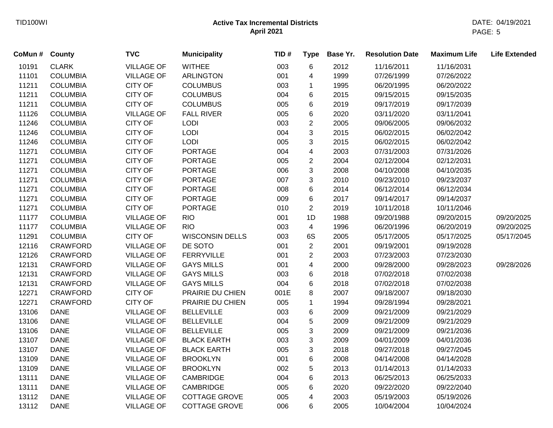| CoMun # County |                 | <b>TVC</b>        | <b>Municipality</b>    | TID# | <b>Type</b>             | Base Yr. | <b>Resolution Date</b> | <b>Maximum Life</b> | <b>Life Extended</b> |
|----------------|-----------------|-------------------|------------------------|------|-------------------------|----------|------------------------|---------------------|----------------------|
| 10191          | <b>CLARK</b>    | <b>VILLAGE OF</b> | <b>WITHEE</b>          | 003  | 6                       | 2012     | 11/16/2011             | 11/16/2031          |                      |
| 11101          | <b>COLUMBIA</b> | <b>VILLAGE OF</b> | <b>ARLINGTON</b>       | 001  | 4                       | 1999     | 07/26/1999             | 07/26/2022          |                      |
| 11211          | <b>COLUMBIA</b> | <b>CITY OF</b>    | <b>COLUMBUS</b>        | 003  | 1                       | 1995     | 06/20/1995             | 06/20/2022          |                      |
| 11211          | <b>COLUMBIA</b> | <b>CITY OF</b>    | <b>COLUMBUS</b>        | 004  | 6                       | 2015     | 09/15/2015             | 09/15/2035          |                      |
| 11211          | <b>COLUMBIA</b> | <b>CITY OF</b>    | <b>COLUMBUS</b>        | 005  | 6                       | 2019     | 09/17/2019             | 09/17/2039          |                      |
| 11126          | <b>COLUMBIA</b> | <b>VILLAGE OF</b> | <b>FALL RIVER</b>      | 005  | 6                       | 2020     | 03/11/2020             | 03/11/2041          |                      |
| 11246          | <b>COLUMBIA</b> | <b>CITY OF</b>    | LODI                   | 003  | $\overline{c}$          | 2005     | 09/06/2005             | 09/06/2032          |                      |
| 11246          | <b>COLUMBIA</b> | <b>CITY OF</b>    | LODI                   | 004  | 3                       | 2015     | 06/02/2015             | 06/02/2042          |                      |
| 11246          | <b>COLUMBIA</b> | <b>CITY OF</b>    | LODI                   | 005  | 3                       | 2015     | 06/02/2015             | 06/02/2042          |                      |
| 11271          | <b>COLUMBIA</b> | <b>CITY OF</b>    | <b>PORTAGE</b>         | 004  | $\overline{\mathbf{4}}$ | 2003     | 07/31/2003             | 07/31/2026          |                      |
| 11271          | <b>COLUMBIA</b> | <b>CITY OF</b>    | <b>PORTAGE</b>         | 005  | $\overline{c}$          | 2004     | 02/12/2004             | 02/12/2031          |                      |
| 11271          | <b>COLUMBIA</b> | <b>CITY OF</b>    | <b>PORTAGE</b>         | 006  | 3                       | 2008     | 04/10/2008             | 04/10/2035          |                      |
| 11271          | <b>COLUMBIA</b> | <b>CITY OF</b>    | <b>PORTAGE</b>         | 007  | 3                       | 2010     | 09/23/2010             | 09/23/2037          |                      |
| 11271          | <b>COLUMBIA</b> | <b>CITY OF</b>    | <b>PORTAGE</b>         | 008  | 6                       | 2014     | 06/12/2014             | 06/12/2034          |                      |
| 11271          | <b>COLUMBIA</b> | <b>CITY OF</b>    | <b>PORTAGE</b>         | 009  | 6                       | 2017     | 09/14/2017             | 09/14/2037          |                      |
| 11271          | <b>COLUMBIA</b> | <b>CITY OF</b>    | <b>PORTAGE</b>         | 010  | $\overline{2}$          | 2019     | 10/11/2018             | 10/11/2046          |                      |
| 11177          | <b>COLUMBIA</b> | <b>VILLAGE OF</b> | <b>RIO</b>             | 001  | 1D                      | 1988     | 09/20/1988             | 09/20/2015          | 09/20/2025           |
| 11177          | <b>COLUMBIA</b> | <b>VILLAGE OF</b> | <b>RIO</b>             | 003  | $\overline{4}$          | 1996     | 06/20/1996             | 06/20/2019          | 09/20/2025           |
| 11291          | <b>COLUMBIA</b> | <b>CITY OF</b>    | <b>WISCONSIN DELLS</b> | 003  | 6S                      | 2005     | 05/17/2005             | 05/17/2025          | 05/17/2045           |
| 12116          | <b>CRAWFORD</b> | <b>VILLAGE OF</b> | DE SOTO                | 001  | $\overline{2}$          | 2001     | 09/19/2001             | 09/19/2028          |                      |
| 12126          | <b>CRAWFORD</b> | <b>VILLAGE OF</b> | <b>FERRYVILLE</b>      | 001  | $\overline{c}$          | 2003     | 07/23/2003             | 07/23/2030          |                      |
| 12131          | <b>CRAWFORD</b> | <b>VILLAGE OF</b> | <b>GAYS MILLS</b>      | 001  | 4                       | 2000     | 09/28/2000             | 09/28/2023          | 09/28/2026           |
| 12131          | <b>CRAWFORD</b> | <b>VILLAGE OF</b> | <b>GAYS MILLS</b>      | 003  | 6                       | 2018     | 07/02/2018             | 07/02/2038          |                      |
| 12131          | <b>CRAWFORD</b> | <b>VILLAGE OF</b> | <b>GAYS MILLS</b>      | 004  | 6                       | 2018     | 07/02/2018             | 07/02/2038          |                      |
| 12271          | <b>CRAWFORD</b> | <b>CITY OF</b>    | PRAIRIE DU CHIEN       | 001E | 8                       | 2007     | 09/18/2007             | 09/18/2030          |                      |
| 12271          | CRAWFORD        | <b>CITY OF</b>    | PRAIRIE DU CHIEN       | 005  | 1                       | 1994     | 09/28/1994             | 09/28/2021          |                      |
| 13106          | <b>DANE</b>     | <b>VILLAGE OF</b> | <b>BELLEVILLE</b>      | 003  | 6                       | 2009     | 09/21/2009             | 09/21/2029          |                      |
| 13106          | <b>DANE</b>     | <b>VILLAGE OF</b> | <b>BELLEVILLE</b>      | 004  | 5                       | 2009     | 09/21/2009             | 09/21/2029          |                      |
| 13106          | <b>DANE</b>     | <b>VILLAGE OF</b> | <b>BELLEVILLE</b>      | 005  | 3                       | 2009     | 09/21/2009             | 09/21/2036          |                      |
| 13107          | <b>DANE</b>     | <b>VILLAGE OF</b> | <b>BLACK EARTH</b>     | 003  | 3                       | 2009     | 04/01/2009             | 04/01/2036          |                      |
| 13107          | <b>DANE</b>     | <b>VILLAGE OF</b> | <b>BLACK EARTH</b>     | 005  | 3                       | 2018     | 09/27/2018             | 09/27/2045          |                      |
| 13109          | <b>DANE</b>     | <b>VILLAGE OF</b> | <b>BROOKLYN</b>        | 001  | 6                       | 2008     | 04/14/2008             | 04/14/2028          |                      |
| 13109          | <b>DANE</b>     | <b>VILLAGE OF</b> | <b>BROOKLYN</b>        | 002  | 5                       | 2013     | 01/14/2013             | 01/14/2033          |                      |
| 13111          | <b>DANE</b>     | <b>VILLAGE OF</b> | <b>CAMBRIDGE</b>       | 004  | 6                       | 2013     | 06/25/2013             | 06/25/2033          |                      |
| 13111          | <b>DANE</b>     | <b>VILLAGE OF</b> | <b>CAMBRIDGE</b>       | 005  | 6                       | 2020     | 09/22/2020             | 09/22/2040          |                      |
| 13112          | <b>DANE</b>     | <b>VILLAGE OF</b> | <b>COTTAGE GROVE</b>   | 005  | 4                       | 2003     | 05/19/2003             | 05/19/2026          |                      |
| 13112          | <b>DANE</b>     | <b>VILLAGE OF</b> | <b>COTTAGE GROVE</b>   | 006  | 6                       | 2005     | 10/04/2004             | 10/04/2024          |                      |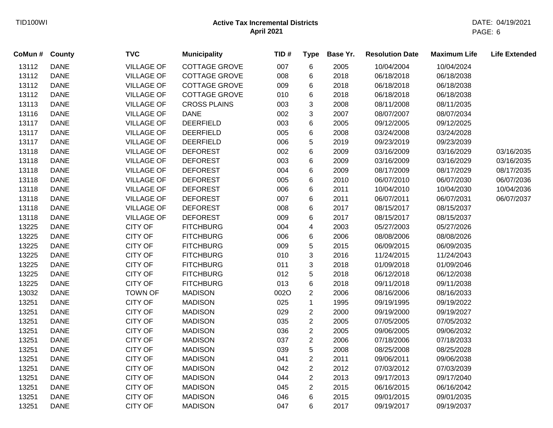| CoMun # County |             | <b>TVC</b>        | <b>Municipality</b>  | TID# | <b>Type</b>    | Base Yr. | <b>Resolution Date</b> | <b>Maximum Life</b> | <b>Life Extended</b> |
|----------------|-------------|-------------------|----------------------|------|----------------|----------|------------------------|---------------------|----------------------|
| 13112          | <b>DANE</b> | <b>VILLAGE OF</b> | COTTAGE GROVE        | 007  | 6              | 2005     | 10/04/2004             | 10/04/2024          |                      |
| 13112          | <b>DANE</b> | <b>VILLAGE OF</b> | COTTAGE GROVE        | 008  | 6              | 2018     | 06/18/2018             | 06/18/2038          |                      |
| 13112          | <b>DANE</b> | <b>VILLAGE OF</b> | <b>COTTAGE GROVE</b> | 009  | 6              | 2018     | 06/18/2018             | 06/18/2038          |                      |
| 13112          | <b>DANE</b> | <b>VILLAGE OF</b> | <b>COTTAGE GROVE</b> | 010  | 6              | 2018     | 06/18/2018             | 06/18/2038          |                      |
| 13113          | <b>DANE</b> | <b>VILLAGE OF</b> | <b>CROSS PLAINS</b>  | 003  | 3              | 2008     | 08/11/2008             | 08/11/2035          |                      |
| 13116          | <b>DANE</b> | <b>VILLAGE OF</b> | <b>DANE</b>          | 002  | $\mathbf{3}$   | 2007     | 08/07/2007             | 08/07/2034          |                      |
| 13117          | <b>DANE</b> | <b>VILLAGE OF</b> | <b>DEERFIELD</b>     | 003  | $\,6\,$        | 2005     | 09/12/2005             | 09/12/2025          |                      |
| 13117          | <b>DANE</b> | <b>VILLAGE OF</b> | <b>DEERFIELD</b>     | 005  | $\,6$          | 2008     | 03/24/2008             | 03/24/2028          |                      |
| 13117          | <b>DANE</b> | <b>VILLAGE OF</b> | <b>DEERFIELD</b>     | 006  | 5              | 2019     | 09/23/2019             | 09/23/2039          |                      |
| 13118          | <b>DANE</b> | <b>VILLAGE OF</b> | <b>DEFOREST</b>      | 002  | $\,6$          | 2009     | 03/16/2009             | 03/16/2029          | 03/16/2035           |
| 13118          | <b>DANE</b> | <b>VILLAGE OF</b> | <b>DEFOREST</b>      | 003  | $\,6$          | 2009     | 03/16/2009             | 03/16/2029          | 03/16/2035           |
| 13118          | <b>DANE</b> | <b>VILLAGE OF</b> | <b>DEFOREST</b>      | 004  | 6              | 2009     | 08/17/2009             | 08/17/2029          | 08/17/2035           |
| 13118          | <b>DANE</b> | <b>VILLAGE OF</b> | <b>DEFOREST</b>      | 005  | 6              | 2010     | 06/07/2010             | 06/07/2030          | 06/07/2036           |
| 13118          | <b>DANE</b> | <b>VILLAGE OF</b> | <b>DEFOREST</b>      | 006  | $\,6$          | 2011     | 10/04/2010             | 10/04/2030          | 10/04/2036           |
| 13118          | <b>DANE</b> | <b>VILLAGE OF</b> | <b>DEFOREST</b>      | 007  | 6              | 2011     | 06/07/2011             | 06/07/2031          | 06/07/2037           |
| 13118          | <b>DANE</b> | <b>VILLAGE OF</b> | <b>DEFOREST</b>      | 008  | 6              | 2017     | 08/15/2017             | 08/15/2037          |                      |
| 13118          | <b>DANE</b> | <b>VILLAGE OF</b> | <b>DEFOREST</b>      | 009  | 6              | 2017     | 08/15/2017             | 08/15/2037          |                      |
| 13225          | <b>DANE</b> | <b>CITY OF</b>    | <b>FITCHBURG</b>     | 004  | 4              | 2003     | 05/27/2003             | 05/27/2026          |                      |
| 13225          | <b>DANE</b> | CITY OF           | <b>FITCHBURG</b>     | 006  | 6              | 2006     | 08/08/2006             | 08/08/2026          |                      |
| 13225          | <b>DANE</b> | <b>CITY OF</b>    | <b>FITCHBURG</b>     | 009  | 5              | 2015     | 06/09/2015             | 06/09/2035          |                      |
| 13225          | <b>DANE</b> | <b>CITY OF</b>    | <b>FITCHBURG</b>     | 010  | 3              | 2016     | 11/24/2015             | 11/24/2043          |                      |
| 13225          | <b>DANE</b> | <b>CITY OF</b>    | <b>FITCHBURG</b>     | 011  | 3              | 2018     | 01/09/2018             | 01/09/2046          |                      |
| 13225          | <b>DANE</b> | <b>CITY OF</b>    | <b>FITCHBURG</b>     | 012  | 5              | 2018     | 06/12/2018             | 06/12/2038          |                      |
| 13225          | <b>DANE</b> | <b>CITY OF</b>    | <b>FITCHBURG</b>     | 013  | $\,6$          | 2018     | 09/11/2018             | 09/11/2038          |                      |
| 13032          | <b>DANE</b> | <b>TOWN OF</b>    | <b>MADISON</b>       | 002O | $\overline{2}$ | 2006     | 08/16/2006             | 08/16/2033          |                      |
| 13251          | <b>DANE</b> | CITY OF           | <b>MADISON</b>       | 025  | $\mathbf{1}$   | 1995     | 09/19/1995             | 09/19/2022          |                      |
| 13251          | <b>DANE</b> | CITY OF           | <b>MADISON</b>       | 029  | $\overline{2}$ | 2000     | 09/19/2000             | 09/19/2027          |                      |
| 13251          | <b>DANE</b> | CITY OF           | <b>MADISON</b>       | 035  | $\overline{c}$ | 2005     | 07/05/2005             | 07/05/2032          |                      |
| 13251          | <b>DANE</b> | <b>CITY OF</b>    | <b>MADISON</b>       | 036  | $\overline{2}$ | 2005     | 09/06/2005             | 09/06/2032          |                      |
| 13251          | <b>DANE</b> | <b>CITY OF</b>    | <b>MADISON</b>       | 037  | $\overline{2}$ | 2006     | 07/18/2006             | 07/18/2033          |                      |
| 13251          | <b>DANE</b> | CITY OF           | <b>MADISON</b>       | 039  | $\,$ 5 $\,$    | 2008     | 08/25/2008             | 08/25/2028          |                      |
| 13251          | <b>DANE</b> | CITY OF           | <b>MADISON</b>       | 041  | $\overline{2}$ | 2011     | 09/06/2011             | 09/06/2038          |                      |
| 13251          | <b>DANE</b> | CITY OF           | <b>MADISON</b>       | 042  | $\overline{2}$ | 2012     | 07/03/2012             | 07/03/2039          |                      |
| 13251          | <b>DANE</b> | CITY OF           | <b>MADISON</b>       | 044  | $\overline{2}$ | 2013     | 09/17/2013             | 09/17/2040          |                      |
| 13251          | <b>DANE</b> | <b>CITY OF</b>    | <b>MADISON</b>       | 045  | $\overline{2}$ | 2015     | 06/16/2015             | 06/16/2042          |                      |
| 13251          | <b>DANE</b> | <b>CITY OF</b>    | <b>MADISON</b>       | 046  | 6              | 2015     | 09/01/2015             | 09/01/2035          |                      |
| 13251          | <b>DANE</b> | <b>CITY OF</b>    | <b>MADISON</b>       | 047  | 6              | 2017     | 09/19/2017             | 09/19/2037          |                      |
|                |             |                   |                      |      |                |          |                        |                     |                      |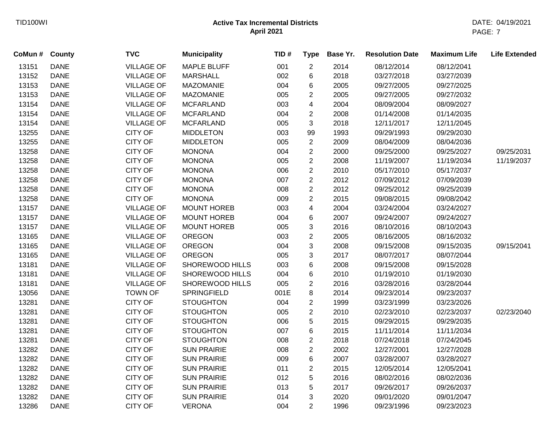| CoMun # | <b>County</b> | <b>TVC</b>        | <b>Municipality</b> | TID# | <b>Type</b>    | Base Yr. | <b>Resolution Date</b> | <b>Maximum Life</b> | <b>Life Extended</b> |
|---------|---------------|-------------------|---------------------|------|----------------|----------|------------------------|---------------------|----------------------|
| 13151   | <b>DANE</b>   | <b>VILLAGE OF</b> | <b>MAPLE BLUFF</b>  | 001  | $\overline{c}$ | 2014     | 08/12/2014             | 08/12/2041          |                      |
| 13152   | <b>DANE</b>   | <b>VILLAGE OF</b> | <b>MARSHALL</b>     | 002  | 6              | 2018     | 03/27/2018             | 03/27/2039          |                      |
| 13153   | <b>DANE</b>   | <b>VILLAGE OF</b> | <b>MAZOMANIE</b>    | 004  | 6              | 2005     | 09/27/2005             | 09/27/2025          |                      |
| 13153   | <b>DANE</b>   | <b>VILLAGE OF</b> | <b>MAZOMANIE</b>    | 005  | 2              | 2005     | 09/27/2005             | 09/27/2032          |                      |
| 13154   | <b>DANE</b>   | <b>VILLAGE OF</b> | <b>MCFARLAND</b>    | 003  | 4              | 2004     | 08/09/2004             | 08/09/2027          |                      |
| 13154   | <b>DANE</b>   | <b>VILLAGE OF</b> | <b>MCFARLAND</b>    | 004  | $\overline{2}$ | 2008     | 01/14/2008             | 01/14/2035          |                      |
| 13154   | <b>DANE</b>   | <b>VILLAGE OF</b> | <b>MCFARLAND</b>    | 005  | 3              | 2018     | 12/11/2017             | 12/11/2045          |                      |
| 13255   | <b>DANE</b>   | <b>CITY OF</b>    | <b>MIDDLETON</b>    | 003  | 99             | 1993     | 09/29/1993             | 09/29/2030          |                      |
| 13255   | <b>DANE</b>   | <b>CITY OF</b>    | <b>MIDDLETON</b>    | 005  | $\overline{2}$ | 2009     | 08/04/2009             | 08/04/2036          |                      |
| 13258   | <b>DANE</b>   | <b>CITY OF</b>    | <b>MONONA</b>       | 004  | $\overline{2}$ | 2000     | 09/25/2000             | 09/25/2027          | 09/25/2031           |
| 13258   | <b>DANE</b>   | <b>CITY OF</b>    | <b>MONONA</b>       | 005  | $\overline{2}$ | 2008     | 11/19/2007             | 11/19/2034          | 11/19/2037           |
| 13258   | <b>DANE</b>   | <b>CITY OF</b>    | <b>MONONA</b>       | 006  | $\overline{c}$ | 2010     | 05/17/2010             | 05/17/2037          |                      |
| 13258   | <b>DANE</b>   | <b>CITY OF</b>    | <b>MONONA</b>       | 007  | $\overline{2}$ | 2012     | 07/09/2012             | 07/09/2039          |                      |
| 13258   | <b>DANE</b>   | <b>CITY OF</b>    | <b>MONONA</b>       | 008  | $\overline{c}$ | 2012     | 09/25/2012             | 09/25/2039          |                      |
| 13258   | <b>DANE</b>   | <b>CITY OF</b>    | <b>MONONA</b>       | 009  | $\overline{2}$ | 2015     | 09/08/2015             | 09/08/2042          |                      |
| 13157   | <b>DANE</b>   | <b>VILLAGE OF</b> | <b>MOUNT HOREB</b>  | 003  | 4              | 2004     | 03/24/2004             | 03/24/2027          |                      |
| 13157   | <b>DANE</b>   | <b>VILLAGE OF</b> | <b>MOUNT HOREB</b>  | 004  | 6              | 2007     | 09/24/2007             | 09/24/2027          |                      |
| 13157   | <b>DANE</b>   | <b>VILLAGE OF</b> | <b>MOUNT HOREB</b>  | 005  | 3              | 2016     | 08/10/2016             | 08/10/2043          |                      |
| 13165   | <b>DANE</b>   | <b>VILLAGE OF</b> | <b>OREGON</b>       | 003  | $\overline{2}$ | 2005     | 08/16/2005             | 08/16/2032          |                      |
| 13165   | <b>DANE</b>   | <b>VILLAGE OF</b> | <b>OREGON</b>       | 004  | 3              | 2008     | 09/15/2008             | 09/15/2035          | 09/15/2041           |
| 13165   | <b>DANE</b>   | <b>VILLAGE OF</b> | <b>OREGON</b>       | 005  | 3              | 2017     | 08/07/2017             | 08/07/2044          |                      |
| 13181   | <b>DANE</b>   | <b>VILLAGE OF</b> | SHOREWOOD HILLS     | 003  | 6              | 2008     | 09/15/2008             | 09/15/2028          |                      |
| 13181   | <b>DANE</b>   | <b>VILLAGE OF</b> | SHOREWOOD HILLS     | 004  | 6              | 2010     | 01/19/2010             | 01/19/2030          |                      |
| 13181   | <b>DANE</b>   | <b>VILLAGE OF</b> | SHOREWOOD HILLS     | 005  | 2              | 2016     | 03/28/2016             | 03/28/2044          |                      |
| 13056   | <b>DANE</b>   | <b>TOWN OF</b>    | SPRINGFIELD         | 001E | 8              | 2014     | 09/23/2014             | 09/23/2037          |                      |
| 13281   | <b>DANE</b>   | <b>CITY OF</b>    | <b>STOUGHTON</b>    | 004  | $\overline{2}$ | 1999     | 03/23/1999             | 03/23/2026          |                      |
| 13281   | <b>DANE</b>   | <b>CITY OF</b>    | <b>STOUGHTON</b>    | 005  | $\overline{c}$ | 2010     | 02/23/2010             | 02/23/2037          | 02/23/2040           |
| 13281   | <b>DANE</b>   | <b>CITY OF</b>    | <b>STOUGHTON</b>    | 006  | 5              | 2015     | 09/29/2015             | 09/29/2035          |                      |
| 13281   | <b>DANE</b>   | <b>CITY OF</b>    | <b>STOUGHTON</b>    | 007  | 6              | 2015     | 11/11/2014             | 11/11/2034          |                      |
| 13281   | <b>DANE</b>   | <b>CITY OF</b>    | <b>STOUGHTON</b>    | 008  | $\overline{c}$ | 2018     | 07/24/2018             | 07/24/2045          |                      |
| 13282   | <b>DANE</b>   | <b>CITY OF</b>    | <b>SUN PRAIRIE</b>  | 008  | $\overline{2}$ | 2002     | 12/27/2001             | 12/27/2028          |                      |
| 13282   | <b>DANE</b>   | <b>CITY OF</b>    | <b>SUN PRAIRIE</b>  | 009  | 6              | 2007     | 03/28/2007             | 03/28/2027          |                      |
| 13282   | <b>DANE</b>   | <b>CITY OF</b>    | <b>SUN PRAIRIE</b>  | 011  | $\overline{2}$ | 2015     | 12/05/2014             | 12/05/2041          |                      |
| 13282   | <b>DANE</b>   | <b>CITY OF</b>    | <b>SUN PRAIRIE</b>  | 012  | 5              | 2016     | 08/02/2016             | 08/02/2036          |                      |
| 13282   | <b>DANE</b>   | <b>CITY OF</b>    | <b>SUN PRAIRIE</b>  | 013  | 5              | 2017     | 09/26/2017             | 09/26/2037          |                      |
| 13282   | <b>DANE</b>   | <b>CITY OF</b>    | <b>SUN PRAIRIE</b>  | 014  | 3              | 2020     | 09/01/2020             | 09/01/2047          |                      |
| 13286   | <b>DANE</b>   | <b>CITY OF</b>    | <b>VERONA</b>       | 004  | $\overline{2}$ | 1996     | 09/23/1996             | 09/23/2023          |                      |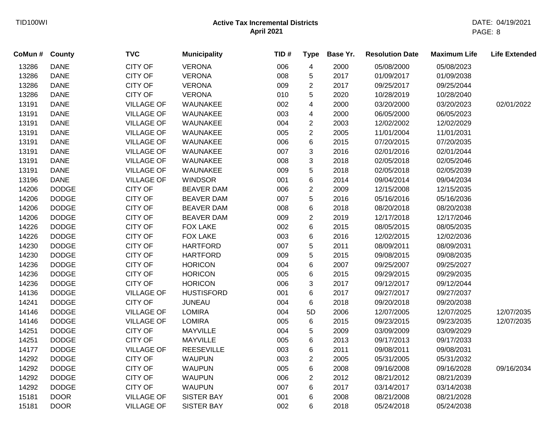| CoMun# | <b>County</b> | <b>TVC</b>        | <b>Municipality</b> | TID# | <b>Type</b>             | Base Yr. | <b>Resolution Date</b> | <b>Maximum Life</b> | <b>Life Extended</b> |
|--------|---------------|-------------------|---------------------|------|-------------------------|----------|------------------------|---------------------|----------------------|
| 13286  | <b>DANE</b>   | <b>CITY OF</b>    | <b>VERONA</b>       | 006  | $\overline{\mathbf{4}}$ | 2000     | 05/08/2000             | 05/08/2023          |                      |
| 13286  | <b>DANE</b>   | <b>CITY OF</b>    | <b>VERONA</b>       | 008  | 5                       | 2017     | 01/09/2017             | 01/09/2038          |                      |
| 13286  | <b>DANE</b>   | <b>CITY OF</b>    | <b>VERONA</b>       | 009  | $\overline{2}$          | 2017     | 09/25/2017             | 09/25/2044          |                      |
| 13286  | <b>DANE</b>   | <b>CITY OF</b>    | <b>VERONA</b>       | 010  | 5                       | 2020     | 10/28/2019             | 10/28/2040          |                      |
| 13191  | <b>DANE</b>   | <b>VILLAGE OF</b> | WAUNAKEE            | 002  | 4                       | 2000     | 03/20/2000             | 03/20/2023          | 02/01/2022           |
| 13191  | <b>DANE</b>   | <b>VILLAGE OF</b> | WAUNAKEE            | 003  | 4                       | 2000     | 06/05/2000             | 06/05/2023          |                      |
| 13191  | <b>DANE</b>   | <b>VILLAGE OF</b> | WAUNAKEE            | 004  | $\overline{2}$          | 2003     | 12/02/2002             | 12/02/2029          |                      |
| 13191  | <b>DANE</b>   | <b>VILLAGE OF</b> | WAUNAKEE            | 005  | $\overline{2}$          | 2005     | 11/01/2004             | 11/01/2031          |                      |
| 13191  | <b>DANE</b>   | <b>VILLAGE OF</b> | WAUNAKEE            | 006  | 6                       | 2015     | 07/20/2015             | 07/20/2035          |                      |
| 13191  | <b>DANE</b>   | <b>VILLAGE OF</b> | WAUNAKEE            | 007  | 3                       | 2016     | 02/01/2016             | 02/01/2044          |                      |
| 13191  | <b>DANE</b>   | <b>VILLAGE OF</b> | WAUNAKEE            | 008  | 3                       | 2018     | 02/05/2018             | 02/05/2046          |                      |
| 13191  | <b>DANE</b>   | <b>VILLAGE OF</b> | WAUNAKEE            | 009  | 5                       | 2018     | 02/05/2018             | 02/05/2039          |                      |
| 13196  | <b>DANE</b>   | <b>VILLAGE OF</b> | <b>WINDSOR</b>      | 001  | 6                       | 2014     | 09/04/2014             | 09/04/2034          |                      |
| 14206  | <b>DODGE</b>  | <b>CITY OF</b>    | <b>BEAVER DAM</b>   | 006  | $\overline{2}$          | 2009     | 12/15/2008             | 12/15/2035          |                      |
| 14206  | <b>DODGE</b>  | <b>CITY OF</b>    | <b>BEAVER DAM</b>   | 007  | 5                       | 2016     | 05/16/2016             | 05/16/2036          |                      |
| 14206  | <b>DODGE</b>  | <b>CITY OF</b>    | <b>BEAVER DAM</b>   | 008  | 6                       | 2018     | 08/20/2018             | 08/20/2038          |                      |
| 14206  | <b>DODGE</b>  | <b>CITY OF</b>    | <b>BEAVER DAM</b>   | 009  | $\overline{2}$          | 2019     | 12/17/2018             | 12/17/2046          |                      |
| 14226  | <b>DODGE</b>  | <b>CITY OF</b>    | <b>FOX LAKE</b>     | 002  | 6                       | 2015     | 08/05/2015             | 08/05/2035          |                      |
| 14226  | <b>DODGE</b>  | <b>CITY OF</b>    | <b>FOX LAKE</b>     | 003  | 6                       | 2016     | 12/02/2015             | 12/02/2036          |                      |
| 14230  | <b>DODGE</b>  | <b>CITY OF</b>    | <b>HARTFORD</b>     | 007  | 5                       | 2011     | 08/09/2011             | 08/09/2031          |                      |
| 14230  | <b>DODGE</b>  | <b>CITY OF</b>    | <b>HARTFORD</b>     | 009  | 5                       | 2015     | 09/08/2015             | 09/08/2035          |                      |
| 14236  | <b>DODGE</b>  | <b>CITY OF</b>    | <b>HORICON</b>      | 004  | 6                       | 2007     | 09/25/2007             | 09/25/2027          |                      |
| 14236  | <b>DODGE</b>  | <b>CITY OF</b>    | <b>HORICON</b>      | 005  | 6                       | 2015     | 09/29/2015             | 09/29/2035          |                      |
| 14236  | <b>DODGE</b>  | <b>CITY OF</b>    | <b>HORICON</b>      | 006  | 3                       | 2017     | 09/12/2017             | 09/12/2044          |                      |
| 14136  | <b>DODGE</b>  | <b>VILLAGE OF</b> | <b>HUSTISFORD</b>   | 001  | 6                       | 2017     | 09/27/2017             | 09/27/2037          |                      |
| 14241  | <b>DODGE</b>  | <b>CITY OF</b>    | <b>JUNEAU</b>       | 004  | $\,6$                   | 2018     | 09/20/2018             | 09/20/2038          |                      |
| 14146  | <b>DODGE</b>  | <b>VILLAGE OF</b> | <b>LOMIRA</b>       | 004  | 5D                      | 2006     | 12/07/2005             | 12/07/2025          | 12/07/2035           |
| 14146  | <b>DODGE</b>  | <b>VILLAGE OF</b> | <b>LOMIRA</b>       | 005  | 6                       | 2015     | 09/23/2015             | 09/23/2035          | 12/07/2035           |
| 14251  | <b>DODGE</b>  | <b>CITY OF</b>    | MAYVILLE            | 004  | 5                       | 2009     | 03/09/2009             | 03/09/2029          |                      |
| 14251  | <b>DODGE</b>  | <b>CITY OF</b>    | <b>MAYVILLE</b>     | 005  | 6                       | 2013     | 09/17/2013             | 09/17/2033          |                      |
| 14177  | <b>DODGE</b>  | <b>VILLAGE OF</b> | <b>REESEVILLE</b>   | 003  | 6                       | 2011     | 09/08/2011             | 09/08/2031          |                      |
| 14292  | <b>DODGE</b>  | <b>CITY OF</b>    | <b>WAUPUN</b>       | 003  | $\overline{2}$          | 2005     | 05/31/2005             | 05/31/2032          |                      |
| 14292  | <b>DODGE</b>  | <b>CITY OF</b>    | <b>WAUPUN</b>       | 005  | 6                       | 2008     | 09/16/2008             | 09/16/2028          | 09/16/2034           |
| 14292  | <b>DODGE</b>  | <b>CITY OF</b>    | <b>WAUPUN</b>       | 006  | $\overline{2}$          | 2012     | 08/21/2012             | 08/21/2039          |                      |
| 14292  | <b>DODGE</b>  | <b>CITY OF</b>    | <b>WAUPUN</b>       | 007  | 6                       | 2017     | 03/14/2017             | 03/14/2038          |                      |
| 15181  | <b>DOOR</b>   | <b>VILLAGE OF</b> | <b>SISTER BAY</b>   | 001  | 6                       | 2008     | 08/21/2008             | 08/21/2028          |                      |
| 15181  | <b>DOOR</b>   | <b>VILLAGE OF</b> | <b>SISTER BAY</b>   | 002  | 6                       | 2018     | 05/24/2018             | 05/24/2038          |                      |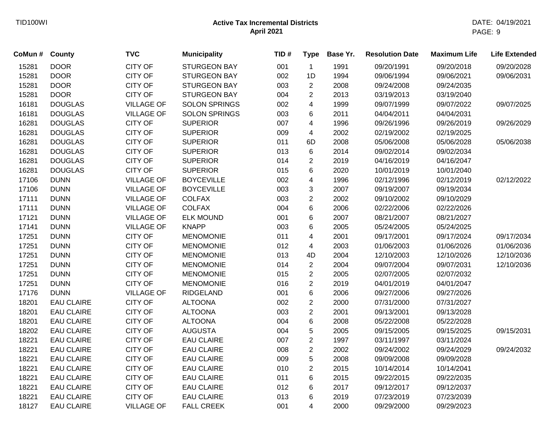| CoMun # | <b>County</b>     | <b>TVC</b>        | <b>Municipality</b>  | TID# | <b>Type</b>             | Base Yr. | <b>Resolution Date</b> | <b>Maximum Life</b> | <b>Life Extended</b> |
|---------|-------------------|-------------------|----------------------|------|-------------------------|----------|------------------------|---------------------|----------------------|
| 15281   | <b>DOOR</b>       | <b>CITY OF</b>    | <b>STURGEON BAY</b>  | 001  | $\mathbf{1}$            | 1991     | 09/20/1991             | 09/20/2018          | 09/20/2028           |
| 15281   | <b>DOOR</b>       | <b>CITY OF</b>    | <b>STURGEON BAY</b>  | 002  | 1D                      | 1994     | 09/06/1994             | 09/06/2021          | 09/06/2031           |
| 15281   | <b>DOOR</b>       | <b>CITY OF</b>    | <b>STURGEON BAY</b>  | 003  | $\overline{2}$          | 2008     | 09/24/2008             | 09/24/2035          |                      |
| 15281   | <b>DOOR</b>       | <b>CITY OF</b>    | <b>STURGEON BAY</b>  | 004  | $\overline{2}$          | 2013     | 03/19/2013             | 03/19/2040          |                      |
| 16181   | <b>DOUGLAS</b>    | <b>VILLAGE OF</b> | <b>SOLON SPRINGS</b> | 002  | 4                       | 1999     | 09/07/1999             | 09/07/2022          | 09/07/2025           |
| 16181   | <b>DOUGLAS</b>    | <b>VILLAGE OF</b> | <b>SOLON SPRINGS</b> | 003  | 6                       | 2011     | 04/04/2011             | 04/04/2031          |                      |
| 16281   | <b>DOUGLAS</b>    | <b>CITY OF</b>    | <b>SUPERIOR</b>      | 007  | $\overline{4}$          | 1996     | 09/26/1996             | 09/26/2019          | 09/26/2029           |
| 16281   | <b>DOUGLAS</b>    | <b>CITY OF</b>    | <b>SUPERIOR</b>      | 009  | $\overline{\mathbf{4}}$ | 2002     | 02/19/2002             | 02/19/2025          |                      |
| 16281   | <b>DOUGLAS</b>    | <b>CITY OF</b>    | <b>SUPERIOR</b>      | 011  | 6D                      | 2008     | 05/06/2008             | 05/06/2028          | 05/06/2038           |
| 16281   | <b>DOUGLAS</b>    | <b>CITY OF</b>    | <b>SUPERIOR</b>      | 013  | 6                       | 2014     | 09/02/2014             | 09/02/2034          |                      |
| 16281   | <b>DOUGLAS</b>    | <b>CITY OF</b>    | <b>SUPERIOR</b>      | 014  | $\overline{2}$          | 2019     | 04/16/2019             | 04/16/2047          |                      |
| 16281   | <b>DOUGLAS</b>    | <b>CITY OF</b>    | <b>SUPERIOR</b>      | 015  | 6                       | 2020     | 10/01/2019             | 10/01/2040          |                      |
| 17106   | <b>DUNN</b>       | <b>VILLAGE OF</b> | <b>BOYCEVILLE</b>    | 002  | 4                       | 1996     | 02/12/1996             | 02/12/2019          | 02/12/2022           |
| 17106   | <b>DUNN</b>       | <b>VILLAGE OF</b> | <b>BOYCEVILLE</b>    | 003  | 3                       | 2007     | 09/19/2007             | 09/19/2034          |                      |
| 17111   | <b>DUNN</b>       | <b>VILLAGE OF</b> | <b>COLFAX</b>        | 003  | $\overline{2}$          | 2002     | 09/10/2002             | 09/10/2029          |                      |
| 17111   | <b>DUNN</b>       | <b>VILLAGE OF</b> | <b>COLFAX</b>        | 004  | 6                       | 2006     | 02/22/2006             | 02/22/2026          |                      |
| 17121   | <b>DUNN</b>       | <b>VILLAGE OF</b> | <b>ELK MOUND</b>     | 001  | 6                       | 2007     | 08/21/2007             | 08/21/2027          |                      |
| 17141   | <b>DUNN</b>       | <b>VILLAGE OF</b> | <b>KNAPP</b>         | 003  | 6                       | 2005     | 05/24/2005             | 05/24/2025          |                      |
| 17251   | <b>DUNN</b>       | <b>CITY OF</b>    | <b>MENOMONIE</b>     | 011  | 4                       | 2001     | 09/17/2001             | 09/17/2024          | 09/17/2034           |
| 17251   | <b>DUNN</b>       | <b>CITY OF</b>    | <b>MENOMONIE</b>     | 012  | 4                       | 2003     | 01/06/2003             | 01/06/2026          | 01/06/2036           |
| 17251   | <b>DUNN</b>       | <b>CITY OF</b>    | <b>MENOMONIE</b>     | 013  | 4D                      | 2004     | 12/10/2003             | 12/10/2026          | 12/10/2036           |
| 17251   | <b>DUNN</b>       | <b>CITY OF</b>    | <b>MENOMONIE</b>     | 014  | $\overline{2}$          | 2004     | 09/07/2004             | 09/07/2031          | 12/10/2036           |
| 17251   | <b>DUNN</b>       | <b>CITY OF</b>    | <b>MENOMONIE</b>     | 015  | $\overline{c}$          | 2005     | 02/07/2005             | 02/07/2032          |                      |
| 17251   | <b>DUNN</b>       | <b>CITY OF</b>    | <b>MENOMONIE</b>     | 016  | $\overline{2}$          | 2019     | 04/01/2019             | 04/01/2047          |                      |
| 17176   | <b>DUNN</b>       | <b>VILLAGE OF</b> | <b>RIDGELAND</b>     | 001  | 6                       | 2006     | 09/27/2006             | 09/27/2026          |                      |
| 18201   | <b>EAU CLAIRE</b> | <b>CITY OF</b>    | <b>ALTOONA</b>       | 002  | $\overline{c}$          | 2000     | 07/31/2000             | 07/31/2027          |                      |
| 18201   | <b>EAU CLAIRE</b> | <b>CITY OF</b>    | <b>ALTOONA</b>       | 003  | $\overline{2}$          | 2001     | 09/13/2001             | 09/13/2028          |                      |
| 18201   | <b>EAU CLAIRE</b> | <b>CITY OF</b>    | <b>ALTOONA</b>       | 004  | 6                       | 2008     | 05/22/2008             | 05/22/2028          |                      |
| 18202   | <b>EAU CLAIRE</b> | <b>CITY OF</b>    | <b>AUGUSTA</b>       | 004  | 5                       | 2005     | 09/15/2005             | 09/15/2025          | 09/15/2031           |
| 18221   | <b>EAU CLAIRE</b> | <b>CITY OF</b>    | <b>EAU CLAIRE</b>    | 007  | $\overline{2}$          | 1997     | 03/11/1997             | 03/11/2024          |                      |
| 18221   | <b>EAU CLAIRE</b> | <b>CITY OF</b>    | <b>EAU CLAIRE</b>    | 008  | $\overline{c}$          | 2002     | 09/24/2002             | 09/24/2029          | 09/24/2032           |
| 18221   | <b>EAU CLAIRE</b> | <b>CITY OF</b>    | <b>EAU CLAIRE</b>    | 009  | 5                       | 2008     | 09/09/2008             | 09/09/2028          |                      |
| 18221   | <b>EAU CLAIRE</b> | <b>CITY OF</b>    | <b>EAU CLAIRE</b>    | 010  | $\overline{2}$          | 2015     | 10/14/2014             | 10/14/2041          |                      |
| 18221   | <b>EAU CLAIRE</b> | <b>CITY OF</b>    | <b>EAU CLAIRE</b>    | 011  | 6                       | 2015     | 09/22/2015             | 09/22/2035          |                      |
| 18221   | <b>EAU CLAIRE</b> | <b>CITY OF</b>    | <b>EAU CLAIRE</b>    | 012  | 6                       | 2017     | 09/12/2017             | 09/12/2037          |                      |
| 18221   | <b>EAU CLAIRE</b> | <b>CITY OF</b>    | <b>EAU CLAIRE</b>    | 013  | 6                       | 2019     | 07/23/2019             | 07/23/2039          |                      |
| 18127   | <b>EAU CLAIRE</b> | <b>VILLAGE OF</b> | <b>FALL CREEK</b>    | 001  | 4                       | 2000     | 09/29/2000             | 09/29/2023          |                      |
|         |                   |                   |                      |      |                         |          |                        |                     |                      |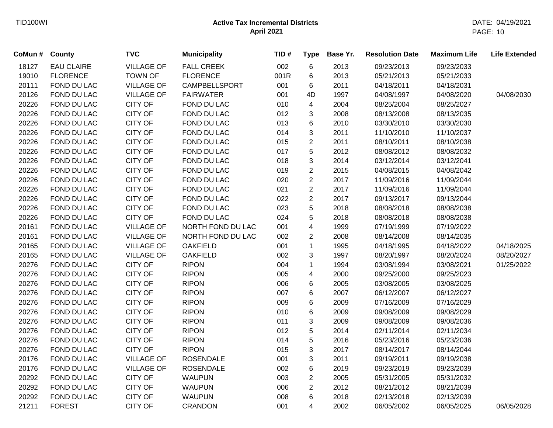| CoMun # | County            | <b>TVC</b>        | <b>Municipality</b>  | TID# | <b>Type</b>    | Base Yr. | <b>Resolution Date</b> | <b>Maximum Life</b> | <b>Life Extended</b> |
|---------|-------------------|-------------------|----------------------|------|----------------|----------|------------------------|---------------------|----------------------|
| 18127   | <b>EAU CLAIRE</b> | <b>VILLAGE OF</b> | <b>FALL CREEK</b>    | 002  | 6              | 2013     | 09/23/2013             | 09/23/2033          |                      |
| 19010   | <b>FLORENCE</b>   | <b>TOWN OF</b>    | <b>FLORENCE</b>      | 001R | 6              | 2013     | 05/21/2013             | 05/21/2033          |                      |
| 20111   | FOND DU LAC       | <b>VILLAGE OF</b> | <b>CAMPBELLSPORT</b> | 001  | 6              | 2011     | 04/18/2011             | 04/18/2031          |                      |
| 20126   | FOND DU LAC       | <b>VILLAGE OF</b> | <b>FAIRWATER</b>     | 001  | 4D             | 1997     | 04/08/1997             | 04/08/2020          | 04/08/2030           |
| 20226   | FOND DU LAC       | <b>CITY OF</b>    | FOND DU LAC          | 010  | 4              | 2004     | 08/25/2004             | 08/25/2027          |                      |
| 20226   | FOND DU LAC       | <b>CITY OF</b>    | FOND DU LAC          | 012  | 3              | 2008     | 08/13/2008             | 08/13/2035          |                      |
| 20226   | FOND DU LAC       | <b>CITY OF</b>    | FOND DU LAC          | 013  | 6              | 2010     | 03/30/2010             | 03/30/2030          |                      |
| 20226   | FOND DU LAC       | <b>CITY OF</b>    | FOND DU LAC          | 014  | 3              | 2011     | 11/10/2010             | 11/10/2037          |                      |
| 20226   | FOND DU LAC       | <b>CITY OF</b>    | FOND DU LAC          | 015  | $\overline{2}$ | 2011     | 08/10/2011             | 08/10/2038          |                      |
| 20226   | FOND DU LAC       | <b>CITY OF</b>    | FOND DU LAC          | 017  | 5              | 2012     | 08/08/2012             | 08/08/2032          |                      |
| 20226   | FOND DU LAC       | <b>CITY OF</b>    | FOND DU LAC          | 018  | 3              | 2014     | 03/12/2014             | 03/12/2041          |                      |
| 20226   | FOND DU LAC       | <b>CITY OF</b>    | FOND DU LAC          | 019  | $\overline{2}$ | 2015     | 04/08/2015             | 04/08/2042          |                      |
| 20226   | FOND DU LAC       | <b>CITY OF</b>    | FOND DU LAC          | 020  | $\overline{c}$ | 2017     | 11/09/2016             | 11/09/2044          |                      |
| 20226   | FOND DU LAC       | <b>CITY OF</b>    | FOND DU LAC          | 021  | $\overline{2}$ | 2017     | 11/09/2016             | 11/09/2044          |                      |
| 20226   | FOND DU LAC       | <b>CITY OF</b>    | FOND DU LAC          | 022  | $\overline{2}$ | 2017     | 09/13/2017             | 09/13/2044          |                      |
| 20226   | FOND DU LAC       | <b>CITY OF</b>    | FOND DU LAC          | 023  | 5              | 2018     | 08/08/2018             | 08/08/2038          |                      |
| 20226   | FOND DU LAC       | <b>CITY OF</b>    | FOND DU LAC          | 024  | 5              | 2018     | 08/08/2018             | 08/08/2038          |                      |
| 20161   | FOND DU LAC       | <b>VILLAGE OF</b> | NORTH FOND DU LAC    | 001  | 4              | 1999     | 07/19/1999             | 07/19/2022          |                      |
| 20161   | FOND DU LAC       | <b>VILLAGE OF</b> | NORTH FOND DU LAC    | 002  | $\overline{2}$ | 2008     | 08/14/2008             | 08/14/2035          |                      |
| 20165   | FOND DU LAC       | <b>VILLAGE OF</b> | <b>OAKFIELD</b>      | 001  | $\mathbf{1}$   | 1995     | 04/18/1995             | 04/18/2022          | 04/18/2025           |
| 20165   | FOND DU LAC       | <b>VILLAGE OF</b> | <b>OAKFIELD</b>      | 002  | 3              | 1997     | 08/20/1997             | 08/20/2024          | 08/20/2027           |
| 20276   | FOND DU LAC       | <b>CITY OF</b>    | <b>RIPON</b>         | 004  | 1              | 1994     | 03/08/1994             | 03/08/2021          | 01/25/2022           |
| 20276   | FOND DU LAC       | <b>CITY OF</b>    | <b>RIPON</b>         | 005  | 4              | 2000     | 09/25/2000             | 09/25/2023          |                      |
| 20276   | FOND DU LAC       | <b>CITY OF</b>    | <b>RIPON</b>         | 006  | 6              | 2005     | 03/08/2005             | 03/08/2025          |                      |
| 20276   | FOND DU LAC       | <b>CITY OF</b>    | <b>RIPON</b>         | 007  | 6              | 2007     | 06/12/2007             | 06/12/2027          |                      |
| 20276   | FOND DU LAC       | <b>CITY OF</b>    | <b>RIPON</b>         | 009  | 6              | 2009     | 07/16/2009             | 07/16/2029          |                      |
| 20276   | FOND DU LAC       | <b>CITY OF</b>    | <b>RIPON</b>         | 010  | 6              | 2009     | 09/08/2009             | 09/08/2029          |                      |
| 20276   | FOND DU LAC       | <b>CITY OF</b>    | <b>RIPON</b>         | 011  | 3              | 2009     | 09/08/2009             | 09/08/2036          |                      |
| 20276   | FOND DU LAC       | <b>CITY OF</b>    | <b>RIPON</b>         | 012  | 5              | 2014     | 02/11/2014             | 02/11/2034          |                      |
| 20276   | FOND DU LAC       | <b>CITY OF</b>    | <b>RIPON</b>         | 014  | 5              | 2016     | 05/23/2016             | 05/23/2036          |                      |
| 20276   | FOND DU LAC       | <b>CITY OF</b>    | <b>RIPON</b>         | 015  | 3              | 2017     | 08/14/2017             | 08/14/2044          |                      |
| 20176   | FOND DU LAC       | <b>VILLAGE OF</b> | <b>ROSENDALE</b>     | 001  | 3              | 2011     | 09/19/2011             | 09/19/2038          |                      |
| 20176   | FOND DU LAC       | <b>VILLAGE OF</b> | <b>ROSENDALE</b>     | 002  | 6              | 2019     | 09/23/2019             | 09/23/2039          |                      |
| 20292   | FOND DU LAC       | <b>CITY OF</b>    | <b>WAUPUN</b>        | 003  | $\overline{c}$ | 2005     | 05/31/2005             | 05/31/2032          |                      |
| 20292   | FOND DU LAC       | <b>CITY OF</b>    | <b>WAUPUN</b>        | 006  | $\overline{c}$ | 2012     | 08/21/2012             | 08/21/2039          |                      |
| 20292   | FOND DU LAC       | <b>CITY OF</b>    | <b>WAUPUN</b>        | 008  | 6              | 2018     | 02/13/2018             | 02/13/2039          |                      |
| 21211   | <b>FOREST</b>     | <b>CITY OF</b>    | <b>CRANDON</b>       | 001  | 4              | 2002     | 06/05/2002             | 06/05/2025          | 06/05/2028           |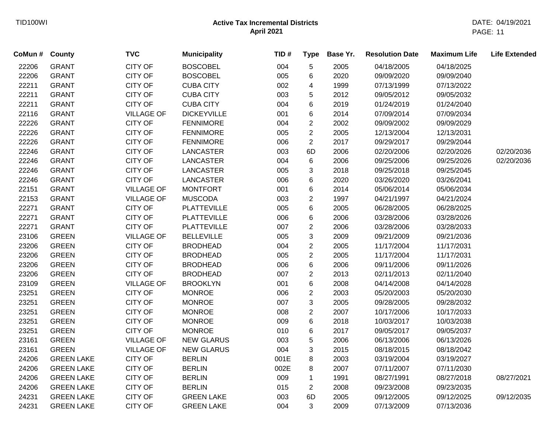| CoMun # | County            | <b>TVC</b>        | <b>Municipality</b> | TID# | <b>Type</b>    | Base Yr. | <b>Resolution Date</b> | <b>Maximum Life</b> | <b>Life Extended</b> |
|---------|-------------------|-------------------|---------------------|------|----------------|----------|------------------------|---------------------|----------------------|
| 22206   | <b>GRANT</b>      | CITY OF           | <b>BOSCOBEL</b>     | 004  | 5              | 2005     | 04/18/2005             | 04/18/2025          |                      |
| 22206   | <b>GRANT</b>      | <b>CITY OF</b>    | <b>BOSCOBEL</b>     | 005  | 6              | 2020     | 09/09/2020             | 09/09/2040          |                      |
| 22211   | <b>GRANT</b>      | <b>CITY OF</b>    | <b>CUBA CITY</b>    | 002  | 4              | 1999     | 07/13/1999             | 07/13/2022          |                      |
| 22211   | <b>GRANT</b>      | CITY OF           | <b>CUBA CITY</b>    | 003  | 5              | 2012     | 09/05/2012             | 09/05/2032          |                      |
| 22211   | <b>GRANT</b>      | <b>CITY OF</b>    | <b>CUBA CITY</b>    | 004  | 6              | 2019     | 01/24/2019             | 01/24/2040          |                      |
| 22116   | <b>GRANT</b>      | <b>VILLAGE OF</b> | <b>DICKEYVILLE</b>  | 001  | 6              | 2014     | 07/09/2014             | 07/09/2034          |                      |
| 22226   | <b>GRANT</b>      | CITY OF           | <b>FENNIMORE</b>    | 004  | $\overline{2}$ | 2002     | 09/09/2002             | 09/09/2029          |                      |
| 22226   | <b>GRANT</b>      | <b>CITY OF</b>    | <b>FENNIMORE</b>    | 005  | $\overline{2}$ | 2005     | 12/13/2004             | 12/13/2031          |                      |
| 22226   | <b>GRANT</b>      | <b>CITY OF</b>    | <b>FENNIMORE</b>    | 006  | $\overline{2}$ | 2017     | 09/29/2017             | 09/29/2044          |                      |
| 22246   | <b>GRANT</b>      | <b>CITY OF</b>    | <b>LANCASTER</b>    | 003  | 6D             | 2006     | 02/20/2006             | 02/20/2026          | 02/20/2036           |
| 22246   | <b>GRANT</b>      | <b>CITY OF</b>    | <b>LANCASTER</b>    | 004  | $\,6$          | 2006     | 09/25/2006             | 09/25/2026          | 02/20/2036           |
| 22246   | <b>GRANT</b>      | <b>CITY OF</b>    | <b>LANCASTER</b>    | 005  | 3              | 2018     | 09/25/2018             | 09/25/2045          |                      |
| 22246   | <b>GRANT</b>      | <b>CITY OF</b>    | <b>LANCASTER</b>    | 006  | $6\phantom{1}$ | 2020     | 03/26/2020             | 03/26/2041          |                      |
| 22151   | <b>GRANT</b>      | <b>VILLAGE OF</b> | <b>MONTFORT</b>     | 001  | 6              | 2014     | 05/06/2014             | 05/06/2034          |                      |
| 22153   | <b>GRANT</b>      | <b>VILLAGE OF</b> | <b>MUSCODA</b>      | 003  | $\overline{2}$ | 1997     | 04/21/1997             | 04/21/2024          |                      |
| 22271   | <b>GRANT</b>      | CITY OF           | <b>PLATTEVILLE</b>  | 005  | 6              | 2005     | 06/28/2005             | 06/28/2025          |                      |
| 22271   | <b>GRANT</b>      | <b>CITY OF</b>    | <b>PLATTEVILLE</b>  | 006  | 6              | 2006     | 03/28/2006             | 03/28/2026          |                      |
| 22271   | <b>GRANT</b>      | <b>CITY OF</b>    | <b>PLATTEVILLE</b>  | 007  | $\overline{2}$ | 2006     | 03/28/2006             | 03/28/2033          |                      |
| 23106   | <b>GREEN</b>      | <b>VILLAGE OF</b> | <b>BELLEVILLE</b>   | 005  | 3              | 2009     | 09/21/2009             | 09/21/2036          |                      |
| 23206   | <b>GREEN</b>      | CITY OF           | <b>BRODHEAD</b>     | 004  | $\overline{2}$ | 2005     | 11/17/2004             | 11/17/2031          |                      |
| 23206   | <b>GREEN</b>      | <b>CITY OF</b>    | <b>BRODHEAD</b>     | 005  | $\sqrt{2}$     | 2005     | 11/17/2004             | 11/17/2031          |                      |
| 23206   | <b>GREEN</b>      | <b>CITY OF</b>    | <b>BRODHEAD</b>     | 006  | 6              | 2006     | 09/11/2006             | 09/11/2026          |                      |
| 23206   | <b>GREEN</b>      | <b>CITY OF</b>    | <b>BRODHEAD</b>     | 007  | $\overline{2}$ | 2013     | 02/11/2013             | 02/11/2040          |                      |
| 23109   | <b>GREEN</b>      | <b>VILLAGE OF</b> | <b>BROOKLYN</b>     | 001  | 6              | 2008     | 04/14/2008             | 04/14/2028          |                      |
| 23251   | <b>GREEN</b>      | <b>CITY OF</b>    | <b>MONROE</b>       | 006  | $\sqrt{2}$     | 2003     | 05/20/2003             | 05/20/2030          |                      |
| 23251   | <b>GREEN</b>      | <b>CITY OF</b>    | <b>MONROE</b>       | 007  | 3              | 2005     | 09/28/2005             | 09/28/2032          |                      |
| 23251   | <b>GREEN</b>      | <b>CITY OF</b>    | <b>MONROE</b>       | 008  | $\sqrt{2}$     | 2007     | 10/17/2006             | 10/17/2033          |                      |
| 23251   | <b>GREEN</b>      | <b>CITY OF</b>    | <b>MONROE</b>       | 009  | $\,6$          | 2018     | 10/03/2017             | 10/03/2038          |                      |
| 23251   | <b>GREEN</b>      | <b>CITY OF</b>    | <b>MONROE</b>       | 010  | 6              | 2017     | 09/05/2017             | 09/05/2037          |                      |
| 23161   | <b>GREEN</b>      | <b>VILLAGE OF</b> | <b>NEW GLARUS</b>   | 003  | 5              | 2006     | 06/13/2006             | 06/13/2026          |                      |
| 23161   | <b>GREEN</b>      | <b>VILLAGE OF</b> | <b>NEW GLARUS</b>   | 004  | 3              | 2015     | 08/18/2015             | 08/18/2042          |                      |
| 24206   | <b>GREEN LAKE</b> | <b>CITY OF</b>    | <b>BERLIN</b>       | 001E | 8              | 2003     | 03/19/2004             | 03/19/2027          |                      |
| 24206   | <b>GREEN LAKE</b> | <b>CITY OF</b>    | <b>BERLIN</b>       | 002E | 8              | 2007     | 07/11/2007             | 07/11/2030          |                      |
| 24206   | <b>GREEN LAKE</b> | <b>CITY OF</b>    | <b>BERLIN</b>       | 009  | $\mathbf{1}$   | 1991     | 08/27/1991             | 08/27/2018          | 08/27/2021           |
| 24206   | <b>GREEN LAKE</b> | <b>CITY OF</b>    | <b>BERLIN</b>       | 015  | $\overline{2}$ | 2008     | 09/23/2008             | 09/23/2035          |                      |
| 24231   | <b>GREEN LAKE</b> | CITY OF           | <b>GREEN LAKE</b>   | 003  | 6D             | 2005     | 09/12/2005             | 09/12/2025          | 09/12/2035           |
| 24231   | <b>GREEN LAKE</b> | <b>CITY OF</b>    | <b>GREEN LAKE</b>   | 004  | 3              | 2009     | 07/13/2009             | 07/13/2036          |                      |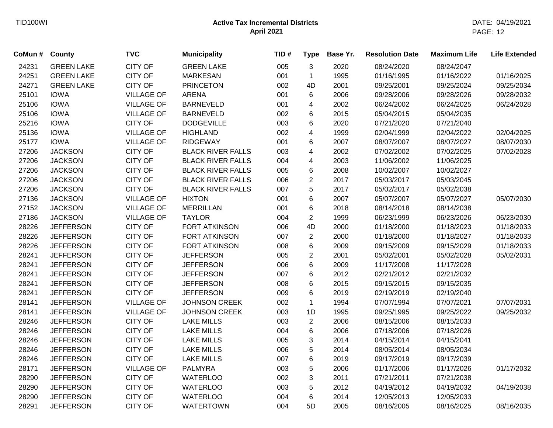| CoMun # | County            | <b>TVC</b>        | <b>Municipality</b>      | TID# | <b>Type</b>    | Base Yr. | <b>Resolution Date</b> | <b>Maximum Life</b> | <b>Life Extended</b> |
|---------|-------------------|-------------------|--------------------------|------|----------------|----------|------------------------|---------------------|----------------------|
| 24231   | <b>GREEN LAKE</b> | <b>CITY OF</b>    | <b>GREEN LAKE</b>        | 005  | 3              | 2020     | 08/24/2020             | 08/24/2047          |                      |
| 24251   | <b>GREEN LAKE</b> | <b>CITY OF</b>    | <b>MARKESAN</b>          | 001  | $\mathbf{1}$   | 1995     | 01/16/1995             | 01/16/2022          | 01/16/2025           |
| 24271   | <b>GREEN LAKE</b> | <b>CITY OF</b>    | <b>PRINCETON</b>         | 002  | 4D             | 2001     | 09/25/2001             | 09/25/2024          | 09/25/2034           |
| 25101   | <b>IOWA</b>       | <b>VILLAGE OF</b> | <b>ARENA</b>             | 001  | 6              | 2006     | 09/28/2006             | 09/28/2026          | 09/28/2032           |
| 25106   | <b>IOWA</b>       | <b>VILLAGE OF</b> | <b>BARNEVELD</b>         | 001  | 4              | 2002     | 06/24/2002             | 06/24/2025          | 06/24/2028           |
| 25106   | <b>IOWA</b>       | <b>VILLAGE OF</b> | <b>BARNEVELD</b>         | 002  | 6              | 2015     | 05/04/2015             | 05/04/2035          |                      |
| 25216   | <b>IOWA</b>       | <b>CITY OF</b>    | <b>DODGEVILLE</b>        | 003  | 6              | 2020     | 07/21/2020             | 07/21/2040          |                      |
| 25136   | <b>IOWA</b>       | <b>VILLAGE OF</b> | <b>HIGHLAND</b>          | 002  | 4              | 1999     | 02/04/1999             | 02/04/2022          | 02/04/2025           |
| 25177   | <b>IOWA</b>       | <b>VILLAGE OF</b> | <b>RIDGEWAY</b>          | 001  | 6              | 2007     | 08/07/2007             | 08/07/2027          | 08/07/2030           |
| 27206   | <b>JACKSON</b>    | <b>CITY OF</b>    | <b>BLACK RIVER FALLS</b> | 003  | 4              | 2002     | 07/02/2002             | 07/02/2025          | 07/02/2028           |
| 27206   | <b>JACKSON</b>    | <b>CITY OF</b>    | <b>BLACK RIVER FALLS</b> | 004  | 4              | 2003     | 11/06/2002             | 11/06/2025          |                      |
| 27206   | <b>JACKSON</b>    | <b>CITY OF</b>    | <b>BLACK RIVER FALLS</b> | 005  | 6              | 2008     | 10/02/2007             | 10/02/2027          |                      |
| 27206   | <b>JACKSON</b>    | <b>CITY OF</b>    | <b>BLACK RIVER FALLS</b> | 006  | $\overline{2}$ | 2017     | 05/03/2017             | 05/03/2045          |                      |
| 27206   | <b>JACKSON</b>    | <b>CITY OF</b>    | <b>BLACK RIVER FALLS</b> | 007  | 5              | 2017     | 05/02/2017             | 05/02/2038          |                      |
| 27136   | <b>JACKSON</b>    | <b>VILLAGE OF</b> | <b>HIXTON</b>            | 001  | 6              | 2007     | 05/07/2007             | 05/07/2027          | 05/07/2030           |
| 27152   | <b>JACKSON</b>    | <b>VILLAGE OF</b> | <b>MERRILLAN</b>         | 001  | 6              | 2018     | 08/14/2018             | 08/14/2038          |                      |
| 27186   | <b>JACKSON</b>    | <b>VILLAGE OF</b> | <b>TAYLOR</b>            | 004  | $\overline{2}$ | 1999     | 06/23/1999             | 06/23/2026          | 06/23/2030           |
| 28226   | <b>JEFFERSON</b>  | <b>CITY OF</b>    | <b>FORT ATKINSON</b>     | 006  | 4D             | 2000     | 01/18/2000             | 01/18/2023          | 01/18/2033           |
| 28226   | <b>JEFFERSON</b>  | <b>CITY OF</b>    | FORT ATKINSON            | 007  | $\overline{2}$ | 2000     | 01/18/2000             | 01/18/2027          | 01/18/2033           |
| 28226   | <b>JEFFERSON</b>  | <b>CITY OF</b>    | <b>FORT ATKINSON</b>     | 008  | 6              | 2009     | 09/15/2009             | 09/15/2029          | 01/18/2033           |
| 28241   | <b>JEFFERSON</b>  | <b>CITY OF</b>    | <b>JEFFERSON</b>         | 005  | $\overline{2}$ | 2001     | 05/02/2001             | 05/02/2028          | 05/02/2031           |
| 28241   | <b>JEFFERSON</b>  | <b>CITY OF</b>    | <b>JEFFERSON</b>         | 006  | 6              | 2009     | 11/17/2008             | 11/17/2028          |                      |
| 28241   | <b>JEFFERSON</b>  | <b>CITY OF</b>    | <b>JEFFERSON</b>         | 007  | 6              | 2012     | 02/21/2012             | 02/21/2032          |                      |
| 28241   | <b>JEFFERSON</b>  | <b>CITY OF</b>    | <b>JEFFERSON</b>         | 008  | 6              | 2015     | 09/15/2015             | 09/15/2035          |                      |
| 28241   | <b>JEFFERSON</b>  | <b>CITY OF</b>    | <b>JEFFERSON</b>         | 009  | 6              | 2019     | 02/19/2019             | 02/19/2040          |                      |
| 28141   | <b>JEFFERSON</b>  | <b>VILLAGE OF</b> | <b>JOHNSON CREEK</b>     | 002  | $\mathbf{1}$   | 1994     | 07/07/1994             | 07/07/2021          | 07/07/2031           |
| 28141   | <b>JEFFERSON</b>  | <b>VILLAGE OF</b> | <b>JOHNSON CREEK</b>     | 003  | 1D             | 1995     | 09/25/1995             | 09/25/2022          | 09/25/2032           |
| 28246   | <b>JEFFERSON</b>  | <b>CITY OF</b>    | <b>LAKE MILLS</b>        | 003  | $\mathbf{2}$   | 2006     | 08/15/2006             | 08/15/2033          |                      |
| 28246   | <b>JEFFERSON</b>  | <b>CITY OF</b>    | <b>LAKE MILLS</b>        | 004  | 6              | 2006     | 07/18/2006             | 07/18/2026          |                      |
| 28246   | <b>JEFFERSON</b>  | <b>CITY OF</b>    | <b>LAKE MILLS</b>        | 005  | $\sqrt{3}$     | 2014     | 04/15/2014             | 04/15/2041          |                      |
| 28246   | <b>JEFFERSON</b>  | <b>CITY OF</b>    | <b>LAKE MILLS</b>        | 006  | $\sqrt{5}$     | 2014     | 08/05/2014             | 08/05/2034          |                      |
| 28246   | <b>JEFFERSON</b>  | <b>CITY OF</b>    | <b>LAKE MILLS</b>        | 007  | 6              | 2019     | 09/17/2019             | 09/17/2039          |                      |
| 28171   | <b>JEFFERSON</b>  | <b>VILLAGE OF</b> | <b>PALMYRA</b>           | 003  | 5              | 2006     | 01/17/2006             | 01/17/2026          | 01/17/2032           |
| 28290   | <b>JEFFERSON</b>  | <b>CITY OF</b>    | <b>WATERLOO</b>          | 002  | 3              | 2011     | 07/21/2011             | 07/21/2038          |                      |
| 28290   | <b>JEFFERSON</b>  | <b>CITY OF</b>    | <b>WATERLOO</b>          | 003  | 5              | 2012     | 04/19/2012             | 04/19/2032          | 04/19/2038           |
| 28290   | <b>JEFFERSON</b>  | <b>CITY OF</b>    | <b>WATERLOO</b>          | 004  | 6              | 2014     | 12/05/2013             | 12/05/2033          |                      |
| 28291   | <b>JEFFERSON</b>  | <b>CITY OF</b>    | <b>WATERTOWN</b>         | 004  | 5D             | 2005     | 08/16/2005             | 08/16/2025          | 08/16/2035           |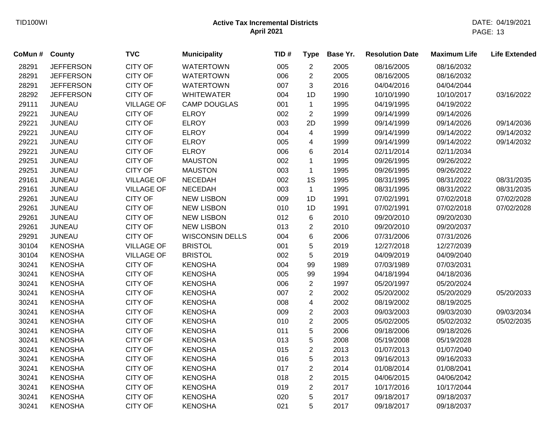| CoMun # County |                  | <b>TVC</b>        | <b>Municipality</b>    | TID# | <b>Type</b>             | Base Yr. | <b>Resolution Date</b> | <b>Maximum Life</b> | <b>Life Extended</b> |
|----------------|------------------|-------------------|------------------------|------|-------------------------|----------|------------------------|---------------------|----------------------|
| 28291          | <b>JEFFERSON</b> | <b>CITY OF</b>    | <b>WATERTOWN</b>       | 005  | $\mathbf{2}$            | 2005     | 08/16/2005             | 08/16/2032          |                      |
| 28291          | <b>JEFFERSON</b> | <b>CITY OF</b>    | <b>WATERTOWN</b>       | 006  | $\overline{c}$          | 2005     | 08/16/2005             | 08/16/2032          |                      |
| 28291          | <b>JEFFERSON</b> | <b>CITY OF</b>    | <b>WATERTOWN</b>       | 007  | 3                       | 2016     | 04/04/2016             | 04/04/2044          |                      |
| 28292          | <b>JEFFERSON</b> | <b>CITY OF</b>    | <b>WHITEWATER</b>      | 004  | 1D                      | 1990     | 10/10/1990             | 10/10/2017          | 03/16/2022           |
| 29111          | <b>JUNEAU</b>    | <b>VILLAGE OF</b> | <b>CAMP DOUGLAS</b>    | 001  | $\mathbf{1}$            | 1995     | 04/19/1995             | 04/19/2022          |                      |
| 29221          | <b>JUNEAU</b>    | <b>CITY OF</b>    | <b>ELROY</b>           | 002  | $\overline{2}$          | 1999     | 09/14/1999             | 09/14/2026          |                      |
| 29221          | <b>JUNEAU</b>    | <b>CITY OF</b>    | <b>ELROY</b>           | 003  | 2D                      | 1999     | 09/14/1999             | 09/14/2026          | 09/14/2036           |
| 29221          | <b>JUNEAU</b>    | <b>CITY OF</b>    | <b>ELROY</b>           | 004  | $\overline{4}$          | 1999     | 09/14/1999             | 09/14/2022          | 09/14/2032           |
| 29221          | <b>JUNEAU</b>    | <b>CITY OF</b>    | <b>ELROY</b>           | 005  | 4                       | 1999     | 09/14/1999             | 09/14/2022          | 09/14/2032           |
| 29221          | <b>JUNEAU</b>    | <b>CITY OF</b>    | <b>ELROY</b>           | 006  | 6                       | 2014     | 02/11/2014             | 02/11/2034          |                      |
| 29251          | <b>JUNEAU</b>    | <b>CITY OF</b>    | <b>MAUSTON</b>         | 002  | $\mathbf 1$             | 1995     | 09/26/1995             | 09/26/2022          |                      |
| 29251          | <b>JUNEAU</b>    | <b>CITY OF</b>    | <b>MAUSTON</b>         | 003  | $\mathbf{1}$            | 1995     | 09/26/1995             | 09/26/2022          |                      |
| 29161          | <b>JUNEAU</b>    | <b>VILLAGE OF</b> | <b>NECEDAH</b>         | 002  | 1S                      | 1995     | 08/31/1995             | 08/31/2022          | 08/31/2035           |
| 29161          | <b>JUNEAU</b>    | <b>VILLAGE OF</b> | <b>NECEDAH</b>         | 003  | $\mathbf{1}$            | 1995     | 08/31/1995             | 08/31/2022          | 08/31/2035           |
| 29261          | <b>JUNEAU</b>    | <b>CITY OF</b>    | <b>NEW LISBON</b>      | 009  | 1D                      | 1991     | 07/02/1991             | 07/02/2018          | 07/02/2028           |
| 29261          | <b>JUNEAU</b>    | <b>CITY OF</b>    | <b>NEW LISBON</b>      | 010  | 1D                      | 1991     | 07/02/1991             | 07/02/2018          | 07/02/2028           |
| 29261          | <b>JUNEAU</b>    | <b>CITY OF</b>    | <b>NEW LISBON</b>      | 012  | 6                       | 2010     | 09/20/2010             | 09/20/2030          |                      |
| 29261          | <b>JUNEAU</b>    | <b>CITY OF</b>    | <b>NEW LISBON</b>      | 013  | $\overline{2}$          | 2010     | 09/20/2010             | 09/20/2037          |                      |
| 29291          | <b>JUNEAU</b>    | <b>CITY OF</b>    | <b>WISCONSIN DELLS</b> | 004  | 6                       | 2006     | 07/31/2006             | 07/31/2026          |                      |
| 30104          | <b>KENOSHA</b>   | <b>VILLAGE OF</b> | <b>BRISTOL</b>         | 001  | 5                       | 2019     | 12/27/2018             | 12/27/2039          |                      |
| 30104          | <b>KENOSHA</b>   | <b>VILLAGE OF</b> | <b>BRISTOL</b>         | 002  | 5                       | 2019     | 04/09/2019             | 04/09/2040          |                      |
| 30241          | <b>KENOSHA</b>   | <b>CITY OF</b>    | <b>KENOSHA</b>         | 004  | 99                      | 1989     | 07/03/1989             | 07/03/2031          |                      |
| 30241          | <b>KENOSHA</b>   | <b>CITY OF</b>    | <b>KENOSHA</b>         | 005  | 99                      | 1994     | 04/18/1994             | 04/18/2036          |                      |
| 30241          | <b>KENOSHA</b>   | <b>CITY OF</b>    | <b>KENOSHA</b>         | 006  | $\mathbf{2}$            | 1997     | 05/20/1997             | 05/20/2024          |                      |
| 30241          | <b>KENOSHA</b>   | <b>CITY OF</b>    | <b>KENOSHA</b>         | 007  | $\overline{2}$          | 2002     | 05/20/2002             | 05/20/2029          | 05/20/2033           |
| 30241          | <b>KENOSHA</b>   | <b>CITY OF</b>    | <b>KENOSHA</b>         | 008  | $\overline{\mathbf{4}}$ | 2002     | 08/19/2002             | 08/19/2025          |                      |
| 30241          | <b>KENOSHA</b>   | <b>CITY OF</b>    | <b>KENOSHA</b>         | 009  | $\overline{2}$          | 2003     | 09/03/2003             | 09/03/2030          | 09/03/2034           |
| 30241          | <b>KENOSHA</b>   | <b>CITY OF</b>    | <b>KENOSHA</b>         | 010  | $\overline{2}$          | 2005     | 05/02/2005             | 05/02/2032          | 05/02/2035           |
| 30241          | <b>KENOSHA</b>   | <b>CITY OF</b>    | <b>KENOSHA</b>         | 011  | $\mathbf 5$             | 2006     | 09/18/2006             | 09/18/2026          |                      |
| 30241          | <b>KENOSHA</b>   | <b>CITY OF</b>    | <b>KENOSHA</b>         | 013  | $\sqrt{5}$              | 2008     | 05/19/2008             | 05/19/2028          |                      |
| 30241          | <b>KENOSHA</b>   | <b>CITY OF</b>    | <b>KENOSHA</b>         | 015  | $\overline{2}$          | 2013     | 01/07/2013             | 01/07/2040          |                      |
| 30241          | <b>KENOSHA</b>   | <b>CITY OF</b>    | <b>KENOSHA</b>         | 016  | $\sqrt{5}$              | 2013     | 09/16/2013             | 09/16/2033          |                      |
| 30241          | <b>KENOSHA</b>   | <b>CITY OF</b>    | <b>KENOSHA</b>         | 017  | $\overline{2}$          | 2014     | 01/08/2014             | 01/08/2041          |                      |
| 30241          | <b>KENOSHA</b>   | <b>CITY OF</b>    | <b>KENOSHA</b>         | 018  | $\overline{2}$          | 2015     | 04/06/2015             | 04/06/2042          |                      |
| 30241          | <b>KENOSHA</b>   | <b>CITY OF</b>    | <b>KENOSHA</b>         | 019  | $\overline{2}$          | 2017     | 10/17/2016             | 10/17/2044          |                      |
| 30241          | <b>KENOSHA</b>   | <b>CITY OF</b>    | <b>KENOSHA</b>         | 020  | 5                       | 2017     | 09/18/2017             | 09/18/2037          |                      |
| 30241          | <b>KENOSHA</b>   | <b>CITY OF</b>    | <b>KENOSHA</b>         | 021  | 5                       | 2017     | 09/18/2017             | 09/18/2037          |                      |
|                |                  |                   |                        |      |                         |          |                        |                     |                      |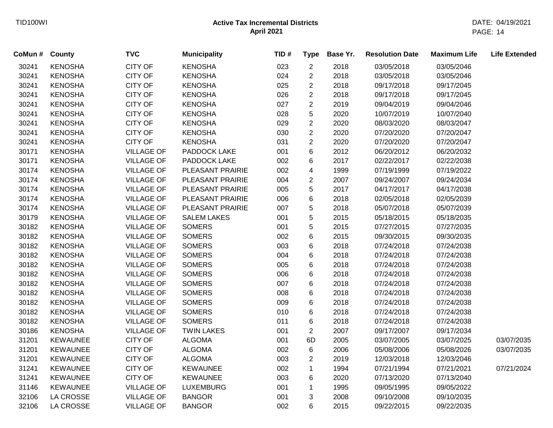| CoMun # County |                 | <b>TVC</b>        | <b>Municipality</b> | TID# | <b>Type</b>    | Base Yr. | <b>Resolution Date</b> | <b>Maximum Life</b> | <b>Life Extended</b> |
|----------------|-----------------|-------------------|---------------------|------|----------------|----------|------------------------|---------------------|----------------------|
| 30241          | <b>KENOSHA</b>  | <b>CITY OF</b>    | <b>KENOSHA</b>      | 023  | $\overline{c}$ | 2018     | 03/05/2018             | 03/05/2046          |                      |
| 30241          | <b>KENOSHA</b>  | <b>CITY OF</b>    | <b>KENOSHA</b>      | 024  | $\overline{2}$ | 2018     | 03/05/2018             | 03/05/2046          |                      |
| 30241          | <b>KENOSHA</b>  | <b>CITY OF</b>    | <b>KENOSHA</b>      | 025  | $\overline{c}$ | 2018     | 09/17/2018             | 09/17/2045          |                      |
| 30241          | <b>KENOSHA</b>  | <b>CITY OF</b>    | <b>KENOSHA</b>      | 026  | $\overline{c}$ | 2018     | 09/17/2018             | 09/17/2045          |                      |
| 30241          | <b>KENOSHA</b>  | <b>CITY OF</b>    | <b>KENOSHA</b>      | 027  | $\overline{2}$ | 2019     | 09/04/2019             | 09/04/2046          |                      |
| 30241          | <b>KENOSHA</b>  | <b>CITY OF</b>    | <b>KENOSHA</b>      | 028  | 5              | 2020     | 10/07/2019             | 10/07/2040          |                      |
| 30241          | <b>KENOSHA</b>  | CITY OF           | <b>KENOSHA</b>      | 029  | $\overline{c}$ | 2020     | 08/03/2020             | 08/03/2047          |                      |
| 30241          | <b>KENOSHA</b>  | CITY OF           | <b>KENOSHA</b>      | 030  | $\overline{2}$ | 2020     | 07/20/2020             | 07/20/2047          |                      |
| 30241          | <b>KENOSHA</b>  | <b>CITY OF</b>    | <b>KENOSHA</b>      | 031  | $\overline{2}$ | 2020     | 07/20/2020             | 07/20/2047          |                      |
| 30171          | <b>KENOSHA</b>  | <b>VILLAGE OF</b> | PADDOCK LAKE        | 001  | 6              | 2012     | 06/20/2012             | 06/20/2032          |                      |
| 30171          | <b>KENOSHA</b>  | <b>VILLAGE OF</b> | PADDOCK LAKE        | 002  | 6              | 2017     | 02/22/2017             | 02/22/2038          |                      |
| 30174          | <b>KENOSHA</b>  | <b>VILLAGE OF</b> | PLEASANT PRAIRIE    | 002  | 4              | 1999     | 07/19/1999             | 07/19/2022          |                      |
| 30174          | <b>KENOSHA</b>  | <b>VILLAGE OF</b> | PLEASANT PRAIRIE    | 004  | $\overline{2}$ | 2007     | 09/24/2007             | 09/24/2034          |                      |
| 30174          | <b>KENOSHA</b>  | <b>VILLAGE OF</b> | PLEASANT PRAIRIE    | 005  | 5              | 2017     | 04/17/2017             | 04/17/2038          |                      |
| 30174          | <b>KENOSHA</b>  | <b>VILLAGE OF</b> | PLEASANT PRAIRIE    | 006  | 6              | 2018     | 02/05/2018             | 02/05/2039          |                      |
| 30174          | <b>KENOSHA</b>  | <b>VILLAGE OF</b> | PLEASANT PRAIRIE    | 007  | 5              | 2018     | 05/07/2018             | 05/07/2039          |                      |
| 30179          | <b>KENOSHA</b>  | <b>VILLAGE OF</b> | <b>SALEM LAKES</b>  | 001  | 5              | 2015     | 05/18/2015             | 05/18/2035          |                      |
| 30182          | <b>KENOSHA</b>  | <b>VILLAGE OF</b> | <b>SOMERS</b>       | 001  | 5              | 2015     | 07/27/2015             | 07/27/2035          |                      |
| 30182          | <b>KENOSHA</b>  | <b>VILLAGE OF</b> | <b>SOMERS</b>       | 002  | 6              | 2015     | 09/30/2015             | 09/30/2035          |                      |
| 30182          | <b>KENOSHA</b>  | <b>VILLAGE OF</b> | <b>SOMERS</b>       | 003  | 6              | 2018     | 07/24/2018             | 07/24/2038          |                      |
| 30182          | <b>KENOSHA</b>  | <b>VILLAGE OF</b> | <b>SOMERS</b>       | 004  | 6              | 2018     | 07/24/2018             | 07/24/2038          |                      |
| 30182          | <b>KENOSHA</b>  | <b>VILLAGE OF</b> | <b>SOMERS</b>       | 005  | 6              | 2018     | 07/24/2018             | 07/24/2038          |                      |
| 30182          | <b>KENOSHA</b>  | <b>VILLAGE OF</b> | <b>SOMERS</b>       | 006  | 6              | 2018     | 07/24/2018             | 07/24/2038          |                      |
| 30182          | <b>KENOSHA</b>  | <b>VILLAGE OF</b> | <b>SOMERS</b>       | 007  | 6              | 2018     | 07/24/2018             | 07/24/2038          |                      |
| 30182          | <b>KENOSHA</b>  | <b>VILLAGE OF</b> | <b>SOMERS</b>       | 008  | 6              | 2018     | 07/24/2018             | 07/24/2038          |                      |
| 30182          | <b>KENOSHA</b>  | <b>VILLAGE OF</b> | <b>SOMERS</b>       | 009  | 6              | 2018     | 07/24/2018             | 07/24/2038          |                      |
| 30182          | <b>KENOSHA</b>  | <b>VILLAGE OF</b> | <b>SOMERS</b>       | 010  | 6              | 2018     | 07/24/2018             | 07/24/2038          |                      |
| 30182          | <b>KENOSHA</b>  | <b>VILLAGE OF</b> | <b>SOMERS</b>       | 011  | 6              | 2018     | 07/24/2018             | 07/24/2038          |                      |
| 30186          | <b>KENOSHA</b>  | <b>VILLAGE OF</b> | <b>TWIN LAKES</b>   | 001  | $\overline{2}$ | 2007     | 09/17/2007             | 09/17/2034          |                      |
| 31201          | <b>KEWAUNEE</b> | CITY OF           | <b>ALGOMA</b>       | 001  | 6D             | 2005     | 03/07/2005             | 03/07/2025          | 03/07/2035           |
| 31201          | <b>KEWAUNEE</b> | CITY OF           | <b>ALGOMA</b>       | 002  | 6              | 2006     | 05/08/2006             | 05/08/2026          | 03/07/2035           |
| 31201          | <b>KEWAUNEE</b> | CITY OF           | <b>ALGOMA</b>       | 003  | $\overline{2}$ | 2019     | 12/03/2018             | 12/03/2046          |                      |
| 31241          | <b>KEWAUNEE</b> | CITY OF           | <b>KEWAUNEE</b>     | 002  | $\mathbf{1}$   | 1994     | 07/21/1994             | 07/21/2021          | 07/21/2024           |
| 31241          | <b>KEWAUNEE</b> | CITY OF           | <b>KEWAUNEE</b>     | 003  | 6              | 2020     | 07/13/2020             | 07/13/2040          |                      |
| 31146          | <b>KEWAUNEE</b> | <b>VILLAGE OF</b> | <b>LUXEMBURG</b>    | 001  | $\mathbf{1}$   | 1995     | 09/05/1995             | 09/05/2022          |                      |
| 32106          | LA CROSSE       | <b>VILLAGE OF</b> | <b>BANGOR</b>       | 001  | 3              | 2008     | 09/10/2008             | 09/10/2035          |                      |
| 32106          | LA CROSSE       | <b>VILLAGE OF</b> | <b>BANGOR</b>       | 002  | 6              | 2015     | 09/22/2015             | 09/22/2035          |                      |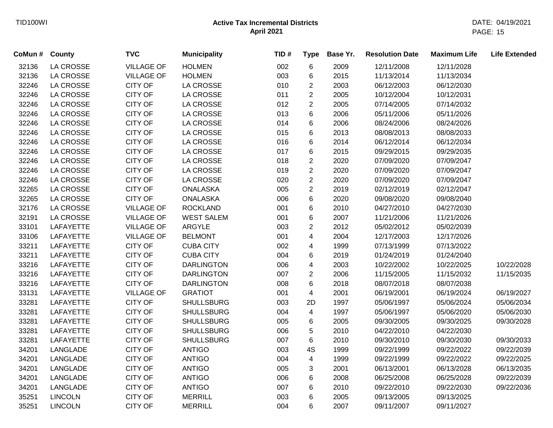| CoMun # | <b>County</b>    | <b>TVC</b>        | <b>Municipality</b> | TID# | <b>Type</b>    | Base Yr. | <b>Resolution Date</b> | <b>Maximum Life</b> | <b>Life Extended</b> |
|---------|------------------|-------------------|---------------------|------|----------------|----------|------------------------|---------------------|----------------------|
| 32136   | LA CROSSE        | <b>VILLAGE OF</b> | <b>HOLMEN</b>       | 002  | 6              | 2009     | 12/11/2008             | 12/11/2028          |                      |
| 32136   | LA CROSSE        | <b>VILLAGE OF</b> | <b>HOLMEN</b>       | 003  | 6              | 2015     | 11/13/2014             | 11/13/2034          |                      |
| 32246   | LA CROSSE        | <b>CITY OF</b>    | <b>LA CROSSE</b>    | 010  | $\overline{2}$ | 2003     | 06/12/2003             | 06/12/2030          |                      |
| 32246   | <b>LA CROSSE</b> | <b>CITY OF</b>    | LA CROSSE           | 011  | $\overline{2}$ | 2005     | 10/12/2004             | 10/12/2031          |                      |
| 32246   | LA CROSSE        | CITY OF           | LA CROSSE           | 012  | $\overline{c}$ | 2005     | 07/14/2005             | 07/14/2032          |                      |
| 32246   | LA CROSSE        | CITY OF           | LA CROSSE           | 013  | 6              | 2006     | 05/11/2006             | 05/11/2026          |                      |
| 32246   | LA CROSSE        | CITY OF           | LA CROSSE           | 014  | 6              | 2006     | 08/24/2006             | 08/24/2026          |                      |
| 32246   | LA CROSSE        | CITY OF           | LA CROSSE           | 015  | 6              | 2013     | 08/08/2013             | 08/08/2033          |                      |
| 32246   | LA CROSSE        | CITY OF           | LA CROSSE           | 016  | 6              | 2014     | 06/12/2014             | 06/12/2034          |                      |
| 32246   | LA CROSSE        | CITY OF           | LA CROSSE           | 017  | 6              | 2015     | 09/29/2015             | 09/29/2035          |                      |
| 32246   | LA CROSSE        | CITY OF           | LA CROSSE           | 018  | $\overline{c}$ | 2020     | 07/09/2020             | 07/09/2047          |                      |
| 32246   | <b>LA CROSSE</b> | <b>CITY OF</b>    | <b>LA CROSSE</b>    | 019  | $\overline{2}$ | 2020     | 07/09/2020             | 07/09/2047          |                      |
| 32246   | LA CROSSE        | CITY OF           | <b>LA CROSSE</b>    | 020  | $\overline{2}$ | 2020     | 07/09/2020             | 07/09/2047          |                      |
| 32265   | LA CROSSE        | <b>CITY OF</b>    | <b>ONALASKA</b>     | 005  | $\overline{c}$ | 2019     | 02/12/2019             | 02/12/2047          |                      |
| 32265   | LA CROSSE        | CITY OF           | <b>ONALASKA</b>     | 006  | 6              | 2020     | 09/08/2020             | 09/08/2040          |                      |
| 32176   | LA CROSSE        | <b>VILLAGE OF</b> | <b>ROCKLAND</b>     | 001  | 6              | 2010     | 04/27/2010             | 04/27/2030          |                      |
| 32191   | LA CROSSE        | <b>VILLAGE OF</b> | <b>WEST SALEM</b>   | 001  | 6              | 2007     | 11/21/2006             | 11/21/2026          |                      |
| 33101   | LAFAYETTE        | <b>VILLAGE OF</b> | ARGYLE              | 003  | $\overline{2}$ | 2012     | 05/02/2012             | 05/02/2039          |                      |
| 33106   | LAFAYETTE        | <b>VILLAGE OF</b> | <b>BELMONT</b>      | 001  | 4              | 2004     | 12/17/2003             | 12/17/2026          |                      |
| 33211   | LAFAYETTE        | <b>CITY OF</b>    | <b>CUBA CITY</b>    | 002  | 4              | 1999     | 07/13/1999             | 07/13/2022          |                      |
| 33211   | LAFAYETTE        | CITY OF           | <b>CUBA CITY</b>    | 004  | 6              | 2019     | 01/24/2019             | 01/24/2040          |                      |
| 33216   | LAFAYETTE        | CITY OF           | <b>DARLINGTON</b>   | 006  | 4              | 2003     | 10/22/2002             | 10/22/2025          | 10/22/2028           |
| 33216   | LAFAYETTE        | CITY OF           | <b>DARLINGTON</b>   | 007  | $\overline{c}$ | 2006     | 11/15/2005             | 11/15/2032          | 11/15/2035           |
| 33216   | LAFAYETTE        | <b>CITY OF</b>    | <b>DARLINGTON</b>   | 008  | 6              | 2018     | 08/07/2018             | 08/07/2038          |                      |
| 33131   | LAFAYETTE        | <b>VILLAGE OF</b> | <b>GRATIOT</b>      | 001  | 4              | 2001     | 06/19/2001             | 06/19/2024          | 06/19/2027           |
| 33281   | LAFAYETTE        | CITY OF           | <b>SHULLSBURG</b>   | 003  | 2D             | 1997     | 05/06/1997             | 05/06/2024          | 05/06/2034           |
| 33281   | LAFAYETTE        | CITY OF           | <b>SHULLSBURG</b>   | 004  | 4              | 1997     | 05/06/1997             | 05/06/2020          | 05/06/2030           |
| 33281   | LAFAYETTE        | <b>CITY OF</b>    | <b>SHULLSBURG</b>   | 005  | 6              | 2005     | 09/30/2005             | 09/30/2025          | 09/30/2028           |
| 33281   | <b>LAFAYETTE</b> | CITY OF           | <b>SHULLSBURG</b>   | 006  | 5              | 2010     | 04/22/2010             | 04/22/2030          |                      |
| 33281   | LAFAYETTE        | <b>CITY OF</b>    | <b>SHULLSBURG</b>   | 007  | 6              | 2010     | 09/30/2010             | 09/30/2030          | 09/30/2033           |
| 34201   | LANGLADE         | CITY OF           | <b>ANTIGO</b>       | 003  | 4S             | 1999     | 09/22/1999             | 09/22/2022          | 09/22/2039           |
| 34201   | LANGLADE         | <b>CITY OF</b>    | <b>ANTIGO</b>       | 004  | $\overline{4}$ | 1999     | 09/22/1999             | 09/22/2022          | 09/22/2025           |
| 34201   | LANGLADE         | <b>CITY OF</b>    | <b>ANTIGO</b>       | 005  | 3              | 2001     | 06/13/2001             | 06/13/2028          | 06/13/2035           |
| 34201   | LANGLADE         | <b>CITY OF</b>    | <b>ANTIGO</b>       | 006  | 6              | 2008     | 06/25/2008             | 06/25/2028          | 09/22/2039           |
| 34201   | LANGLADE         | <b>CITY OF</b>    | <b>ANTIGO</b>       | 007  | 6              | 2010     | 09/22/2010             | 09/22/2030          | 09/22/2036           |
| 35251   | <b>LINCOLN</b>   | <b>CITY OF</b>    | <b>MERRILL</b>      | 003  | 6              | 2005     | 09/13/2005             | 09/13/2025          |                      |
| 35251   | <b>LINCOLN</b>   | <b>CITY OF</b>    | <b>MERRILL</b>      | 004  | 6              | 2007     | 09/11/2007             | 09/11/2027          |                      |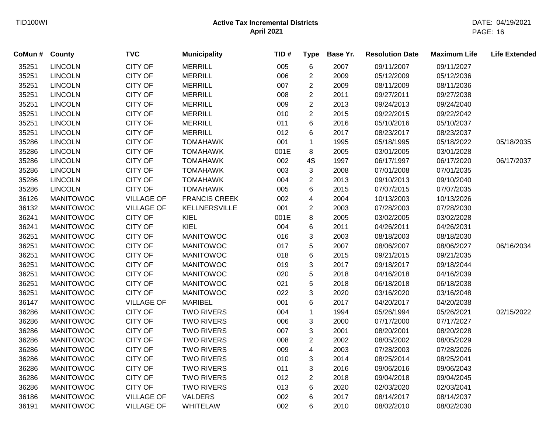| CoMun # | County           | <b>TVC</b>        | <b>Municipality</b>  | TID# | <b>Type</b>             | Base Yr. | <b>Resolution Date</b> | <b>Maximum Life</b> | <b>Life Extended</b> |
|---------|------------------|-------------------|----------------------|------|-------------------------|----------|------------------------|---------------------|----------------------|
| 35251   | <b>LINCOLN</b>   | <b>CITY OF</b>    | <b>MERRILL</b>       | 005  | $\,6$                   | 2007     | 09/11/2007             | 09/11/2027          |                      |
| 35251   | <b>LINCOLN</b>   | <b>CITY OF</b>    | <b>MERRILL</b>       | 006  | $\overline{c}$          | 2009     | 05/12/2009             | 05/12/2036          |                      |
| 35251   | <b>LINCOLN</b>   | <b>CITY OF</b>    | <b>MERRILL</b>       | 007  | $\overline{2}$          | 2009     | 08/11/2009             | 08/11/2036          |                      |
| 35251   | <b>LINCOLN</b>   | <b>CITY OF</b>    | <b>MERRILL</b>       | 008  | $\overline{\mathbf{c}}$ | 2011     | 09/27/2011             | 09/27/2038          |                      |
| 35251   | <b>LINCOLN</b>   | <b>CITY OF</b>    | <b>MERRILL</b>       | 009  | 2                       | 2013     | 09/24/2013             | 09/24/2040          |                      |
| 35251   | <b>LINCOLN</b>   | <b>CITY OF</b>    | <b>MERRILL</b>       | 010  | $\overline{\mathbf{c}}$ | 2015     | 09/22/2015             | 09/22/2042          |                      |
| 35251   | <b>LINCOLN</b>   | <b>CITY OF</b>    | <b>MERRILL</b>       | 011  | 6                       | 2016     | 05/10/2016             | 05/10/2037          |                      |
| 35251   | <b>LINCOLN</b>   | <b>CITY OF</b>    | <b>MERRILL</b>       | 012  | 6                       | 2017     | 08/23/2017             | 08/23/2037          |                      |
| 35286   | <b>LINCOLN</b>   | <b>CITY OF</b>    | <b>TOMAHAWK</b>      | 001  | $\mathbf 1$             | 1995     | 05/18/1995             | 05/18/2022          | 05/18/2035           |
| 35286   | <b>LINCOLN</b>   | <b>CITY OF</b>    | <b>TOMAHAWK</b>      | 001E | 8                       | 2005     | 03/01/2005             | 03/01/2028          |                      |
| 35286   | <b>LINCOLN</b>   | <b>CITY OF</b>    | <b>TOMAHAWK</b>      | 002  | 4S                      | 1997     | 06/17/1997             | 06/17/2020          | 06/17/2037           |
| 35286   | <b>LINCOLN</b>   | <b>CITY OF</b>    | <b>TOMAHAWK</b>      | 003  | 3                       | 2008     | 07/01/2008             | 07/01/2035          |                      |
| 35286   | <b>LINCOLN</b>   | <b>CITY OF</b>    | <b>TOMAHAWK</b>      | 004  | $\overline{c}$          | 2013     | 09/10/2013             | 09/10/2040          |                      |
| 35286   | <b>LINCOLN</b>   | <b>CITY OF</b>    | <b>TOMAHAWK</b>      | 005  | 6                       | 2015     | 07/07/2015             | 07/07/2035          |                      |
| 36126   | <b>MANITOWOC</b> | <b>VILLAGE OF</b> | <b>FRANCIS CREEK</b> | 002  | 4                       | 2004     | 10/13/2003             | 10/13/2026          |                      |
| 36132   | <b>MANITOWOC</b> | <b>VILLAGE OF</b> | KELLNERSVILLE        | 001  | $\overline{2}$          | 2003     | 07/28/2003             | 07/28/2030          |                      |
| 36241   | <b>MANITOWOC</b> | <b>CITY OF</b>    | KIEL                 | 001E | 8                       | 2005     | 03/02/2005             | 03/02/2028          |                      |
| 36241   | <b>MANITOWOC</b> | <b>CITY OF</b>    | <b>KIEL</b>          | 004  | 6                       | 2011     | 04/26/2011             | 04/26/2031          |                      |
| 36251   | <b>MANITOWOC</b> | <b>CITY OF</b>    | <b>MANITOWOC</b>     | 016  | 3                       | 2003     | 08/18/2003             | 08/18/2030          |                      |
| 36251   | <b>MANITOWOC</b> | <b>CITY OF</b>    | <b>MANITOWOC</b>     | 017  | 5                       | 2007     | 08/06/2007             | 08/06/2027          | 06/16/2034           |
| 36251   | <b>MANITOWOC</b> | <b>CITY OF</b>    | <b>MANITOWOC</b>     | 018  | 6                       | 2015     | 09/21/2015             | 09/21/2035          |                      |
| 36251   | <b>MANITOWOC</b> | <b>CITY OF</b>    | <b>MANITOWOC</b>     | 019  | 3                       | 2017     | 09/18/2017             | 09/18/2044          |                      |
| 36251   | <b>MANITOWOC</b> | <b>CITY OF</b>    | <b>MANITOWOC</b>     | 020  | 5                       | 2018     | 04/16/2018             | 04/16/2039          |                      |
| 36251   | <b>MANITOWOC</b> | <b>CITY OF</b>    | <b>MANITOWOC</b>     | 021  | 5                       | 2018     | 06/18/2018             | 06/18/2038          |                      |
| 36251   | <b>MANITOWOC</b> | <b>CITY OF</b>    | <b>MANITOWOC</b>     | 022  | 3                       | 2020     | 03/16/2020             | 03/16/2048          |                      |
| 36147   | <b>MANITOWOC</b> | <b>VILLAGE OF</b> | <b>MARIBEL</b>       | 001  | 6                       | 2017     | 04/20/2017             | 04/20/2038          |                      |
| 36286   | <b>MANITOWOC</b> | <b>CITY OF</b>    | <b>TWO RIVERS</b>    | 004  | 1                       | 1994     | 05/26/1994             | 05/26/2021          | 02/15/2022           |
| 36286   | <b>MANITOWOC</b> | <b>CITY OF</b>    | <b>TWO RIVERS</b>    | 006  | 3                       | 2000     | 07/17/2000             | 07/17/2027          |                      |
| 36286   | <b>MANITOWOC</b> | <b>CITY OF</b>    | <b>TWO RIVERS</b>    | 007  | 3                       | 2001     | 08/20/2001             | 08/20/2028          |                      |
| 36286   | <b>MANITOWOC</b> | <b>CITY OF</b>    | <b>TWO RIVERS</b>    | 008  | $\overline{c}$          | 2002     | 08/05/2002             | 08/05/2029          |                      |
| 36286   | <b>MANITOWOC</b> | <b>CITY OF</b>    | <b>TWO RIVERS</b>    | 009  | 4                       | 2003     | 07/28/2003             | 07/28/2026          |                      |
| 36286   | <b>MANITOWOC</b> | <b>CITY OF</b>    | <b>TWO RIVERS</b>    | 010  | 3                       | 2014     | 08/25/2014             | 08/25/2041          |                      |
| 36286   | <b>MANITOWOC</b> | <b>CITY OF</b>    | <b>TWO RIVERS</b>    | 011  | 3                       | 2016     | 09/06/2016             | 09/06/2043          |                      |
| 36286   | <b>MANITOWOC</b> | <b>CITY OF</b>    | <b>TWO RIVERS</b>    | 012  | $\overline{2}$          | 2018     | 09/04/2018             | 09/04/2045          |                      |
| 36286   | <b>MANITOWOC</b> | <b>CITY OF</b>    | <b>TWO RIVERS</b>    | 013  | 6                       | 2020     | 02/03/2020             | 02/03/2041          |                      |
| 36186   | <b>MANITOWOC</b> | <b>VILLAGE OF</b> | VALDERS              | 002  | 6                       | 2017     | 08/14/2017             | 08/14/2037          |                      |
| 36191   | <b>MANITOWOC</b> | <b>VILLAGE OF</b> | <b>WHITELAW</b>      | 002  | 6                       | 2010     | 08/02/2010             | 08/02/2030          |                      |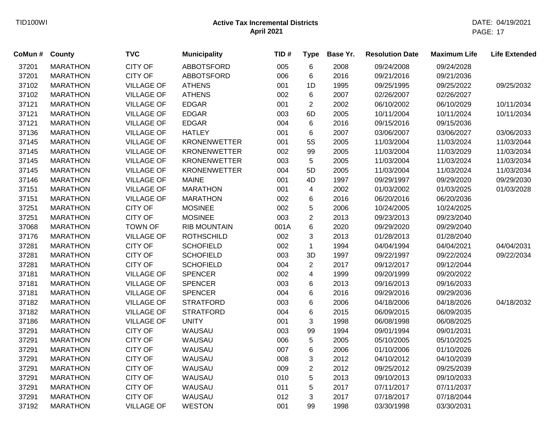| CoMun# | County          | <b>TVC</b>        | <b>Municipality</b> | TID# | <b>Type</b>    | Base Yr. | <b>Resolution Date</b> | <b>Maximum Life</b> | <b>Life Extended</b> |
|--------|-----------------|-------------------|---------------------|------|----------------|----------|------------------------|---------------------|----------------------|
| 37201  | <b>MARATHON</b> | <b>CITY OF</b>    | <b>ABBOTSFORD</b>   | 005  | $\,6$          | 2008     | 09/24/2008             | 09/24/2028          |                      |
| 37201  | <b>MARATHON</b> | <b>CITY OF</b>    | <b>ABBOTSFORD</b>   | 006  | 6              | 2016     | 09/21/2016             | 09/21/2036          |                      |
| 37102  | <b>MARATHON</b> | <b>VILLAGE OF</b> | <b>ATHENS</b>       | 001  | 1D             | 1995     | 09/25/1995             | 09/25/2022          | 09/25/2032           |
| 37102  | <b>MARATHON</b> | <b>VILLAGE OF</b> | <b>ATHENS</b>       | 002  | 6              | 2007     | 02/26/2007             | 02/26/2027          |                      |
| 37121  | <b>MARATHON</b> | <b>VILLAGE OF</b> | <b>EDGAR</b>        | 001  | $\overline{2}$ | 2002     | 06/10/2002             | 06/10/2029          | 10/11/2034           |
| 37121  | <b>MARATHON</b> | <b>VILLAGE OF</b> | <b>EDGAR</b>        | 003  | 6D             | 2005     | 10/11/2004             | 10/11/2024          | 10/11/2034           |
| 37121  | <b>MARATHON</b> | <b>VILLAGE OF</b> | <b>EDGAR</b>        | 004  | 6              | 2016     | 09/15/2016             | 09/15/2036          |                      |
| 37136  | <b>MARATHON</b> | <b>VILLAGE OF</b> | <b>HATLEY</b>       | 001  | 6              | 2007     | 03/06/2007             | 03/06/2027          | 03/06/2033           |
| 37145  | <b>MARATHON</b> | <b>VILLAGE OF</b> | <b>KRONENWETTER</b> | 001  | <b>5S</b>      | 2005     | 11/03/2004             | 11/03/2024          | 11/03/2044           |
| 37145  | <b>MARATHON</b> | <b>VILLAGE OF</b> | <b>KRONENWETTER</b> | 002  | 99             | 2005     | 11/03/2004             | 11/03/2029          | 11/03/2034           |
| 37145  | <b>MARATHON</b> | <b>VILLAGE OF</b> | <b>KRONENWETTER</b> | 003  | 5              | 2005     | 11/03/2004             | 11/03/2024          | 11/03/2034           |
| 37145  | <b>MARATHON</b> | <b>VILLAGE OF</b> | <b>KRONENWETTER</b> | 004  | 5D             | 2005     | 11/03/2004             | 11/03/2024          | 11/03/2034           |
| 37146  | <b>MARATHON</b> | <b>VILLAGE OF</b> | <b>MAINE</b>        | 001  | 4D             | 1997     | 09/29/1997             | 09/29/2020          | 09/29/2030           |
| 37151  | <b>MARATHON</b> | <b>VILLAGE OF</b> | <b>MARATHON</b>     | 001  | 4              | 2002     | 01/03/2002             | 01/03/2025          | 01/03/2028           |
| 37151  | <b>MARATHON</b> | <b>VILLAGE OF</b> | <b>MARATHON</b>     | 002  | 6              | 2016     | 06/20/2016             | 06/20/2036          |                      |
| 37251  | <b>MARATHON</b> | <b>CITY OF</b>    | <b>MOSINEE</b>      | 002  | 5              | 2006     | 10/24/2005             | 10/24/2025          |                      |
| 37251  | <b>MARATHON</b> | CITY OF           | <b>MOSINEE</b>      | 003  | $\overline{c}$ | 2013     | 09/23/2013             | 09/23/2040          |                      |
| 37068  | <b>MARATHON</b> | <b>TOWN OF</b>    | <b>RIB MOUNTAIN</b> | 001A | 6              | 2020     | 09/29/2020             | 09/29/2040          |                      |
| 37176  | <b>MARATHON</b> | <b>VILLAGE OF</b> | <b>ROTHSCHILD</b>   | 002  | 3              | 2013     | 01/28/2013             | 01/28/2040          |                      |
| 37281  | <b>MARATHON</b> | <b>CITY OF</b>    | <b>SCHOFIELD</b>    | 002  | $\mathbf{1}$   | 1994     | 04/04/1994             | 04/04/2021          | 04/04/2031           |
| 37281  | <b>MARATHON</b> | <b>CITY OF</b>    | <b>SCHOFIELD</b>    | 003  | 3D             | 1997     | 09/22/1997             | 09/22/2024          | 09/22/2034           |
| 37281  | <b>MARATHON</b> | CITY OF           | <b>SCHOFIELD</b>    | 004  | $\overline{c}$ | 2017     | 09/12/2017             | 09/12/2044          |                      |
| 37181  | <b>MARATHON</b> | <b>VILLAGE OF</b> | <b>SPENCER</b>      | 002  | 4              | 1999     | 09/20/1999             | 09/20/2022          |                      |
| 37181  | <b>MARATHON</b> | <b>VILLAGE OF</b> | <b>SPENCER</b>      | 003  | 6              | 2013     | 09/16/2013             | 09/16/2033          |                      |
| 37181  | <b>MARATHON</b> | <b>VILLAGE OF</b> | <b>SPENCER</b>      | 004  | 6              | 2016     | 09/29/2016             | 09/29/2036          |                      |
| 37182  | <b>MARATHON</b> | <b>VILLAGE OF</b> | <b>STRATFORD</b>    | 003  | 6              | 2006     | 04/18/2006             | 04/18/2026          | 04/18/2032           |
| 37182  | <b>MARATHON</b> | <b>VILLAGE OF</b> | <b>STRATFORD</b>    | 004  | 6              | 2015     | 06/09/2015             | 06/09/2035          |                      |
| 37186  | <b>MARATHON</b> | <b>VILLAGE OF</b> | <b>UNITY</b>        | 001  | 3              | 1998     | 06/08/1998             | 06/08/2025          |                      |
| 37291  | <b>MARATHON</b> | <b>CITY OF</b>    | WAUSAU              | 003  | 99             | 1994     | 09/01/1994             | 09/01/2031          |                      |
| 37291  | <b>MARATHON</b> | CITY OF           | WAUSAU              | 006  | 5              | 2005     | 05/10/2005             | 05/10/2025          |                      |
| 37291  | <b>MARATHON</b> | <b>CITY OF</b>    | WAUSAU              | 007  | 6              | 2006     | 01/10/2006             | 01/10/2026          |                      |
| 37291  | <b>MARATHON</b> | CITY OF           | WAUSAU              | 008  | 3              | 2012     | 04/10/2012             | 04/10/2039          |                      |
| 37291  | <b>MARATHON</b> | CITY OF           | WAUSAU              | 009  | $\overline{c}$ | 2012     | 09/25/2012             | 09/25/2039          |                      |
| 37291  | <b>MARATHON</b> | CITY OF           | WAUSAU              | 010  | 5              | 2013     | 09/10/2013             | 09/10/2033          |                      |
| 37291  | <b>MARATHON</b> | <b>CITY OF</b>    | WAUSAU              | 011  | 5              | 2017     | 07/11/2017             | 07/11/2037          |                      |
| 37291  | <b>MARATHON</b> | <b>CITY OF</b>    | WAUSAU              | 012  | 3              | 2017     | 07/18/2017             | 07/18/2044          |                      |
| 37192  | <b>MARATHON</b> | <b>VILLAGE OF</b> | <b>WESTON</b>       | 001  | 99             | 1998     | 03/30/1998             | 03/30/2031          |                      |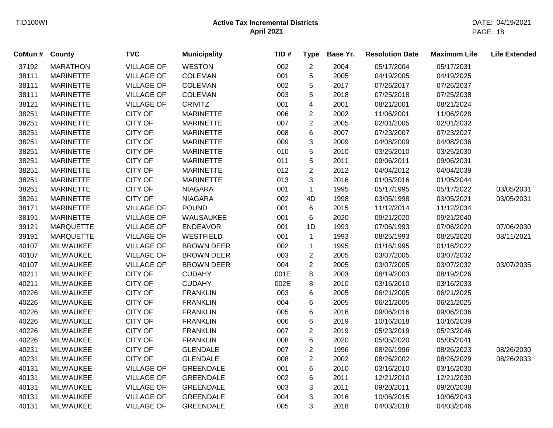| CoMun # | <b>County</b>    | <b>TVC</b>        | <b>Municipality</b> | TID# | <b>Type</b>    | Base Yr. | <b>Resolution Date</b> | <b>Maximum Life</b> | <b>Life Extended</b> |
|---------|------------------|-------------------|---------------------|------|----------------|----------|------------------------|---------------------|----------------------|
| 37192   | <b>MARATHON</b>  | <b>VILLAGE OF</b> | <b>WESTON</b>       | 002  | $\overline{2}$ | 2004     | 05/17/2004             | 05/17/2031          |                      |
| 38111   | <b>MARINETTE</b> | <b>VILLAGE OF</b> | <b>COLEMAN</b>      | 001  | 5              | 2005     | 04/19/2005             | 04/19/2025          |                      |
| 38111   | <b>MARINETTE</b> | <b>VILLAGE OF</b> | <b>COLEMAN</b>      | 002  | 5              | 2017     | 07/26/2017             | 07/26/2037          |                      |
| 38111   | <b>MARINETTE</b> | <b>VILLAGE OF</b> | <b>COLEMAN</b>      | 003  | 5              | 2018     | 07/25/2018             | 07/25/2038          |                      |
| 38121   | <b>MARINETTE</b> | <b>VILLAGE OF</b> | <b>CRIVITZ</b>      | 001  | 4              | 2001     | 08/21/2001             | 08/21/2024          |                      |
| 38251   | <b>MARINETTE</b> | <b>CITY OF</b>    | <b>MARINETTE</b>    | 006  | $\overline{2}$ | 2002     | 11/06/2001             | 11/06/2028          |                      |
| 38251   | <b>MARINETTE</b> | <b>CITY OF</b>    | <b>MARINETTE</b>    | 007  | $\overline{c}$ | 2005     | 02/01/2005             | 02/01/2032          |                      |
| 38251   | <b>MARINETTE</b> | <b>CITY OF</b>    | <b>MARINETTE</b>    | 008  | 6              | 2007     | 07/23/2007             | 07/23/2027          |                      |
| 38251   | <b>MARINETTE</b> | <b>CITY OF</b>    | <b>MARINETTE</b>    | 009  | 3              | 2009     | 04/08/2009             | 04/08/2036          |                      |
| 38251   | <b>MARINETTE</b> | <b>CITY OF</b>    | <b>MARINETTE</b>    | 010  | 5              | 2010     | 03/25/2010             | 03/25/2030          |                      |
| 38251   | <b>MARINETTE</b> | <b>CITY OF</b>    | <b>MARINETTE</b>    | 011  | 5              | 2011     | 09/06/2011             | 09/06/2031          |                      |
| 38251   | <b>MARINETTE</b> | <b>CITY OF</b>    | <b>MARINETTE</b>    | 012  | $\overline{2}$ | 2012     | 04/04/2012             | 04/04/2039          |                      |
| 38251   | <b>MARINETTE</b> | <b>CITY OF</b>    | <b>MARINETTE</b>    | 013  | 3              | 2016     | 01/05/2016             | 01/05/2044          |                      |
| 38261   | <b>MARINETTE</b> | <b>CITY OF</b>    | <b>NIAGARA</b>      | 001  | $\mathbf{1}$   | 1995     | 05/17/1995             | 05/17/2022          | 03/05/2031           |
| 38261   | <b>MARINETTE</b> | <b>CITY OF</b>    | <b>NIAGARA</b>      | 002  | 4D             | 1998     | 03/05/1998             | 03/05/2021          | 03/05/2031           |
| 38171   | <b>MARINETTE</b> | <b>VILLAGE OF</b> | <b>POUND</b>        | 001  | 6              | 2015     | 11/12/2014             | 11/12/2034          |                      |
| 38191   | <b>MARINETTE</b> | <b>VILLAGE OF</b> | WAUSAUKEE           | 001  | 6              | 2020     | 09/21/2020             | 09/21/2040          |                      |
| 39121   | <b>MARQUETTE</b> | <b>VILLAGE OF</b> | <b>ENDEAVOR</b>     | 001  | 1D             | 1993     | 07/06/1993             | 07/06/2020          | 07/06/2030           |
| 39191   | <b>MARQUETTE</b> | <b>VILLAGE OF</b> | <b>WESTFIELD</b>    | 001  | $\mathbf{1}$   | 1993     | 08/25/1993             | 08/25/2020          | 08/11/2021           |
| 40107   | <b>MILWAUKEE</b> | <b>VILLAGE OF</b> | <b>BROWN DEER</b>   | 002  | $\mathbf{1}$   | 1995     | 01/16/1995             | 01/16/2022          |                      |
| 40107   | <b>MILWAUKEE</b> | <b>VILLAGE OF</b> | <b>BROWN DEER</b>   | 003  | $\overline{c}$ | 2005     | 03/07/2005             | 03/07/2032          |                      |
| 40107   | <b>MILWAUKEE</b> | <b>VILLAGE OF</b> | <b>BROWN DEER</b>   | 004  | $\overline{c}$ | 2005     | 03/07/2005             | 03/07/2032          | 03/07/2035           |
| 40211   | <b>MILWAUKEE</b> | <b>CITY OF</b>    | <b>CUDAHY</b>       | 001E | 8              | 2003     | 08/19/2003             | 08/19/2026          |                      |
| 40211   | <b>MILWAUKEE</b> | <b>CITY OF</b>    | <b>CUDAHY</b>       | 002E | 8              | 2010     | 03/16/2010             | 03/16/2033          |                      |
| 40226   | <b>MILWAUKEE</b> | <b>CITY OF</b>    | <b>FRANKLIN</b>     | 003  | 6              | 2005     | 06/21/2005             | 06/21/2025          |                      |
| 40226   | <b>MILWAUKEE</b> | <b>CITY OF</b>    | <b>FRANKLIN</b>     | 004  | 6              | 2005     | 06/21/2005             | 06/21/2025          |                      |
| 40226   | MILWAUKEE        | <b>CITY OF</b>    | <b>FRANKLIN</b>     | 005  | 6              | 2016     | 09/06/2016             | 09/06/2036          |                      |
| 40226   | <b>MILWAUKEE</b> | <b>CITY OF</b>    | <b>FRANKLIN</b>     | 006  | 6              | 2019     | 10/16/2018             | 10/16/2039          |                      |
| 40226   | <b>MILWAUKEE</b> | <b>CITY OF</b>    | <b>FRANKLIN</b>     | 007  | $\overline{c}$ | 2019     | 05/23/2019             | 05/23/2046          |                      |
| 40226   | <b>MILWAUKEE</b> | <b>CITY OF</b>    | <b>FRANKLIN</b>     | 008  | 6              | 2020     | 05/05/2020             | 05/05/2041          |                      |
| 40231   | <b>MILWAUKEE</b> | <b>CITY OF</b>    | <b>GLENDALE</b>     | 007  | $\overline{c}$ | 1996     | 08/26/1996             | 08/26/2023          | 08/26/2030           |
| 40231   | <b>MILWAUKEE</b> | <b>CITY OF</b>    | <b>GLENDALE</b>     | 008  | $\overline{2}$ | 2002     | 08/26/2002             | 08/26/2029          | 08/26/2033           |
| 40131   | <b>MILWAUKEE</b> | <b>VILLAGE OF</b> | <b>GREENDALE</b>    | 001  | 6              | 2010     | 03/16/2010             | 03/16/2030          |                      |
| 40131   | <b>MILWAUKEE</b> | <b>VILLAGE OF</b> | <b>GREENDALE</b>    | 002  | 6              | 2011     | 12/21/2010             | 12/21/2030          |                      |
| 40131   | <b>MILWAUKEE</b> | <b>VILLAGE OF</b> | <b>GREENDALE</b>    | 003  | 3              | 2011     | 09/20/2011             | 09/20/2038          |                      |
| 40131   | <b>MILWAUKEE</b> | <b>VILLAGE OF</b> | <b>GREENDALE</b>    | 004  | 3              | 2016     | 10/06/2015             | 10/06/2043          |                      |
| 40131   | <b>MILWAUKEE</b> | <b>VILLAGE OF</b> | <b>GREENDALE</b>    | 005  | 3              | 2018     | 04/03/2018             | 04/03/2046          |                      |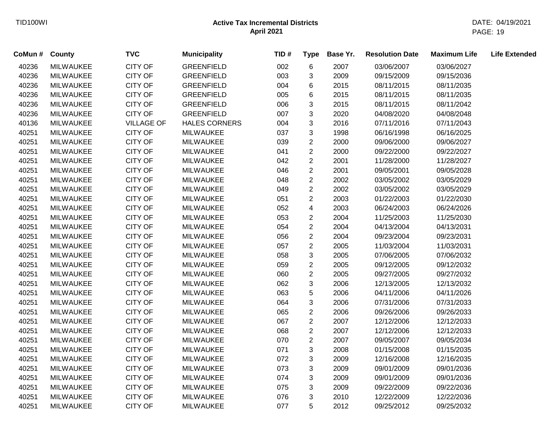| CoMun # | <b>County</b>    | <b>TVC</b>        | <b>Municipality</b>  | TID# | <b>Type</b>             | Base Yr. | <b>Resolution Date</b> | <b>Maximum Life</b> | <b>Life Extended</b> |
|---------|------------------|-------------------|----------------------|------|-------------------------|----------|------------------------|---------------------|----------------------|
| 40236   | <b>MILWAUKEE</b> | <b>CITY OF</b>    | <b>GREENFIELD</b>    | 002  | $\,6$                   | 2007     | 03/06/2007             | 03/06/2027          |                      |
| 40236   | <b>MILWAUKEE</b> | CITY OF           | <b>GREENFIELD</b>    | 003  | 3                       | 2009     | 09/15/2009             | 09/15/2036          |                      |
| 40236   | <b>MILWAUKEE</b> | <b>CITY OF</b>    | <b>GREENFIELD</b>    | 004  | 6                       | 2015     | 08/11/2015             | 08/11/2035          |                      |
| 40236   | <b>MILWAUKEE</b> | CITY OF           | <b>GREENFIELD</b>    | 005  | 6                       | 2015     | 08/11/2015             | 08/11/2035          |                      |
| 40236   | <b>MILWAUKEE</b> | <b>CITY OF</b>    | <b>GREENFIELD</b>    | 006  | 3                       | 2015     | 08/11/2015             | 08/11/2042          |                      |
| 40236   | <b>MILWAUKEE</b> | <b>CITY OF</b>    | <b>GREENFIELD</b>    | 007  | 3                       | 2020     | 04/08/2020             | 04/08/2048          |                      |
| 40136   | <b>MILWAUKEE</b> | <b>VILLAGE OF</b> | <b>HALES CORNERS</b> | 004  | $\mathbf{3}$            | 2016     | 07/11/2016             | 07/11/2043          |                      |
| 40251   | <b>MILWAUKEE</b> | <b>CITY OF</b>    | <b>MILWAUKEE</b>     | 037  | $\mathfrak{S}$          | 1998     | 06/16/1998             | 06/16/2025          |                      |
| 40251   | <b>MILWAUKEE</b> | <b>CITY OF</b>    | <b>MILWAUKEE</b>     | 039  | $\overline{2}$          | 2000     | 09/06/2000             | 09/06/2027          |                      |
| 40251   | <b>MILWAUKEE</b> | <b>CITY OF</b>    | <b>MILWAUKEE</b>     | 041  | $\overline{2}$          | 2000     | 09/22/2000             | 09/22/2027          |                      |
| 40251   | MILWAUKEE        | <b>CITY OF</b>    | <b>MILWAUKEE</b>     | 042  | $\overline{c}$          | 2001     | 11/28/2000             | 11/28/2027          |                      |
| 40251   | <b>MILWAUKEE</b> | <b>CITY OF</b>    | <b>MILWAUKEE</b>     | 046  | $\overline{2}$          | 2001     | 09/05/2001             | 09/05/2028          |                      |
| 40251   | <b>MILWAUKEE</b> | <b>CITY OF</b>    | <b>MILWAUKEE</b>     | 048  | $\mathbf{2}$            | 2002     | 03/05/2002             | 03/05/2029          |                      |
| 40251   | <b>MILWAUKEE</b> | CITY OF           | <b>MILWAUKEE</b>     | 049  | $\overline{2}$          | 2002     | 03/05/2002             | 03/05/2029          |                      |
| 40251   | <b>MILWAUKEE</b> | <b>CITY OF</b>    | <b>MILWAUKEE</b>     | 051  | $\overline{2}$          | 2003     | 01/22/2003             | 01/22/2030          |                      |
| 40251   | <b>MILWAUKEE</b> | <b>CITY OF</b>    | <b>MILWAUKEE</b>     | 052  | $\overline{\mathbf{4}}$ | 2003     | 06/24/2003             | 06/24/2026          |                      |
| 40251   | <b>MILWAUKEE</b> | <b>CITY OF</b>    | <b>MILWAUKEE</b>     | 053  | $\overline{c}$          | 2004     | 11/25/2003             | 11/25/2030          |                      |
| 40251   | <b>MILWAUKEE</b> | <b>CITY OF</b>    | <b>MILWAUKEE</b>     | 054  | $\overline{2}$          | 2004     | 04/13/2004             | 04/13/2031          |                      |
| 40251   | <b>MILWAUKEE</b> | CITY OF           | <b>MILWAUKEE</b>     | 056  | $\overline{2}$          | 2004     | 09/23/2004             | 09/23/2031          |                      |
| 40251   | <b>MILWAUKEE</b> | <b>CITY OF</b>    | <b>MILWAUKEE</b>     | 057  | $\overline{2}$          | 2005     | 11/03/2004             | 11/03/2031          |                      |
| 40251   | <b>MILWAUKEE</b> | <b>CITY OF</b>    | <b>MILWAUKEE</b>     | 058  | 3                       | 2005     | 07/06/2005             | 07/06/2032          |                      |
| 40251   | <b>MILWAUKEE</b> | <b>CITY OF</b>    | <b>MILWAUKEE</b>     | 059  | $\overline{\mathbf{c}}$ | 2005     | 09/12/2005             | 09/12/2032          |                      |
| 40251   | <b>MILWAUKEE</b> | <b>CITY OF</b>    | <b>MILWAUKEE</b>     | 060  | $\overline{2}$          | 2005     | 09/27/2005             | 09/27/2032          |                      |
| 40251   | <b>MILWAUKEE</b> | <b>CITY OF</b>    | <b>MILWAUKEE</b>     | 062  | 3                       | 2006     | 12/13/2005             | 12/13/2032          |                      |
| 40251   | <b>MILWAUKEE</b> | <b>CITY OF</b>    | <b>MILWAUKEE</b>     | 063  | 5                       | 2006     | 04/11/2006             | 04/11/2026          |                      |
| 40251   | <b>MILWAUKEE</b> | <b>CITY OF</b>    | <b>MILWAUKEE</b>     | 064  | $\mathbf{3}$            | 2006     | 07/31/2006             | 07/31/2033          |                      |
| 40251   | <b>MILWAUKEE</b> | <b>CITY OF</b>    | <b>MILWAUKEE</b>     | 065  | $\boldsymbol{2}$        | 2006     | 09/26/2006             | 09/26/2033          |                      |
| 40251   | <b>MILWAUKEE</b> | <b>CITY OF</b>    | <b>MILWAUKEE</b>     | 067  | $\overline{2}$          | 2007     | 12/12/2006             | 12/12/2033          |                      |
| 40251   | <b>MILWAUKEE</b> | <b>CITY OF</b>    | <b>MILWAUKEE</b>     | 068  | $\overline{2}$          | 2007     | 12/12/2006             | 12/12/2033          |                      |
| 40251   | MILWAUKEE        | <b>CITY OF</b>    | <b>MILWAUKEE</b>     | 070  | $\overline{c}$          | 2007     | 09/05/2007             | 09/05/2034          |                      |
| 40251   | <b>MILWAUKEE</b> | <b>CITY OF</b>    | <b>MILWAUKEE</b>     | 071  | 3                       | 2008     | 01/15/2008             | 01/15/2035          |                      |
| 40251   | <b>MILWAUKEE</b> | CITY OF           | <b>MILWAUKEE</b>     | 072  | 3                       | 2009     | 12/16/2008             | 12/16/2035          |                      |
| 40251   | <b>MILWAUKEE</b> | <b>CITY OF</b>    | <b>MILWAUKEE</b>     | 073  | 3                       | 2009     | 09/01/2009             | 09/01/2036          |                      |
| 40251   | <b>MILWAUKEE</b> | <b>CITY OF</b>    | <b>MILWAUKEE</b>     | 074  | 3                       | 2009     | 09/01/2009             | 09/01/2036          |                      |
| 40251   | <b>MILWAUKEE</b> | <b>CITY OF</b>    | <b>MILWAUKEE</b>     | 075  | 3                       | 2009     | 09/22/2009             | 09/22/2036          |                      |
| 40251   | <b>MILWAUKEE</b> | <b>CITY OF</b>    | <b>MILWAUKEE</b>     | 076  | 3                       | 2010     | 12/22/2009             | 12/22/2036          |                      |
| 40251   | <b>MILWAUKEE</b> | <b>CITY OF</b>    | <b>MILWAUKEE</b>     | 077  | 5                       | 2012     | 09/25/2012             | 09/25/2032          |                      |
|         |                  |                   |                      |      |                         |          |                        |                     |                      |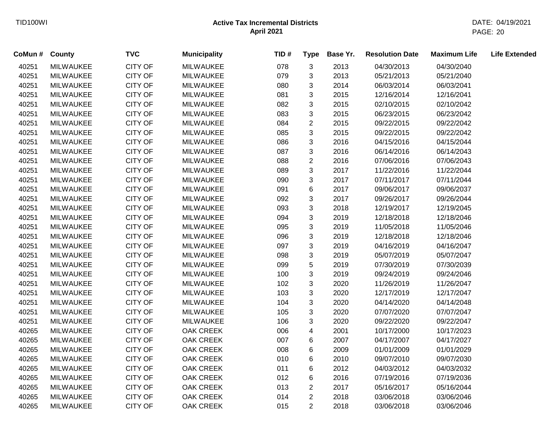| CoMun # | <b>County</b>    | <b>TVC</b>     | <b>Municipality</b> | TID# | <b>Type</b>               | Base Yr. | <b>Resolution Date</b> | <b>Maximum Life</b> | <b>Life Extended</b> |
|---------|------------------|----------------|---------------------|------|---------------------------|----------|------------------------|---------------------|----------------------|
| 40251   | <b>MILWAUKEE</b> | CITY OF        | <b>MILWAUKEE</b>    | 078  | 3                         | 2013     | 04/30/2013             | 04/30/2040          |                      |
| 40251   | <b>MILWAUKEE</b> | CITY OF        | <b>MILWAUKEE</b>    | 079  | 3                         | 2013     | 05/21/2013             | 05/21/2040          |                      |
| 40251   | <b>MILWAUKEE</b> | CITY OF        | <b>MILWAUKEE</b>    | 080  | 3                         | 2014     | 06/03/2014             | 06/03/2041          |                      |
| 40251   | <b>MILWAUKEE</b> | CITY OF        | <b>MILWAUKEE</b>    | 081  | 3                         | 2015     | 12/16/2014             | 12/16/2041          |                      |
| 40251   | <b>MILWAUKEE</b> | <b>CITY OF</b> | <b>MILWAUKEE</b>    | 082  | 3                         | 2015     | 02/10/2015             | 02/10/2042          |                      |
| 40251   | <b>MILWAUKEE</b> | <b>CITY OF</b> | <b>MILWAUKEE</b>    | 083  | 3                         | 2015     | 06/23/2015             | 06/23/2042          |                      |
| 40251   | <b>MILWAUKEE</b> | <b>CITY OF</b> | <b>MILWAUKEE</b>    | 084  | $\overline{2}$            | 2015     | 09/22/2015             | 09/22/2042          |                      |
| 40251   | <b>MILWAUKEE</b> | <b>CITY OF</b> | <b>MILWAUKEE</b>    | 085  | $\mathbf{3}$              | 2015     | 09/22/2015             | 09/22/2042          |                      |
| 40251   | <b>MILWAUKEE</b> | <b>CITY OF</b> | <b>MILWAUKEE</b>    | 086  | $\mathbf{3}$              | 2016     | 04/15/2016             | 04/15/2044          |                      |
| 40251   | <b>MILWAUKEE</b> | CITY OF        | <b>MILWAUKEE</b>    | 087  | $\mathfrak{S}$            | 2016     | 06/14/2016             | 06/14/2043          |                      |
| 40251   | <b>MILWAUKEE</b> | CITY OF        | <b>MILWAUKEE</b>    | 088  | $\overline{c}$            | 2016     | 07/06/2016             | 07/06/2043          |                      |
| 40251   | <b>MILWAUKEE</b> | CITY OF        | <b>MILWAUKEE</b>    | 089  | $\ensuremath{\mathsf{3}}$ | 2017     | 11/22/2016             | 11/22/2044          |                      |
| 40251   | <b>MILWAUKEE</b> | CITY OF        | <b>MILWAUKEE</b>    | 090  | 3                         | 2017     | 07/11/2017             | 07/11/2044          |                      |
| 40251   | <b>MILWAUKEE</b> | CITY OF        | <b>MILWAUKEE</b>    | 091  | 6                         | 2017     | 09/06/2017             | 09/06/2037          |                      |
| 40251   | <b>MILWAUKEE</b> | CITY OF        | <b>MILWAUKEE</b>    | 092  | 3                         | 2017     | 09/26/2017             | 09/26/2044          |                      |
| 40251   | <b>MILWAUKEE</b> | <b>CITY OF</b> | <b>MILWAUKEE</b>    | 093  | 3                         | 2018     | 12/19/2017             | 12/19/2045          |                      |
| 40251   | <b>MILWAUKEE</b> | CITY OF        | <b>MILWAUKEE</b>    | 094  | 3                         | 2019     | 12/18/2018             | 12/18/2046          |                      |
| 40251   | <b>MILWAUKEE</b> | CITY OF        | <b>MILWAUKEE</b>    | 095  | 3                         | 2019     | 11/05/2018             | 11/05/2046          |                      |
| 40251   | <b>MILWAUKEE</b> | CITY OF        | <b>MILWAUKEE</b>    | 096  | 3                         | 2019     | 12/18/2018             | 12/18/2046          |                      |
| 40251   | <b>MILWAUKEE</b> | CITY OF        | <b>MILWAUKEE</b>    | 097  | 3                         | 2019     | 04/16/2019             | 04/16/2047          |                      |
| 40251   | <b>MILWAUKEE</b> | CITY OF        | <b>MILWAUKEE</b>    | 098  | 3                         | 2019     | 05/07/2019             | 05/07/2047          |                      |
| 40251   | <b>MILWAUKEE</b> | CITY OF        | <b>MILWAUKEE</b>    | 099  | 5                         | 2019     | 07/30/2019             | 07/30/2039          |                      |
| 40251   | <b>MILWAUKEE</b> | CITY OF        | <b>MILWAUKEE</b>    | 100  | 3                         | 2019     | 09/24/2019             | 09/24/2046          |                      |
| 40251   | <b>MILWAUKEE</b> | CITY OF        | <b>MILWAUKEE</b>    | 102  | 3                         | 2020     | 11/26/2019             | 11/26/2047          |                      |
| 40251   | <b>MILWAUKEE</b> | CITY OF        | <b>MILWAUKEE</b>    | 103  | $\mathfrak{S}$            | 2020     | 12/17/2019             | 12/17/2047          |                      |
| 40251   | <b>MILWAUKEE</b> | CITY OF        | <b>MILWAUKEE</b>    | 104  | $\mathfrak{S}$            | 2020     | 04/14/2020             | 04/14/2048          |                      |
| 40251   | <b>MILWAUKEE</b> | <b>CITY OF</b> | <b>MILWAUKEE</b>    | 105  | $\mathbf{3}$              | 2020     | 07/07/2020             | 07/07/2047          |                      |
| 40251   | <b>MILWAUKEE</b> | <b>CITY OF</b> | <b>MILWAUKEE</b>    | 106  | 3                         | 2020     | 09/22/2020             | 09/22/2047          |                      |
| 40265   | <b>MILWAUKEE</b> | CITY OF        | OAK CREEK           | 006  | 4                         | 2001     | 10/17/2000             | 10/17/2023          |                      |
| 40265   | <b>MILWAUKEE</b> | <b>CITY OF</b> | OAK CREEK           | 007  | $\,6$                     | 2007     | 04/17/2007             | 04/17/2027          |                      |
| 40265   | <b>MILWAUKEE</b> | CITY OF        | OAK CREEK           | 008  | 6                         | 2009     | 01/01/2009             | 01/01/2029          |                      |
| 40265   | <b>MILWAUKEE</b> | CITY OF        | <b>OAK CREEK</b>    | 010  | 6                         | 2010     | 09/07/2010             | 09/07/2030          |                      |
| 40265   | <b>MILWAUKEE</b> | CITY OF        | <b>OAK CREEK</b>    | 011  | 6                         | 2012     | 04/03/2012             | 04/03/2032          |                      |
| 40265   | <b>MILWAUKEE</b> | CITY OF        | <b>OAK CREEK</b>    | 012  | 6                         | 2016     | 07/19/2016             | 07/19/2036          |                      |
| 40265   | <b>MILWAUKEE</b> | <b>CITY OF</b> | <b>OAK CREEK</b>    | 013  | $\overline{c}$            | 2017     | 05/16/2017             | 05/16/2044          |                      |
| 40265   | <b>MILWAUKEE</b> | <b>CITY OF</b> | OAK CREEK           | 014  | $\overline{2}$            | 2018     | 03/06/2018             | 03/06/2046          |                      |
| 40265   | <b>MILWAUKEE</b> | CITY OF        | <b>OAK CREEK</b>    | 015  | $\overline{2}$            | 2018     | 03/06/2018             | 03/06/2046          |                      |
|         |                  |                |                     |      |                           |          |                        |                     |                      |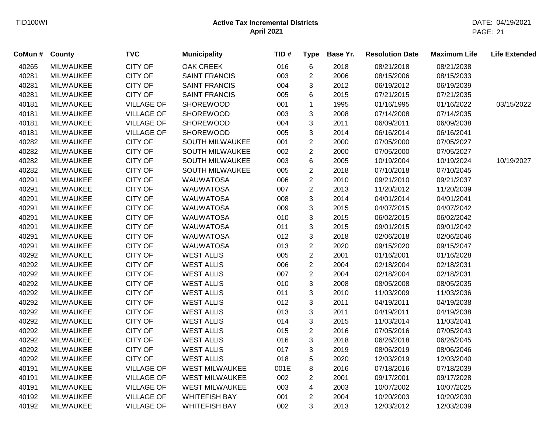| CoMun # | County           | <b>TVC</b>        | <b>Municipality</b>   | TID# | <b>Type</b>      | Base Yr. | <b>Resolution Date</b> | <b>Maximum Life</b> | <b>Life Extended</b> |
|---------|------------------|-------------------|-----------------------|------|------------------|----------|------------------------|---------------------|----------------------|
| 40265   | <b>MILWAUKEE</b> | <b>CITY OF</b>    | <b>OAK CREEK</b>      | 016  | $\,6\,$          | 2018     | 08/21/2018             | 08/21/2038          |                      |
| 40281   | <b>MILWAUKEE</b> | <b>CITY OF</b>    | <b>SAINT FRANCIS</b>  | 003  | $\overline{c}$   | 2006     | 08/15/2006             | 08/15/2033          |                      |
| 40281   | <b>MILWAUKEE</b> | CITY OF           | <b>SAINT FRANCIS</b>  | 004  | 3                | 2012     | 06/19/2012             | 06/19/2039          |                      |
| 40281   | <b>MILWAUKEE</b> | <b>CITY OF</b>    | <b>SAINT FRANCIS</b>  | 005  | 6                | 2015     | 07/21/2015             | 07/21/2035          |                      |
| 40181   | <b>MILWAUKEE</b> | <b>VILLAGE OF</b> | <b>SHOREWOOD</b>      | 001  | 1                | 1995     | 01/16/1995             | 01/16/2022          | 03/15/2022           |
| 40181   | <b>MILWAUKEE</b> | <b>VILLAGE OF</b> | <b>SHOREWOOD</b>      | 003  | $\mathbf{3}$     | 2008     | 07/14/2008             | 07/14/2035          |                      |
| 40181   | <b>MILWAUKEE</b> | <b>VILLAGE OF</b> | <b>SHOREWOOD</b>      | 004  | 3                | 2011     | 06/09/2011             | 06/09/2038          |                      |
| 40181   | <b>MILWAUKEE</b> | <b>VILLAGE OF</b> | <b>SHOREWOOD</b>      | 005  | 3                | 2014     | 06/16/2014             | 06/16/2041          |                      |
| 40282   | <b>MILWAUKEE</b> | <b>CITY OF</b>    | SOUTH MILWAUKEE       | 001  | $\overline{2}$   | 2000     | 07/05/2000             | 07/05/2027          |                      |
| 40282   | <b>MILWAUKEE</b> | <b>CITY OF</b>    | SOUTH MILWAUKEE       | 002  | $\overline{2}$   | 2000     | 07/05/2000             | 07/05/2027          |                      |
| 40282   | MILWAUKEE        | <b>CITY OF</b>    | SOUTH MILWAUKEE       | 003  | $\,6$            | 2005     | 10/19/2004             | 10/19/2024          | 10/19/2027           |
| 40282   | <b>MILWAUKEE</b> | CITY OF           | SOUTH MILWAUKEE       | 005  | $\boldsymbol{2}$ | 2018     | 07/10/2018             | 07/10/2045          |                      |
| 40291   | <b>MILWAUKEE</b> | <b>CITY OF</b>    | <b>WAUWATOSA</b>      | 006  | $\boldsymbol{2}$ | 2010     | 09/21/2010             | 09/21/2037          |                      |
| 40291   | <b>MILWAUKEE</b> | CITY OF           | <b>WAUWATOSA</b>      | 007  | $\boldsymbol{2}$ | 2013     | 11/20/2012             | 11/20/2039          |                      |
| 40291   | <b>MILWAUKEE</b> | <b>CITY OF</b>    | <b>WAUWATOSA</b>      | 008  | 3                | 2014     | 04/01/2014             | 04/01/2041          |                      |
| 40291   | <b>MILWAUKEE</b> | CITY OF           | <b>WAUWATOSA</b>      | 009  | 3                | 2015     | 04/07/2015             | 04/07/2042          |                      |
| 40291   | <b>MILWAUKEE</b> | <b>CITY OF</b>    | <b>WAUWATOSA</b>      | 010  | 3                | 2015     | 06/02/2015             | 06/02/2042          |                      |
| 40291   | <b>MILWAUKEE</b> | <b>CITY OF</b>    | <b>WAUWATOSA</b>      | 011  | 3                | 2015     | 09/01/2015             | 09/01/2042          |                      |
| 40291   | <b>MILWAUKEE</b> | CITY OF           | <b>WAUWATOSA</b>      | 012  | 3                | 2018     | 02/06/2018             | 02/06/2046          |                      |
| 40291   | <b>MILWAUKEE</b> | CITY OF           | <b>WAUWATOSA</b>      | 013  | 2                | 2020     | 09/15/2020             | 09/15/2047          |                      |
| 40292   | <b>MILWAUKEE</b> | <b>CITY OF</b>    | <b>WEST ALLIS</b>     | 005  | $\overline{2}$   | 2001     | 01/16/2001             | 01/16/2028          |                      |
| 40292   | <b>MILWAUKEE</b> | <b>CITY OF</b>    | <b>WEST ALLIS</b>     | 006  | $\overline{2}$   | 2004     | 02/18/2004             | 02/18/2031          |                      |
| 40292   | <b>MILWAUKEE</b> | <b>CITY OF</b>    | <b>WEST ALLIS</b>     | 007  | $\overline{2}$   | 2004     | 02/18/2004             | 02/18/2031          |                      |
| 40292   | <b>MILWAUKEE</b> | CITY OF           | <b>WEST ALLIS</b>     | 010  | 3                | 2008     | 08/05/2008             | 08/05/2035          |                      |
| 40292   | <b>MILWAUKEE</b> | CITY OF           | <b>WEST ALLIS</b>     | 011  | 3                | 2010     | 11/03/2009             | 11/03/2036          |                      |
| 40292   | <b>MILWAUKEE</b> | CITY OF           | <b>WEST ALLIS</b>     | 012  | 3                | 2011     | 04/19/2011             | 04/19/2038          |                      |
| 40292   | <b>MILWAUKEE</b> | <b>CITY OF</b>    | <b>WEST ALLIS</b>     | 013  | $\mathbf{3}$     | 2011     | 04/19/2011             | 04/19/2038          |                      |
| 40292   | <b>MILWAUKEE</b> | CITY OF           | <b>WEST ALLIS</b>     | 014  | $\mathbf{3}$     | 2015     | 11/03/2014             | 11/03/2041          |                      |
| 40292   | MILWAUKEE        | CITY OF           | <b>WEST ALLIS</b>     | 015  | $\sqrt{2}$       | 2016     | 07/05/2016             | 07/05/2043          |                      |
| 40292   | <b>MILWAUKEE</b> | CITY OF           | <b>WEST ALLIS</b>     | 016  | $\mathfrak{S}$   | 2018     | 06/26/2018             | 06/26/2045          |                      |
| 40292   | <b>MILWAUKEE</b> | <b>CITY OF</b>    | <b>WEST ALLIS</b>     | 017  | $\sqrt{3}$       | 2019     | 08/06/2019             | 08/06/2046          |                      |
| 40292   | <b>MILWAUKEE</b> | <b>CITY OF</b>    | <b>WEST ALLIS</b>     | 018  | 5                | 2020     | 12/03/2019             | 12/03/2040          |                      |
| 40191   | <b>MILWAUKEE</b> | <b>VILLAGE OF</b> | <b>WEST MILWAUKEE</b> | 001E | $\,8\,$          | 2016     | 07/18/2016             | 07/18/2039          |                      |
| 40191   | <b>MILWAUKEE</b> | <b>VILLAGE OF</b> | <b>WEST MILWAUKEE</b> | 002  | $\overline{2}$   | 2001     | 09/17/2001             | 09/17/2028          |                      |
| 40191   | <b>MILWAUKEE</b> | <b>VILLAGE OF</b> | <b>WEST MILWAUKEE</b> | 003  | 4                | 2003     | 10/07/2002             | 10/07/2025          |                      |
| 40192   | <b>MILWAUKEE</b> | <b>VILLAGE OF</b> | <b>WHITEFISH BAY</b>  | 001  | 2                | 2004     | 10/20/2003             | 10/20/2030          |                      |
| 40192   | <b>MILWAUKEE</b> | <b>VILLAGE OF</b> | <b>WHITEFISH BAY</b>  | 002  | 3                | 2013     | 12/03/2012             | 12/03/2039          |                      |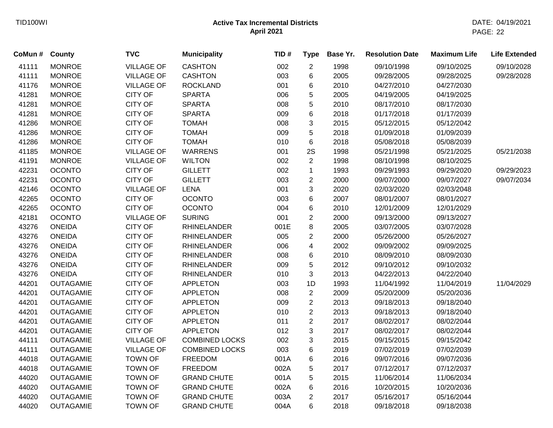| CoMun # County |                  | <b>TVC</b>        | <b>Municipality</b>   | TID# | <b>Type</b>    | Base Yr. | <b>Resolution Date</b> | <b>Maximum Life</b> | <b>Life Extended</b> |
|----------------|------------------|-------------------|-----------------------|------|----------------|----------|------------------------|---------------------|----------------------|
| 41111          | <b>MONROE</b>    | <b>VILLAGE OF</b> | <b>CASHTON</b>        | 002  | $\overline{2}$ | 1998     | 09/10/1998             | 09/10/2025          | 09/10/2028           |
| 41111          | <b>MONROE</b>    | <b>VILLAGE OF</b> | <b>CASHTON</b>        | 003  | 6              | 2005     | 09/28/2005             | 09/28/2025          | 09/28/2028           |
| 41176          | <b>MONROE</b>    | <b>VILLAGE OF</b> | <b>ROCKLAND</b>       | 001  | 6              | 2010     | 04/27/2010             | 04/27/2030          |                      |
| 41281          | <b>MONROE</b>    | <b>CITY OF</b>    | <b>SPARTA</b>         | 006  | 5              | 2005     | 04/19/2005             | 04/19/2025          |                      |
| 41281          | <b>MONROE</b>    | <b>CITY OF</b>    | <b>SPARTA</b>         | 008  | 5              | 2010     | 08/17/2010             | 08/17/2030          |                      |
| 41281          | <b>MONROE</b>    | <b>CITY OF</b>    | <b>SPARTA</b>         | 009  | 6              | 2018     | 01/17/2018             | 01/17/2039          |                      |
| 41286          | <b>MONROE</b>    | <b>CITY OF</b>    | <b>TOMAH</b>          | 008  | 3              | 2015     | 05/12/2015             | 05/12/2042          |                      |
| 41286          | <b>MONROE</b>    | <b>CITY OF</b>    | <b>TOMAH</b>          | 009  | 5              | 2018     | 01/09/2018             | 01/09/2039          |                      |
| 41286          | <b>MONROE</b>    | CITY OF           | <b>TOMAH</b>          | 010  | 6              | 2018     | 05/08/2018             | 05/08/2039          |                      |
| 41185          | <b>MONROE</b>    | <b>VILLAGE OF</b> | <b>WARRENS</b>        | 001  | 2S             | 1998     | 05/21/1998             | 05/21/2025          | 05/21/2038           |
| 41191          | <b>MONROE</b>    | <b>VILLAGE OF</b> | <b>WILTON</b>         | 002  | $\overline{2}$ | 1998     | 08/10/1998             | 08/10/2025          |                      |
| 42231          | <b>OCONTO</b>    | <b>CITY OF</b>    | <b>GILLETT</b>        | 002  | $\mathbf 1$    | 1993     | 09/29/1993             | 09/29/2020          | 09/29/2023           |
| 42231          | <b>OCONTO</b>    | <b>CITY OF</b>    | <b>GILLETT</b>        | 003  | $\overline{c}$ | 2000     | 09/07/2000             | 09/07/2027          | 09/07/2034           |
| 42146          | <b>OCONTO</b>    | <b>VILLAGE OF</b> | <b>LENA</b>           | 001  | 3              | 2020     | 02/03/2020             | 02/03/2048          |                      |
| 42265          | <b>OCONTO</b>    | <b>CITY OF</b>    | <b>OCONTO</b>         | 003  | 6              | 2007     | 08/01/2007             | 08/01/2027          |                      |
| 42265          | <b>OCONTO</b>    | <b>CITY OF</b>    | <b>OCONTO</b>         | 004  | 6              | 2010     | 12/01/2009             | 12/01/2029          |                      |
| 42181          | <b>OCONTO</b>    | <b>VILLAGE OF</b> | <b>SURING</b>         | 001  | $\overline{c}$ | 2000     | 09/13/2000             | 09/13/2027          |                      |
| 43276          | <b>ONEIDA</b>    | <b>CITY OF</b>    | <b>RHINELANDER</b>    | 001E | 8              | 2005     | 03/07/2005             | 03/07/2028          |                      |
| 43276          | <b>ONEIDA</b>    | <b>CITY OF</b>    | <b>RHINELANDER</b>    | 005  | $\overline{2}$ | 2000     | 05/26/2000             | 05/26/2027          |                      |
| 43276          | <b>ONEIDA</b>    | <b>CITY OF</b>    | <b>RHINELANDER</b>    | 006  | 4              | 2002     | 09/09/2002             | 09/09/2025          |                      |
| 43276          | <b>ONEIDA</b>    | <b>CITY OF</b>    | <b>RHINELANDER</b>    | 008  | 6              | 2010     | 08/09/2010             | 08/09/2030          |                      |
| 43276          | <b>ONEIDA</b>    | CITY OF           | <b>RHINELANDER</b>    | 009  | 5              | 2012     | 09/10/2012             | 09/10/2032          |                      |
| 43276          | <b>ONEIDA</b>    | <b>CITY OF</b>    | <b>RHINELANDER</b>    | 010  | 3              | 2013     | 04/22/2013             | 04/22/2040          |                      |
| 44201          | <b>OUTAGAMIE</b> | CITY OF           | <b>APPLETON</b>       | 003  | 1D             | 1993     | 11/04/1992             | 11/04/2019          | 11/04/2029           |
| 44201          | <b>OUTAGAMIE</b> | CITY OF           | <b>APPLETON</b>       | 008  | $\overline{c}$ | 2009     | 05/20/2009             | 05/20/2036          |                      |
| 44201          | <b>OUTAGAMIE</b> | <b>CITY OF</b>    | <b>APPLETON</b>       | 009  | $\overline{c}$ | 2013     | 09/18/2013             | 09/18/2040          |                      |
| 44201          | <b>OUTAGAMIE</b> | <b>CITY OF</b>    | <b>APPLETON</b>       | 010  | $\overline{c}$ | 2013     | 09/18/2013             | 09/18/2040          |                      |
| 44201          | <b>OUTAGAMIE</b> | <b>CITY OF</b>    | <b>APPLETON</b>       | 011  | $\overline{c}$ | 2017     | 08/02/2017             | 08/02/2044          |                      |
| 44201          | <b>OUTAGAMIE</b> | <b>CITY OF</b>    | <b>APPLETON</b>       | 012  | 3              | 2017     | 08/02/2017             | 08/02/2044          |                      |
| 44111          | <b>OUTAGAMIE</b> | <b>VILLAGE OF</b> | <b>COMBINED LOCKS</b> | 002  | 3              | 2015     | 09/15/2015             | 09/15/2042          |                      |
| 44111          | <b>OUTAGAMIE</b> | <b>VILLAGE OF</b> | <b>COMBINED LOCKS</b> | 003  | 6              | 2019     | 07/02/2019             | 07/02/2039          |                      |
| 44018          | <b>OUTAGAMIE</b> | <b>TOWN OF</b>    | <b>FREEDOM</b>        | 001A | 6              | 2016     | 09/07/2016             | 09/07/2036          |                      |
| 44018          | <b>OUTAGAMIE</b> | <b>TOWN OF</b>    | <b>FREEDOM</b>        | 002A | 5              | 2017     | 07/12/2017             | 07/12/2037          |                      |
| 44020          | <b>OUTAGAMIE</b> | <b>TOWN OF</b>    | <b>GRAND CHUTE</b>    | 001A | 5              | 2015     | 11/06/2014             | 11/06/2034          |                      |
| 44020          | <b>OUTAGAMIE</b> | <b>TOWN OF</b>    | <b>GRAND CHUTE</b>    | 002A | 6              | 2016     | 10/20/2015             | 10/20/2036          |                      |
| 44020          | <b>OUTAGAMIE</b> | <b>TOWN OF</b>    | <b>GRAND CHUTE</b>    | 003A | $\overline{2}$ | 2017     | 05/16/2017             | 05/16/2044          |                      |
| 44020          | <b>OUTAGAMIE</b> | <b>TOWN OF</b>    | <b>GRAND CHUTE</b>    | 004A | 6              | 2018     | 09/18/2018             | 09/18/2038          |                      |
|                |                  |                   |                       |      |                |          |                        |                     |                      |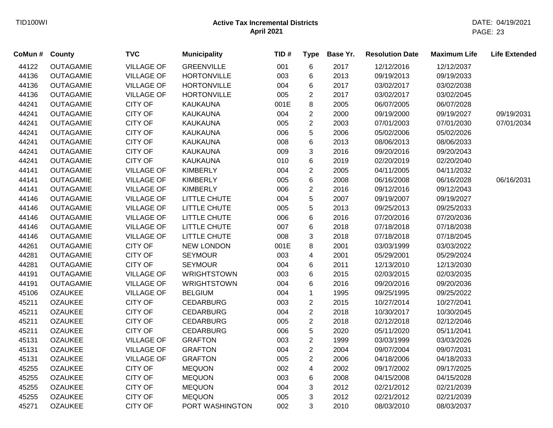| CoMun # County |                  | <b>TVC</b>        | <b>Municipality</b> | TID# | <b>Type</b>    | Base Yr. | <b>Resolution Date</b> | <b>Maximum Life</b> | <b>Life Extended</b> |
|----------------|------------------|-------------------|---------------------|------|----------------|----------|------------------------|---------------------|----------------------|
| 44122          | <b>OUTAGAMIE</b> | <b>VILLAGE OF</b> | <b>GREENVILLE</b>   | 001  | 6              | 2017     | 12/12/2016             | 12/12/2037          |                      |
| 44136          | <b>OUTAGAMIE</b> | <b>VILLAGE OF</b> | <b>HORTONVILLE</b>  | 003  | 6              | 2013     | 09/19/2013             | 09/19/2033          |                      |
| 44136          | <b>OUTAGAMIE</b> | <b>VILLAGE OF</b> | <b>HORTONVILLE</b>  | 004  | 6              | 2017     | 03/02/2017             | 03/02/2038          |                      |
| 44136          | <b>OUTAGAMIE</b> | <b>VILLAGE OF</b> | <b>HORTONVILLE</b>  | 005  | $\overline{2}$ | 2017     | 03/02/2017             | 03/02/2045          |                      |
| 44241          | <b>OUTAGAMIE</b> | <b>CITY OF</b>    | <b>KAUKAUNA</b>     | 001E | 8              | 2005     | 06/07/2005             | 06/07/2028          |                      |
| 44241          | <b>OUTAGAMIE</b> | <b>CITY OF</b>    | <b>KAUKAUNA</b>     | 004  | $\overline{2}$ | 2000     | 09/19/2000             | 09/19/2027          | 09/19/2031           |
| 44241          | <b>OUTAGAMIE</b> | CITY OF           | KAUKAUNA            | 005  | $\overline{2}$ | 2003     | 07/01/2003             | 07/01/2030          | 07/01/2034           |
| 44241          | <b>OUTAGAMIE</b> | <b>CITY OF</b>    | <b>KAUKAUNA</b>     | 006  | 5              | 2006     | 05/02/2006             | 05/02/2026          |                      |
| 44241          | <b>OUTAGAMIE</b> | <b>CITY OF</b>    | KAUKAUNA            | 008  | 6              | 2013     | 08/06/2013             | 08/06/2033          |                      |
| 44241          | <b>OUTAGAMIE</b> | <b>CITY OF</b>    | <b>KAUKAUNA</b>     | 009  | 3              | 2016     | 09/20/2016             | 09/20/2043          |                      |
| 44241          | <b>OUTAGAMIE</b> | <b>CITY OF</b>    | <b>KAUKAUNA</b>     | 010  | 6              | 2019     | 02/20/2019             | 02/20/2040          |                      |
| 44141          | <b>OUTAGAMIE</b> | <b>VILLAGE OF</b> | <b>KIMBERLY</b>     | 004  | $\overline{2}$ | 2005     | 04/11/2005             | 04/11/2032          |                      |
| 44141          | <b>OUTAGAMIE</b> | <b>VILLAGE OF</b> | <b>KIMBERLY</b>     | 005  | 6              | 2008     | 06/16/2008             | 06/16/2028          | 06/16/2031           |
| 44141          | <b>OUTAGAMIE</b> | <b>VILLAGE OF</b> | <b>KIMBERLY</b>     | 006  | $\overline{c}$ | 2016     | 09/12/2016             | 09/12/2043          |                      |
| 44146          | <b>OUTAGAMIE</b> | <b>VILLAGE OF</b> | LITTLE CHUTE        | 004  | 5              | 2007     | 09/19/2007             | 09/19/2027          |                      |
| 44146          | <b>OUTAGAMIE</b> | <b>VILLAGE OF</b> | LITTLE CHUTE        | 005  | 5              | 2013     | 09/25/2013             | 09/25/2033          |                      |
| 44146          | <b>OUTAGAMIE</b> | <b>VILLAGE OF</b> | LITTLE CHUTE        | 006  | 6              | 2016     | 07/20/2016             | 07/20/2036          |                      |
| 44146          | <b>OUTAGAMIE</b> | <b>VILLAGE OF</b> | LITTLE CHUTE        | 007  | 6              | 2018     | 07/18/2018             | 07/18/2038          |                      |
| 44146          | <b>OUTAGAMIE</b> | <b>VILLAGE OF</b> | LITTLE CHUTE        | 008  | 3              | 2018     | 07/18/2018             | 07/18/2045          |                      |
| 44261          | <b>OUTAGAMIE</b> | <b>CITY OF</b>    | <b>NEW LONDON</b>   | 001E | 8              | 2001     | 03/03/1999             | 03/03/2022          |                      |
| 44281          | <b>OUTAGAMIE</b> | <b>CITY OF</b>    | <b>SEYMOUR</b>      | 003  | 4              | 2001     | 05/29/2001             | 05/29/2024          |                      |
| 44281          | <b>OUTAGAMIE</b> | <b>CITY OF</b>    | <b>SEYMOUR</b>      | 004  | 6              | 2011     | 12/13/2010             | 12/13/2030          |                      |
| 44191          | <b>OUTAGAMIE</b> | <b>VILLAGE OF</b> | <b>WRIGHTSTOWN</b>  | 003  | 6              | 2015     | 02/03/2015             | 02/03/2035          |                      |
| 44191          | <b>OUTAGAMIE</b> | <b>VILLAGE OF</b> | <b>WRIGHTSTOWN</b>  | 004  | 6              | 2016     | 09/20/2016             | 09/20/2036          |                      |
| 45106          | <b>OZAUKEE</b>   | <b>VILLAGE OF</b> | <b>BELGIUM</b>      | 004  | $\mathbf 1$    | 1995     | 09/25/1995             | 09/25/2022          |                      |
| 45211          | <b>OZAUKEE</b>   | <b>CITY OF</b>    | <b>CEDARBURG</b>    | 003  | $\overline{c}$ | 2015     | 10/27/2014             | 10/27/2041          |                      |
| 45211          | <b>OZAUKEE</b>   | <b>CITY OF</b>    | <b>CEDARBURG</b>    | 004  | $\overline{2}$ | 2018     | 10/30/2017             | 10/30/2045          |                      |
| 45211          | <b>OZAUKEE</b>   | <b>CITY OF</b>    | <b>CEDARBURG</b>    | 005  | $\overline{2}$ | 2018     | 02/12/2018             | 02/12/2046          |                      |
| 45211          | <b>OZAUKEE</b>   | <b>CITY OF</b>    | <b>CEDARBURG</b>    | 006  | 5              | 2020     | 05/11/2020             | 05/11/2041          |                      |
| 45131          | <b>OZAUKEE</b>   | <b>VILLAGE OF</b> | <b>GRAFTON</b>      | 003  | $\overline{2}$ | 1999     | 03/03/1999             | 03/03/2026          |                      |
| 45131          | <b>OZAUKEE</b>   | <b>VILLAGE OF</b> | <b>GRAFTON</b>      | 004  | $\overline{2}$ | 2004     | 09/07/2004             | 09/07/2031          |                      |
| 45131          | <b>OZAUKEE</b>   | <b>VILLAGE OF</b> | <b>GRAFTON</b>      | 005  | $\overline{2}$ | 2006     | 04/18/2006             | 04/18/2033          |                      |
| 45255          | <b>OZAUKEE</b>   | <b>CITY OF</b>    | <b>MEQUON</b>       | 002  | 4              | 2002     | 09/17/2002             | 09/17/2025          |                      |
| 45255          | <b>OZAUKEE</b>   | <b>CITY OF</b>    | <b>MEQUON</b>       | 003  | 6              | 2008     | 04/15/2008             | 04/15/2028          |                      |
| 45255          | <b>OZAUKEE</b>   | <b>CITY OF</b>    | <b>MEQUON</b>       | 004  | 3              | 2012     | 02/21/2012             | 02/21/2039          |                      |
| 45255          | <b>OZAUKEE</b>   | <b>CITY OF</b>    | <b>MEQUON</b>       | 005  | 3              | 2012     | 02/21/2012             | 02/21/2039          |                      |
| 45271          | <b>OZAUKEE</b>   | <b>CITY OF</b>    | PORT WASHINGTON     | 002  | 3              | 2010     | 08/03/2010             | 08/03/2037          |                      |
|                |                  |                   |                     |      |                |          |                        |                     |                      |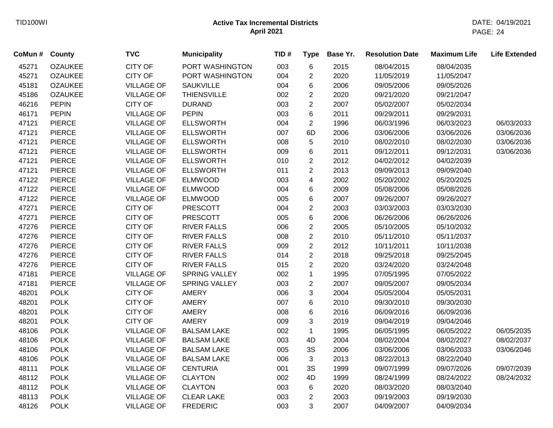| CoMun # County |                | <b>TVC</b>        | <b>Municipality</b> | TID# | <b>Type</b>    | Base Yr. | <b>Resolution Date</b> | <b>Maximum Life</b> | <b>Life Extended</b> |
|----------------|----------------|-------------------|---------------------|------|----------------|----------|------------------------|---------------------|----------------------|
| 45271          | <b>OZAUKEE</b> | <b>CITY OF</b>    | PORT WASHINGTON     | 003  | 6              | 2015     | 08/04/2015             | 08/04/2035          |                      |
| 45271          | <b>OZAUKEE</b> | <b>CITY OF</b>    | PORT WASHINGTON     | 004  | $\overline{c}$ | 2020     | 11/05/2019             | 11/05/2047          |                      |
| 45181          | <b>OZAUKEE</b> | <b>VILLAGE OF</b> | <b>SAUKVILLE</b>    | 004  | 6              | 2006     | 09/05/2006             | 09/05/2026          |                      |
| 45186          | <b>OZAUKEE</b> | <b>VILLAGE OF</b> | <b>THIENSVILLE</b>  | 002  | $\overline{c}$ | 2020     | 09/21/2020             | 09/21/2047          |                      |
| 46216          | <b>PEPIN</b>   | <b>CITY OF</b>    | <b>DURAND</b>       | 003  | $\overline{2}$ | 2007     | 05/02/2007             | 05/02/2034          |                      |
| 46171          | <b>PEPIN</b>   | <b>VILLAGE OF</b> | <b>PEPIN</b>        | 003  | 6              | 2011     | 09/29/2011             | 09/29/2031          |                      |
| 47121          | <b>PIERCE</b>  | <b>VILLAGE OF</b> | <b>ELLSWORTH</b>    | 004  | $\overline{2}$ | 1996     | 06/03/1996             | 06/03/2023          | 06/03/2033           |
| 47121          | <b>PIERCE</b>  | <b>VILLAGE OF</b> | <b>ELLSWORTH</b>    | 007  | 6D             | 2006     | 03/06/2006             | 03/06/2026          | 03/06/2036           |
| 47121          | <b>PIERCE</b>  | <b>VILLAGE OF</b> | <b>ELLSWORTH</b>    | 008  | 5              | 2010     | 08/02/2010             | 08/02/2030          | 03/06/2036           |
| 47121          | <b>PIERCE</b>  | <b>VILLAGE OF</b> | <b>ELLSWORTH</b>    | 009  | 6              | 2011     | 09/12/2011             | 09/12/2031          | 03/06/2036           |
| 47121          | <b>PIERCE</b>  | <b>VILLAGE OF</b> | <b>ELLSWORTH</b>    | 010  | $\overline{2}$ | 2012     | 04/02/2012             | 04/02/2039          |                      |
| 47121          | <b>PIERCE</b>  | <b>VILLAGE OF</b> | <b>ELLSWORTH</b>    | 011  | $\overline{2}$ | 2013     | 09/09/2013             | 09/09/2040          |                      |
| 47122          | <b>PIERCE</b>  | <b>VILLAGE OF</b> | <b>ELMWOOD</b>      | 003  | 4              | 2002     | 05/20/2002             | 05/20/2025          |                      |
| 47122          | <b>PIERCE</b>  | <b>VILLAGE OF</b> | <b>ELMWOOD</b>      | 004  | 6              | 2009     | 05/08/2006             | 05/08/2026          |                      |
| 47122          | <b>PIERCE</b>  | <b>VILLAGE OF</b> | <b>ELMWOOD</b>      | 005  | 6              | 2007     | 09/26/2007             | 09/26/2027          |                      |
| 47271          | <b>PIERCE</b>  | <b>CITY OF</b>    | <b>PRESCOTT</b>     | 004  | $\overline{2}$ | 2003     | 03/03/2003             | 03/03/2030          |                      |
| 47271          | <b>PIERCE</b>  | <b>CITY OF</b>    | <b>PRESCOTT</b>     | 005  | 6              | 2006     | 06/26/2006             | 06/26/2026          |                      |
| 47276          | <b>PIERCE</b>  | CITY OF           | <b>RIVER FALLS</b>  | 006  | 2              | 2005     | 05/10/2005             | 05/10/2032          |                      |
| 47276          | <b>PIERCE</b>  | <b>CITY OF</b>    | <b>RIVER FALLS</b>  | 008  | $\overline{2}$ | 2010     | 05/11/2010             | 05/11/2037          |                      |
| 47276          | <b>PIERCE</b>  | <b>CITY OF</b>    | <b>RIVER FALLS</b>  | 009  | $\overline{2}$ | 2012     | 10/11/2011             | 10/11/2038          |                      |
| 47276          | <b>PIERCE</b>  | CITY OF           | <b>RIVER FALLS</b>  | 014  | $\overline{c}$ | 2018     | 09/25/2018             | 09/25/2045          |                      |
| 47276          | <b>PIERCE</b>  | <b>CITY OF</b>    | <b>RIVER FALLS</b>  | 015  | $\overline{2}$ | 2020     | 03/24/2020             | 03/24/2048          |                      |
| 47181          | <b>PIERCE</b>  | <b>VILLAGE OF</b> | SPRING VALLEY       | 002  | $\mathbf 1$    | 1995     | 07/05/1995             | 07/05/2022          |                      |
| 47181          | <b>PIERCE</b>  | <b>VILLAGE OF</b> | SPRING VALLEY       | 003  | $\overline{c}$ | 2007     | 09/05/2007             | 09/05/2034          |                      |
| 48201          | <b>POLK</b>    | CITY OF           | AMERY               | 006  | 3              | 2004     | 05/05/2004             | 05/05/2031          |                      |
| 48201          | <b>POLK</b>    | CITY OF           | AMERY               | 007  | 6              | 2010     | 09/30/2010             | 09/30/2030          |                      |
| 48201          | <b>POLK</b>    | <b>CITY OF</b>    | AMERY               | 008  | 6              | 2016     | 06/09/2016             | 06/09/2036          |                      |
| 48201          | <b>POLK</b>    | <b>CITY OF</b>    | AMERY               | 009  | 3              | 2019     | 09/04/2019             | 09/04/2046          |                      |
| 48106          | <b>POLK</b>    | <b>VILLAGE OF</b> | <b>BALSAM LAKE</b>  | 002  | $\mathbf{1}$   | 1995     | 06/05/1995             | 06/05/2022          | 06/05/2035           |
| 48106          | <b>POLK</b>    | <b>VILLAGE OF</b> | <b>BALSAM LAKE</b>  | 003  | 4D             | 2004     | 08/02/2004             | 08/02/2027          | 08/02/2037           |
| 48106          | <b>POLK</b>    | <b>VILLAGE OF</b> | <b>BALSAM LAKE</b>  | 005  | 3S             | 2006     | 03/06/2006             | 03/06/2033          | 03/06/2046           |
| 48106          | <b>POLK</b>    | <b>VILLAGE OF</b> | <b>BALSAM LAKE</b>  | 006  | 3              | 2013     | 08/22/2013             | 08/22/2040          |                      |
| 48111          | <b>POLK</b>    | <b>VILLAGE OF</b> | <b>CENTURIA</b>     | 001  | 3S             | 1999     | 09/07/1999             | 09/07/2026          | 09/07/2039           |
| 48112          | <b>POLK</b>    | <b>VILLAGE OF</b> | <b>CLAYTON</b>      | 002  | 4D             | 1999     | 08/24/1999             | 08/24/2022          | 08/24/2032           |
| 48112          | <b>POLK</b>    | <b>VILLAGE OF</b> | <b>CLAYTON</b>      | 003  | 6              | 2020     | 08/03/2020             | 08/03/2040          |                      |
| 48113          | <b>POLK</b>    | <b>VILLAGE OF</b> | <b>CLEAR LAKE</b>   | 003  | $\overline{2}$ | 2003     | 09/19/2003             | 09/19/2030          |                      |
| 48126          | <b>POLK</b>    | <b>VILLAGE OF</b> | <b>FREDERIC</b>     | 003  | 3              | 2007     | 04/09/2007             | 04/09/2034          |                      |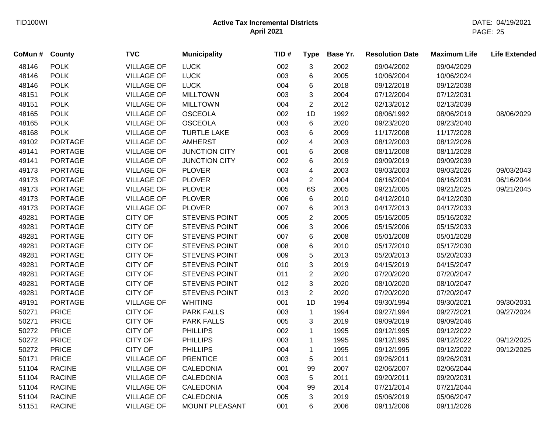| CoMun # | <b>County</b>  | <b>TVC</b>        | <b>Municipality</b>   | TID# | <b>Type</b>    | Base Yr. | <b>Resolution Date</b> | <b>Maximum Life</b> | <b>Life Extended</b> |
|---------|----------------|-------------------|-----------------------|------|----------------|----------|------------------------|---------------------|----------------------|
| 48146   | <b>POLK</b>    | <b>VILLAGE OF</b> | <b>LUCK</b>           | 002  | 3              | 2002     | 09/04/2002             | 09/04/2029          |                      |
| 48146   | <b>POLK</b>    | <b>VILLAGE OF</b> | <b>LUCK</b>           | 003  | 6              | 2005     | 10/06/2004             | 10/06/2024          |                      |
| 48146   | <b>POLK</b>    | <b>VILLAGE OF</b> | <b>LUCK</b>           | 004  | 6              | 2018     | 09/12/2018             | 09/12/2038          |                      |
| 48151   | <b>POLK</b>    | <b>VILLAGE OF</b> | <b>MILLTOWN</b>       | 003  | 3              | 2004     | 07/12/2004             | 07/12/2031          |                      |
| 48151   | <b>POLK</b>    | <b>VILLAGE OF</b> | <b>MILLTOWN</b>       | 004  | $\overline{2}$ | 2012     | 02/13/2012             | 02/13/2039          |                      |
| 48165   | <b>POLK</b>    | <b>VILLAGE OF</b> | <b>OSCEOLA</b>        | 002  | 1D             | 1992     | 08/06/1992             | 08/06/2019          | 08/06/2029           |
| 48165   | <b>POLK</b>    | <b>VILLAGE OF</b> | <b>OSCEOLA</b>        | 003  | 6              | 2020     | 09/23/2020             | 09/23/2040          |                      |
| 48168   | <b>POLK</b>    | <b>VILLAGE OF</b> | <b>TURTLE LAKE</b>    | 003  | 6              | 2009     | 11/17/2008             | 11/17/2028          |                      |
| 49102   | <b>PORTAGE</b> | <b>VILLAGE OF</b> | <b>AMHERST</b>        | 002  | 4              | 2003     | 08/12/2003             | 08/12/2026          |                      |
| 49141   | <b>PORTAGE</b> | <b>VILLAGE OF</b> | <b>JUNCTION CITY</b>  | 001  | 6              | 2008     | 08/11/2008             | 08/11/2028          |                      |
| 49141   | <b>PORTAGE</b> | <b>VILLAGE OF</b> | <b>JUNCTION CITY</b>  | 002  | 6              | 2019     | 09/09/2019             | 09/09/2039          |                      |
| 49173   | <b>PORTAGE</b> | <b>VILLAGE OF</b> | <b>PLOVER</b>         | 003  | 4              | 2003     | 09/03/2003             | 09/03/2026          | 09/03/2043           |
| 49173   | <b>PORTAGE</b> | <b>VILLAGE OF</b> | <b>PLOVER</b>         | 004  | $\overline{c}$ | 2004     | 06/16/2004             | 06/16/2031          | 06/16/2044           |
| 49173   | <b>PORTAGE</b> | <b>VILLAGE OF</b> | <b>PLOVER</b>         | 005  | 6S             | 2005     | 09/21/2005             | 09/21/2025          | 09/21/2045           |
| 49173   | <b>PORTAGE</b> | <b>VILLAGE OF</b> | <b>PLOVER</b>         | 006  | 6              | 2010     | 04/12/2010             | 04/12/2030          |                      |
| 49173   | <b>PORTAGE</b> | <b>VILLAGE OF</b> | <b>PLOVER</b>         | 007  | 6              | 2013     | 04/17/2013             | 04/17/2033          |                      |
| 49281   | <b>PORTAGE</b> | <b>CITY OF</b>    | STEVENS POINT         | 005  | $\overline{c}$ | 2005     | 05/16/2005             | 05/16/2032          |                      |
| 49281   | <b>PORTAGE</b> | <b>CITY OF</b>    | <b>STEVENS POINT</b>  | 006  | 3              | 2006     | 05/15/2006             | 05/15/2033          |                      |
| 49281   | <b>PORTAGE</b> | <b>CITY OF</b>    | STEVENS POINT         | 007  | 6              | 2008     | 05/01/2008             | 05/01/2028          |                      |
| 49281   | <b>PORTAGE</b> | <b>CITY OF</b>    | STEVENS POINT         | 008  | 6              | 2010     | 05/17/2010             | 05/17/2030          |                      |
| 49281   | <b>PORTAGE</b> | <b>CITY OF</b>    | STEVENS POINT         | 009  | 5              | 2013     | 05/20/2013             | 05/20/2033          |                      |
| 49281   | <b>PORTAGE</b> | <b>CITY OF</b>    | <b>STEVENS POINT</b>  | 010  | 3              | 2019     | 04/15/2019             | 04/15/2047          |                      |
| 49281   | <b>PORTAGE</b> | <b>CITY OF</b>    | <b>STEVENS POINT</b>  | 011  | $\overline{2}$ | 2020     | 07/20/2020             | 07/20/2047          |                      |
| 49281   | <b>PORTAGE</b> | <b>CITY OF</b>    | <b>STEVENS POINT</b>  | 012  | 3              | 2020     | 08/10/2020             | 08/10/2047          |                      |
| 49281   | <b>PORTAGE</b> | <b>CITY OF</b>    | STEVENS POINT         | 013  | $\overline{2}$ | 2020     | 07/20/2020             | 07/20/2047          |                      |
| 49191   | <b>PORTAGE</b> | <b>VILLAGE OF</b> | <b>WHITING</b>        | 001  | 1D             | 1994     | 09/30/1994             | 09/30/2021          | 09/30/2031           |
| 50271   | <b>PRICE</b>   | <b>CITY OF</b>    | <b>PARK FALLS</b>     | 003  | $\mathbf{1}$   | 1994     | 09/27/1994             | 09/27/2021          | 09/27/2024           |
| 50271   | <b>PRICE</b>   | <b>CITY OF</b>    | <b>PARK FALLS</b>     | 005  | 3              | 2019     | 09/09/2019             | 09/09/2046          |                      |
| 50272   | <b>PRICE</b>   | <b>CITY OF</b>    | <b>PHILLIPS</b>       | 002  | $\mathbf{1}$   | 1995     | 09/12/1995             | 09/12/2022          |                      |
| 50272   | <b>PRICE</b>   | <b>CITY OF</b>    | <b>PHILLIPS</b>       | 003  | $\mathbf{1}$   | 1995     | 09/12/1995             | 09/12/2022          | 09/12/2025           |
| 50272   | <b>PRICE</b>   | <b>CITY OF</b>    | <b>PHILLIPS</b>       | 004  | $\mathbf 1$    | 1995     | 09/12/1995             | 09/12/2022          | 09/12/2025           |
| 50171   | <b>PRICE</b>   | <b>VILLAGE OF</b> | <b>PRENTICE</b>       | 003  | 5              | 2011     | 09/26/2011             | 09/26/2031          |                      |
| 51104   | <b>RACINE</b>  | <b>VILLAGE OF</b> | <b>CALEDONIA</b>      | 001  | 99             | 2007     | 02/06/2007             | 02/06/2044          |                      |
| 51104   | <b>RACINE</b>  | <b>VILLAGE OF</b> | <b>CALEDONIA</b>      | 003  | 5              | 2011     | 09/20/2011             | 09/20/2031          |                      |
| 51104   | <b>RACINE</b>  | <b>VILLAGE OF</b> | CALEDONIA             | 004  | 99             | 2014     | 07/21/2014             | 07/21/2044          |                      |
| 51104   | <b>RACINE</b>  | <b>VILLAGE OF</b> | <b>CALEDONIA</b>      | 005  | 3              | 2019     | 05/06/2019             | 05/06/2047          |                      |
| 51151   | <b>RACINE</b>  | <b>VILLAGE OF</b> | <b>MOUNT PLEASANT</b> | 001  | 6              | 2006     | 09/11/2006             | 09/11/2026          |                      |
|         |                |                   |                       |      |                |          |                        |                     |                      |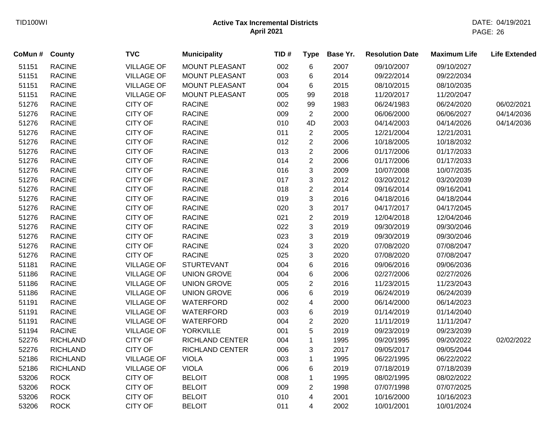| CoMun # County |                 | <b>TVC</b>        | <b>Municipality</b>    | TID# | <b>Type</b>    | Base Yr. | <b>Resolution Date</b> | <b>Maximum Life</b> | <b>Life Extended</b> |
|----------------|-----------------|-------------------|------------------------|------|----------------|----------|------------------------|---------------------|----------------------|
| 51151          | <b>RACINE</b>   | <b>VILLAGE OF</b> | MOUNT PLEASANT         | 002  | 6              | 2007     | 09/10/2007             | 09/10/2027          |                      |
| 51151          | <b>RACINE</b>   | <b>VILLAGE OF</b> | MOUNT PLEASANT         | 003  | 6              | 2014     | 09/22/2014             | 09/22/2034          |                      |
| 51151          | <b>RACINE</b>   | <b>VILLAGE OF</b> | <b>MOUNT PLEASANT</b>  | 004  | 6              | 2015     | 08/10/2015             | 08/10/2035          |                      |
| 51151          | <b>RACINE</b>   | <b>VILLAGE OF</b> | MOUNT PLEASANT         | 005  | 99             | 2018     | 11/20/2017             | 11/20/2047          |                      |
| 51276          | <b>RACINE</b>   | <b>CITY OF</b>    | <b>RACINE</b>          | 002  | 99             | 1983     | 06/24/1983             | 06/24/2020          | 06/02/2021           |
| 51276          | <b>RACINE</b>   | <b>CITY OF</b>    | <b>RACINE</b>          | 009  | 2              | 2000     | 06/06/2000             | 06/06/2027          | 04/14/2036           |
| 51276          | <b>RACINE</b>   | CITY OF           | <b>RACINE</b>          | 010  | 4D             | 2003     | 04/14/2003             | 04/14/2026          | 04/14/2036           |
| 51276          | <b>RACINE</b>   | CITY OF           | <b>RACINE</b>          | 011  | 2              | 2005     | 12/21/2004             | 12/21/2031          |                      |
| 51276          | <b>RACINE</b>   | CITY OF           | <b>RACINE</b>          | 012  | $\overline{2}$ | 2006     | 10/18/2005             | 10/18/2032          |                      |
| 51276          | <b>RACINE</b>   | <b>CITY OF</b>    | <b>RACINE</b>          | 013  | $\overline{2}$ | 2006     | 01/17/2006             | 01/17/2033          |                      |
| 51276          | <b>RACINE</b>   | CITY OF           | <b>RACINE</b>          | 014  | $\overline{2}$ | 2006     | 01/17/2006             | 01/17/2033          |                      |
| 51276          | <b>RACINE</b>   | CITY OF           | <b>RACINE</b>          | 016  | 3              | 2009     | 10/07/2008             | 10/07/2035          |                      |
| 51276          | <b>RACINE</b>   | CITY OF           | <b>RACINE</b>          | 017  | 3              | 2012     | 03/20/2012             | 03/20/2039          |                      |
| 51276          | <b>RACINE</b>   | CITY OF           | <b>RACINE</b>          | 018  | $\overline{2}$ | 2014     | 09/16/2014             | 09/16/2041          |                      |
| 51276          | <b>RACINE</b>   | CITY OF           | <b>RACINE</b>          | 019  | 3              | 2016     | 04/18/2016             | 04/18/2044          |                      |
| 51276          | <b>RACINE</b>   | CITY OF           | <b>RACINE</b>          | 020  | 3              | 2017     | 04/17/2017             | 04/17/2045          |                      |
| 51276          | <b>RACINE</b>   | <b>CITY OF</b>    | <b>RACINE</b>          | 021  | $\overline{2}$ | 2019     | 12/04/2018             | 12/04/2046          |                      |
| 51276          | <b>RACINE</b>   | <b>CITY OF</b>    | <b>RACINE</b>          | 022  | 3              | 2019     | 09/30/2019             | 09/30/2046          |                      |
| 51276          | <b>RACINE</b>   | CITY OF           | <b>RACINE</b>          | 023  | 3              | 2019     | 09/30/2019             | 09/30/2046          |                      |
| 51276          | <b>RACINE</b>   | <b>CITY OF</b>    | <b>RACINE</b>          | 024  | 3              | 2020     | 07/08/2020             | 07/08/2047          |                      |
| 51276          | <b>RACINE</b>   | <b>CITY OF</b>    | <b>RACINE</b>          | 025  | 3              | 2020     | 07/08/2020             | 07/08/2047          |                      |
| 51181          | <b>RACINE</b>   | <b>VILLAGE OF</b> | <b>STURTEVANT</b>      | 004  | 6              | 2016     | 09/06/2016             | 09/06/2036          |                      |
| 51186          | <b>RACINE</b>   | <b>VILLAGE OF</b> | <b>UNION GROVE</b>     | 004  | 6              | 2006     | 02/27/2006             | 02/27/2026          |                      |
| 51186          | <b>RACINE</b>   | <b>VILLAGE OF</b> | <b>UNION GROVE</b>     | 005  | $\overline{c}$ | 2016     | 11/23/2015             | 11/23/2043          |                      |
| 51186          | <b>RACINE</b>   | <b>VILLAGE OF</b> | <b>UNION GROVE</b>     | 006  | 6              | 2019     | 06/24/2019             | 06/24/2039          |                      |
| 51191          | <b>RACINE</b>   | <b>VILLAGE OF</b> | WATERFORD              | 002  | 4              | 2000     | 06/14/2000             | 06/14/2023          |                      |
| 51191          | <b>RACINE</b>   | <b>VILLAGE OF</b> | WATERFORD              | 003  | 6              | 2019     | 01/14/2019             | 01/14/2040          |                      |
| 51191          | <b>RACINE</b>   | <b>VILLAGE OF</b> | WATERFORD              | 004  | $\overline{c}$ | 2020     | 11/11/2019             | 11/11/2047          |                      |
| 51194          | <b>RACINE</b>   | <b>VILLAGE OF</b> | <b>YORKVILLE</b>       | 001  | 5              | 2019     | 09/23/2019             | 09/23/2039          |                      |
| 52276          | <b>RICHLAND</b> | <b>CITY OF</b>    | <b>RICHLAND CENTER</b> | 004  | $\mathbf 1$    | 1995     | 09/20/1995             | 09/20/2022          | 02/02/2022           |
| 52276          | <b>RICHLAND</b> | <b>CITY OF</b>    | <b>RICHLAND CENTER</b> | 006  | 3              | 2017     | 09/05/2017             | 09/05/2044          |                      |
| 52186          | <b>RICHLAND</b> | <b>VILLAGE OF</b> | <b>VIOLA</b>           | 003  | $\mathbf{1}$   | 1995     | 06/22/1995             | 06/22/2022          |                      |
| 52186          | <b>RICHLAND</b> | <b>VILLAGE OF</b> | <b>VIOLA</b>           | 006  | 6              | 2019     | 07/18/2019             | 07/18/2039          |                      |
| 53206          | <b>ROCK</b>     | <b>CITY OF</b>    | <b>BELOIT</b>          | 008  | $\mathbf{1}$   | 1995     | 08/02/1995             | 08/02/2022          |                      |
| 53206          | <b>ROCK</b>     | <b>CITY OF</b>    | <b>BELOIT</b>          | 009  | $\overline{c}$ | 1998     | 07/07/1998             | 07/07/2025          |                      |
| 53206          | <b>ROCK</b>     | <b>CITY OF</b>    | <b>BELOIT</b>          | 010  | $\overline{4}$ | 2001     | 10/16/2000             | 10/16/2023          |                      |
| 53206          | <b>ROCK</b>     | <b>CITY OF</b>    | <b>BELOIT</b>          | 011  | $\overline{4}$ | 2002     | 10/01/2001             | 10/01/2024          |                      |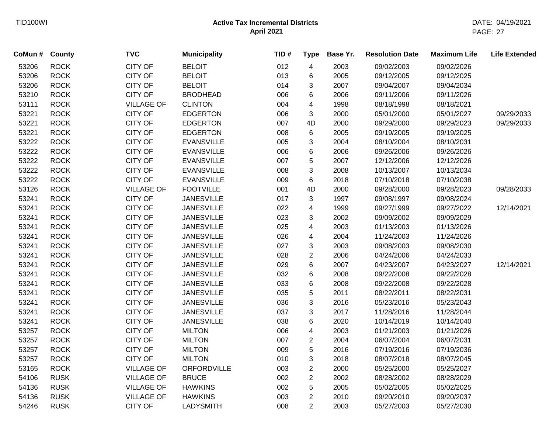| CoMun # | <b>County</b> | <b>TVC</b>        | <b>Municipality</b> | TID# | <b>Type</b>             | Base Yr. | <b>Resolution Date</b> | <b>Maximum Life</b> | <b>Life Extended</b> |
|---------|---------------|-------------------|---------------------|------|-------------------------|----------|------------------------|---------------------|----------------------|
| 53206   | <b>ROCK</b>   | <b>CITY OF</b>    | <b>BELOIT</b>       | 012  | 4                       | 2003     | 09/02/2003             | 09/02/2026          |                      |
| 53206   | <b>ROCK</b>   | <b>CITY OF</b>    | <b>BELOIT</b>       | 013  | 6                       | 2005     | 09/12/2005             | 09/12/2025          |                      |
| 53206   | <b>ROCK</b>   | <b>CITY OF</b>    | <b>BELOIT</b>       | 014  | 3                       | 2007     | 09/04/2007             | 09/04/2034          |                      |
| 53210   | <b>ROCK</b>   | <b>CITY OF</b>    | <b>BRODHEAD</b>     | 006  | 6                       | 2006     | 09/11/2006             | 09/11/2026          |                      |
| 53111   | <b>ROCK</b>   | <b>VILLAGE OF</b> | <b>CLINTON</b>      | 004  | 4                       | 1998     | 08/18/1998             | 08/18/2021          |                      |
| 53221   | <b>ROCK</b>   | <b>CITY OF</b>    | <b>EDGERTON</b>     | 006  | 3                       | 2000     | 05/01/2000             | 05/01/2027          | 09/29/2033           |
| 53221   | <b>ROCK</b>   | <b>CITY OF</b>    | <b>EDGERTON</b>     | 007  | 4D                      | 2000     | 09/29/2000             | 09/29/2023          | 09/29/2033           |
| 53221   | <b>ROCK</b>   | CITY OF           | <b>EDGERTON</b>     | 008  | 6                       | 2005     | 09/19/2005             | 09/19/2025          |                      |
| 53222   | <b>ROCK</b>   | <b>CITY OF</b>    | <b>EVANSVILLE</b>   | 005  | 3                       | 2004     | 08/10/2004             | 08/10/2031          |                      |
| 53222   | <b>ROCK</b>   | <b>CITY OF</b>    | <b>EVANSVILLE</b>   | 006  | 6                       | 2006     | 09/26/2006             | 09/26/2026          |                      |
| 53222   | <b>ROCK</b>   | <b>CITY OF</b>    | <b>EVANSVILLE</b>   | 007  | 5                       | 2007     | 12/12/2006             | 12/12/2026          |                      |
| 53222   | <b>ROCK</b>   | <b>CITY OF</b>    | <b>EVANSVILLE</b>   | 008  | 3                       | 2008     | 10/13/2007             | 10/13/2034          |                      |
| 53222   | <b>ROCK</b>   | <b>CITY OF</b>    | <b>EVANSVILLE</b>   | 009  | 6                       | 2018     | 07/10/2018             | 07/10/2038          |                      |
| 53126   | <b>ROCK</b>   | <b>VILLAGE OF</b> | <b>FOOTVILLE</b>    | 001  | 4D                      | 2000     | 09/28/2000             | 09/28/2023          | 09/28/2033           |
| 53241   | <b>ROCK</b>   | <b>CITY OF</b>    | <b>JANESVILLE</b>   | 017  | 3                       | 1997     | 09/08/1997             | 09/08/2024          |                      |
| 53241   | <b>ROCK</b>   | CITY OF           | <b>JANESVILLE</b>   | 022  | 4                       | 1999     | 09/27/1999             | 09/27/2022          | 12/14/2021           |
| 53241   | <b>ROCK</b>   | CITY OF           | <b>JANESVILLE</b>   | 023  | 3                       | 2002     | 09/09/2002             | 09/09/2029          |                      |
| 53241   | <b>ROCK</b>   | <b>CITY OF</b>    | <b>JANESVILLE</b>   | 025  | 4                       | 2003     | 01/13/2003             | 01/13/2026          |                      |
| 53241   | <b>ROCK</b>   | <b>CITY OF</b>    | <b>JANESVILLE</b>   | 026  | 4                       | 2004     | 11/24/2003             | 11/24/2026          |                      |
| 53241   | <b>ROCK</b>   | <b>CITY OF</b>    | <b>JANESVILLE</b>   | 027  | 3                       | 2003     | 09/08/2003             | 09/08/2030          |                      |
| 53241   | <b>ROCK</b>   | <b>CITY OF</b>    | <b>JANESVILLE</b>   | 028  | $\overline{2}$          | 2006     | 04/24/2006             | 04/24/2033          |                      |
| 53241   | <b>ROCK</b>   | <b>CITY OF</b>    | <b>JANESVILLE</b>   | 029  | 6                       | 2007     | 04/23/2007             | 04/23/2027          | 12/14/2021           |
| 53241   | <b>ROCK</b>   | <b>CITY OF</b>    | <b>JANESVILLE</b>   | 032  | 6                       | 2008     | 09/22/2008             | 09/22/2028          |                      |
| 53241   | <b>ROCK</b>   | CITY OF           | <b>JANESVILLE</b>   | 033  | 6                       | 2008     | 09/22/2008             | 09/22/2028          |                      |
| 53241   | <b>ROCK</b>   | CITY OF           | <b>JANESVILLE</b>   | 035  | 5                       | 2011     | 08/22/2011             | 08/22/2031          |                      |
| 53241   | <b>ROCK</b>   | <b>CITY OF</b>    | <b>JANESVILLE</b>   | 036  | 3                       | 2016     | 05/23/2016             | 05/23/2043          |                      |
| 53241   | <b>ROCK</b>   | <b>CITY OF</b>    | <b>JANESVILLE</b>   | 037  | 3                       | 2017     | 11/28/2016             | 11/28/2044          |                      |
| 53241   | <b>ROCK</b>   | <b>CITY OF</b>    | <b>JANESVILLE</b>   | 038  | 6                       | 2020     | 10/14/2019             | 10/14/2040          |                      |
| 53257   | <b>ROCK</b>   | CITY OF           | <b>MILTON</b>       | 006  | $\overline{\mathbf{4}}$ | 2003     | 01/21/2003             | 01/21/2026          |                      |
| 53257   | <b>ROCK</b>   | <b>CITY OF</b>    | <b>MILTON</b>       | 007  | $\overline{2}$          | 2004     | 06/07/2004             | 06/07/2031          |                      |
| 53257   | <b>ROCK</b>   | <b>CITY OF</b>    | <b>MILTON</b>       | 009  | 5                       | 2016     | 07/19/2016             | 07/19/2036          |                      |
| 53257   | <b>ROCK</b>   | <b>CITY OF</b>    | <b>MILTON</b>       | 010  | 3                       | 2018     | 08/07/2018             | 08/07/2045          |                      |
| 53165   | <b>ROCK</b>   | <b>VILLAGE OF</b> | <b>ORFORDVILLE</b>  | 003  | $\overline{2}$          | 2000     | 05/25/2000             | 05/25/2027          |                      |
| 54106   | <b>RUSK</b>   | <b>VILLAGE OF</b> | <b>BRUCE</b>        | 002  | $\overline{c}$          | 2002     | 08/28/2002             | 08/28/2029          |                      |
| 54136   | <b>RUSK</b>   | <b>VILLAGE OF</b> | <b>HAWKINS</b>      | 002  | 5                       | 2005     | 05/02/2005             | 05/02/2025          |                      |
| 54136   | <b>RUSK</b>   | <b>VILLAGE OF</b> | <b>HAWKINS</b>      | 003  | $\overline{2}$          | 2010     | 09/20/2010             | 09/20/2037          |                      |
| 54246   | <b>RUSK</b>   | <b>CITY OF</b>    | <b>LADYSMITH</b>    | 008  | $\overline{2}$          | 2003     | 05/27/2003             | 05/27/2030          |                      |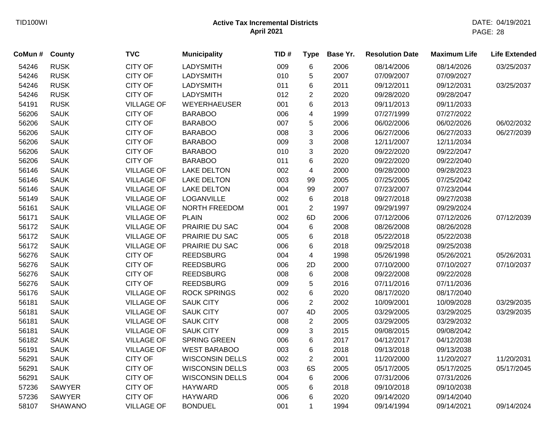|                | <b>TVC</b>        | <b>Municipality</b>    | TID# | <b>Type</b>             | Base Yr. | <b>Resolution Date</b> | <b>Maximum Life</b> | <b>Life Extended</b> |
|----------------|-------------------|------------------------|------|-------------------------|----------|------------------------|---------------------|----------------------|
| <b>RUSK</b>    | <b>CITY OF</b>    | <b>LADYSMITH</b>       | 009  | 6                       | 2006     | 08/14/2006             | 08/14/2026          | 03/25/2037           |
| <b>RUSK</b>    | <b>CITY OF</b>    | <b>LADYSMITH</b>       | 010  | 5                       | 2007     | 07/09/2007             | 07/09/2027          |                      |
| <b>RUSK</b>    | <b>CITY OF</b>    | <b>LADYSMITH</b>       | 011  | 6                       | 2011     | 09/12/2011             | 09/12/2031          | 03/25/2037           |
| <b>RUSK</b>    | <b>CITY OF</b>    | LADYSMITH              | 012  | $\overline{c}$          | 2020     | 09/28/2020             | 09/28/2047          |                      |
| <b>RUSK</b>    | <b>VILLAGE OF</b> | WEYERHAEUSER           | 001  | 6                       | 2013     | 09/11/2013             | 09/11/2033          |                      |
| <b>SAUK</b>    | <b>CITY OF</b>    | <b>BARABOO</b>         | 006  | $\overline{\mathbf{4}}$ | 1999     | 07/27/1999             | 07/27/2022          |                      |
| <b>SAUK</b>    | <b>CITY OF</b>    | <b>BARABOO</b>         | 007  | 5                       | 2006     | 06/02/2006             | 06/02/2026          | 06/02/2032           |
| <b>SAUK</b>    | <b>CITY OF</b>    | <b>BARABOO</b>         | 008  | 3                       | 2006     | 06/27/2006             | 06/27/2033          | 06/27/2039           |
| <b>SAUK</b>    | <b>CITY OF</b>    | <b>BARABOO</b>         | 009  | $\mathbf{3}$            | 2008     | 12/11/2007             | 12/11/2034          |                      |
| <b>SAUK</b>    | <b>CITY OF</b>    | <b>BARABOO</b>         | 010  | 3                       | 2020     | 09/22/2020             | 09/22/2047          |                      |
| <b>SAUK</b>    | <b>CITY OF</b>    | <b>BARABOO</b>         | 011  | 6                       | 2020     | 09/22/2020             | 09/22/2040          |                      |
| <b>SAUK</b>    | <b>VILLAGE OF</b> | <b>LAKE DELTON</b>     | 002  | 4                       | 2000     | 09/28/2000             | 09/28/2023          |                      |
| <b>SAUK</b>    | <b>VILLAGE OF</b> | <b>LAKE DELTON</b>     | 003  | 99                      | 2005     | 07/25/2005             | 07/25/2042          |                      |
| <b>SAUK</b>    | <b>VILLAGE OF</b> | <b>LAKE DELTON</b>     | 004  | 99                      | 2007     | 07/23/2007             | 07/23/2044          |                      |
| <b>SAUK</b>    | <b>VILLAGE OF</b> | <b>LOGANVILLE</b>      | 002  | 6                       | 2018     | 09/27/2018             | 09/27/2038          |                      |
| <b>SAUK</b>    | <b>VILLAGE OF</b> | NORTH FREEDOM          | 001  | $\overline{2}$          | 1997     | 09/29/1997             | 09/29/2024          |                      |
| <b>SAUK</b>    | <b>VILLAGE OF</b> | <b>PLAIN</b>           | 002  | 6D                      | 2006     | 07/12/2006             | 07/12/2026          | 07/12/2039           |
| <b>SAUK</b>    | <b>VILLAGE OF</b> | PRAIRIE DU SAC         | 004  | 6                       | 2008     | 08/26/2008             | 08/26/2028          |                      |
| <b>SAUK</b>    | <b>VILLAGE OF</b> | PRAIRIE DU SAC         | 005  | 6                       | 2018     | 05/22/2018             | 05/22/2038          |                      |
| <b>SAUK</b>    | <b>VILLAGE OF</b> | PRAIRIE DU SAC         | 006  | 6                       | 2018     | 09/25/2018             | 09/25/2038          |                      |
| <b>SAUK</b>    | <b>CITY OF</b>    | <b>REEDSBURG</b>       | 004  | 4                       | 1998     | 05/26/1998             | 05/26/2021          | 05/26/2031           |
| <b>SAUK</b>    | <b>CITY OF</b>    | <b>REEDSBURG</b>       | 006  | 2D                      | 2000     | 07/10/2000             | 07/10/2027          | 07/10/2037           |
| <b>SAUK</b>    | <b>CITY OF</b>    | <b>REEDSBURG</b>       | 008  | 6                       | 2008     | 09/22/2008             | 09/22/2028          |                      |
| <b>SAUK</b>    | <b>CITY OF</b>    | <b>REEDSBURG</b>       | 009  | 5                       | 2016     | 07/11/2016             | 07/11/2036          |                      |
| <b>SAUK</b>    | <b>VILLAGE OF</b> | <b>ROCK SPRINGS</b>    | 002  | 6                       | 2020     | 08/17/2020             | 08/17/2040          |                      |
| <b>SAUK</b>    | <b>VILLAGE OF</b> | <b>SAUK CITY</b>       | 006  | $\overline{2}$          | 2002     | 10/09/2001             | 10/09/2028          | 03/29/2035           |
| <b>SAUK</b>    | <b>VILLAGE OF</b> | <b>SAUK CITY</b>       | 007  | 4D                      | 2005     | 03/29/2005             | 03/29/2025          | 03/29/2035           |
| <b>SAUK</b>    | <b>VILLAGE OF</b> | <b>SAUK CITY</b>       | 008  | $\overline{2}$          | 2005     | 03/29/2005             | 03/29/2032          |                      |
| <b>SAUK</b>    | <b>VILLAGE OF</b> | <b>SAUK CITY</b>       | 009  | $\mathbf{3}$            | 2015     | 09/08/2015             | 09/08/2042          |                      |
| <b>SAUK</b>    | <b>VILLAGE OF</b> | <b>SPRING GREEN</b>    | 006  | 6                       | 2017     | 04/12/2017             | 04/12/2038          |                      |
| <b>SAUK</b>    | <b>VILLAGE OF</b> | <b>WEST BARABOO</b>    | 003  | 6                       | 2018     | 09/13/2018             | 09/13/2038          |                      |
| <b>SAUK</b>    | <b>CITY OF</b>    | <b>WISCONSIN DELLS</b> | 002  | $\overline{2}$          | 2001     | 11/20/2000             | 11/20/2027          | 11/20/2031           |
| <b>SAUK</b>    | CITY OF           | <b>WISCONSIN DELLS</b> | 003  | 6S                      | 2005     | 05/17/2005             | 05/17/2025          | 05/17/2045           |
| <b>SAUK</b>    | <b>CITY OF</b>    | <b>WISCONSIN DELLS</b> | 004  | 6                       | 2006     | 07/31/2006             | 07/31/2026          |                      |
| <b>SAWYER</b>  | <b>CITY OF</b>    | <b>HAYWARD</b>         | 005  | 6                       | 2018     | 09/10/2018             | 09/10/2038          |                      |
| <b>SAWYER</b>  | <b>CITY OF</b>    | <b>HAYWARD</b>         | 006  | 6                       | 2020     | 09/14/2020             | 09/14/2040          |                      |
| <b>SHAWANO</b> | <b>VILLAGE OF</b> | <b>BONDUEL</b>         | 001  | $\mathbf{1}$            | 1994     | 09/14/1994             | 09/14/2021          | 09/14/2024           |
|                | County            |                        |      |                         |          |                        |                     |                      |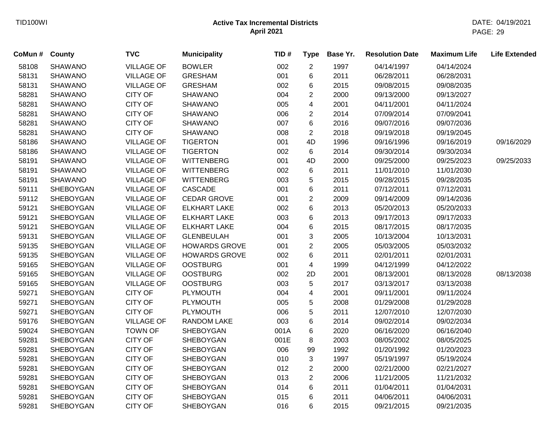| CoMun # | <b>County</b>    | <b>TVC</b>        | <b>Municipality</b>  | TID# | <b>Type</b>    | Base Yr. | <b>Resolution Date</b> | <b>Maximum Life</b> | <b>Life Extended</b> |
|---------|------------------|-------------------|----------------------|------|----------------|----------|------------------------|---------------------|----------------------|
| 58108   | <b>SHAWANO</b>   | <b>VILLAGE OF</b> | <b>BOWLER</b>        | 002  | $\overline{2}$ | 1997     | 04/14/1997             | 04/14/2024          |                      |
| 58131   | <b>SHAWANO</b>   | <b>VILLAGE OF</b> | <b>GRESHAM</b>       | 001  | 6              | 2011     | 06/28/2011             | 06/28/2031          |                      |
| 58131   | <b>SHAWANO</b>   | <b>VILLAGE OF</b> | <b>GRESHAM</b>       | 002  | 6              | 2015     | 09/08/2015             | 09/08/2035          |                      |
| 58281   | <b>SHAWANO</b>   | <b>CITY OF</b>    | <b>SHAWANO</b>       | 004  | $\overline{c}$ | 2000     | 09/13/2000             | 09/13/2027          |                      |
| 58281   | <b>SHAWANO</b>   | <b>CITY OF</b>    | <b>SHAWANO</b>       | 005  | 4              | 2001     | 04/11/2001             | 04/11/2024          |                      |
| 58281   | <b>SHAWANO</b>   | <b>CITY OF</b>    | <b>SHAWANO</b>       | 006  | $\overline{c}$ | 2014     | 07/09/2014             | 07/09/2041          |                      |
| 58281   | <b>SHAWANO</b>   | <b>CITY OF</b>    | <b>SHAWANO</b>       | 007  | 6              | 2016     | 09/07/2016             | 09/07/2036          |                      |
| 58281   | <b>SHAWANO</b>   | CITY OF           | <b>SHAWANO</b>       | 008  | $\overline{c}$ | 2018     | 09/19/2018             | 09/19/2045          |                      |
| 58186   | <b>SHAWANO</b>   | <b>VILLAGE OF</b> | <b>TIGERTON</b>      | 001  | 4D             | 1996     | 09/16/1996             | 09/16/2019          | 09/16/2029           |
| 58186   | <b>SHAWANO</b>   | <b>VILLAGE OF</b> | <b>TIGERTON</b>      | 002  | 6              | 2014     | 09/30/2014             | 09/30/2034          |                      |
| 58191   | <b>SHAWANO</b>   | <b>VILLAGE OF</b> | <b>WITTENBERG</b>    | 001  | 4D             | 2000     | 09/25/2000             | 09/25/2023          | 09/25/2033           |
| 58191   | <b>SHAWANO</b>   | <b>VILLAGE OF</b> | <b>WITTENBERG</b>    | 002  | 6              | 2011     | 11/01/2010             | 11/01/2030          |                      |
| 58191   | <b>SHAWANO</b>   | <b>VILLAGE OF</b> | <b>WITTENBERG</b>    | 003  | 5              | 2015     | 09/28/2015             | 09/28/2035          |                      |
| 59111   | SHEBOYGAN        | <b>VILLAGE OF</b> | <b>CASCADE</b>       | 001  | 6              | 2011     | 07/12/2011             | 07/12/2031          |                      |
| 59112   | SHEBOYGAN        | <b>VILLAGE OF</b> | <b>CEDAR GROVE</b>   | 001  | $\overline{2}$ | 2009     | 09/14/2009             | 09/14/2036          |                      |
| 59121   | SHEBOYGAN        | <b>VILLAGE OF</b> | <b>ELKHART LAKE</b>  | 002  | 6              | 2013     | 05/20/2013             | 05/20/2033          |                      |
| 59121   | <b>SHEBOYGAN</b> | <b>VILLAGE OF</b> | <b>ELKHART LAKE</b>  | 003  | 6              | 2013     | 09/17/2013             | 09/17/2033          |                      |
| 59121   | SHEBOYGAN        | <b>VILLAGE OF</b> | <b>ELKHART LAKE</b>  | 004  | 6              | 2015     | 08/17/2015             | 08/17/2035          |                      |
| 59131   | SHEBOYGAN        | <b>VILLAGE OF</b> | <b>GLENBEULAH</b>    | 001  | 3              | 2005     | 10/13/2004             | 10/13/2031          |                      |
| 59135   | SHEBOYGAN        | <b>VILLAGE OF</b> | <b>HOWARDS GROVE</b> | 001  | $\overline{c}$ | 2005     | 05/03/2005             | 05/03/2032          |                      |
| 59135   | SHEBOYGAN        | <b>VILLAGE OF</b> | <b>HOWARDS GROVE</b> | 002  | 6              | 2011     | 02/01/2011             | 02/01/2031          |                      |
| 59165   | SHEBOYGAN        | <b>VILLAGE OF</b> | <b>OOSTBURG</b>      | 001  | 4              | 1999     | 04/12/1999             | 04/12/2022          |                      |
| 59165   | SHEBOYGAN        | <b>VILLAGE OF</b> | <b>OOSTBURG</b>      | 002  | 2D             | 2001     | 08/13/2001             | 08/13/2028          | 08/13/2038           |
| 59165   | SHEBOYGAN        | <b>VILLAGE OF</b> | <b>OOSTBURG</b>      | 003  | 5              | 2017     | 03/13/2017             | 03/13/2038          |                      |
| 59271   | <b>SHEBOYGAN</b> | <b>CITY OF</b>    | <b>PLYMOUTH</b>      | 004  | 4              | 2001     | 09/11/2001             | 09/11/2024          |                      |
| 59271   | <b>SHEBOYGAN</b> | <b>CITY OF</b>    | <b>PLYMOUTH</b>      | 005  | 5              | 2008     | 01/29/2008             | 01/29/2028          |                      |
| 59271   | <b>SHEBOYGAN</b> | <b>CITY OF</b>    | PLYMOUTH             | 006  | 5              | 2011     | 12/07/2010             | 12/07/2030          |                      |
| 59176   | <b>SHEBOYGAN</b> | <b>VILLAGE OF</b> | <b>RANDOM LAKE</b>   | 003  | 6              | 2014     | 09/02/2014             | 09/02/2034          |                      |
| 59024   | <b>SHEBOYGAN</b> | <b>TOWN OF</b>    | SHEBOYGAN            | 001A | 6              | 2020     | 06/16/2020             | 06/16/2040          |                      |
| 59281   | <b>SHEBOYGAN</b> | <b>CITY OF</b>    | SHEBOYGAN            | 001E | 8              | 2003     | 08/05/2002             | 08/05/2025          |                      |
| 59281   | SHEBOYGAN        | <b>CITY OF</b>    | SHEBOYGAN            | 006  | 99             | 1992     | 01/20/1992             | 01/20/2023          |                      |
| 59281   | SHEBOYGAN        | <b>CITY OF</b>    | SHEBOYGAN            | 010  | 3              | 1997     | 05/19/1997             | 05/19/2024          |                      |
| 59281   | SHEBOYGAN        | CITY OF           | SHEBOYGAN            | 012  | $\overline{c}$ | 2000     | 02/21/2000             | 02/21/2027          |                      |
| 59281   | SHEBOYGAN        | CITY OF           | SHEBOYGAN            | 013  | $\overline{2}$ | 2006     | 11/21/2005             | 11/21/2032          |                      |
| 59281   | SHEBOYGAN        | CITY OF           | SHEBOYGAN            | 014  | 6              | 2011     | 01/04/2011             | 01/04/2031          |                      |
| 59281   | <b>SHEBOYGAN</b> | <b>CITY OF</b>    | SHEBOYGAN            | 015  | 6              | 2011     | 04/06/2011             | 04/06/2031          |                      |
| 59281   | <b>SHEBOYGAN</b> | <b>CITY OF</b>    | SHEBOYGAN            | 016  | 6              | 2015     | 09/21/2015             | 09/21/2035          |                      |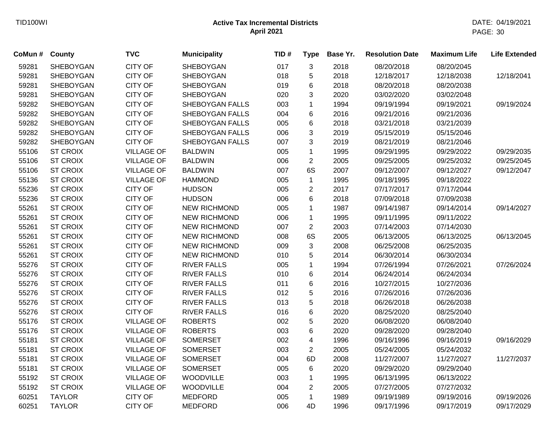| CoMun# | County           | <b>TVC</b>        | <b>Municipality</b> | TID# | <b>Type</b>             | Base Yr. | <b>Resolution Date</b> | <b>Maximum Life</b> | <b>Life Extended</b> |
|--------|------------------|-------------------|---------------------|------|-------------------------|----------|------------------------|---------------------|----------------------|
| 59281  | SHEBOYGAN        | <b>CITY OF</b>    | <b>SHEBOYGAN</b>    | 017  | 3                       | 2018     | 08/20/2018             | 08/20/2045          |                      |
| 59281  | <b>SHEBOYGAN</b> | <b>CITY OF</b>    | <b>SHEBOYGAN</b>    | 018  | 5                       | 2018     | 12/18/2017             | 12/18/2038          | 12/18/2041           |
| 59281  | <b>SHEBOYGAN</b> | <b>CITY OF</b>    | <b>SHEBOYGAN</b>    | 019  | 6                       | 2018     | 08/20/2018             | 08/20/2038          |                      |
| 59281  | SHEBOYGAN        | <b>CITY OF</b>    | <b>SHEBOYGAN</b>    | 020  | 3                       | 2020     | 03/02/2020             | 03/02/2048          |                      |
| 59282  | SHEBOYGAN        | <b>CITY OF</b>    | SHEBOYGAN FALLS     | 003  | $\mathbf 1$             | 1994     | 09/19/1994             | 09/19/2021          | 09/19/2024           |
| 59282  | SHEBOYGAN        | <b>CITY OF</b>    | SHEBOYGAN FALLS     | 004  | 6                       | 2016     | 09/21/2016             | 09/21/2036          |                      |
| 59282  | SHEBOYGAN        | <b>CITY OF</b>    | SHEBOYGAN FALLS     | 005  | 6                       | 2018     | 03/21/2018             | 03/21/2039          |                      |
| 59282  | SHEBOYGAN        | <b>CITY OF</b>    | SHEBOYGAN FALLS     | 006  | 3                       | 2019     | 05/15/2019             | 05/15/2046          |                      |
| 59282  | SHEBOYGAN        | <b>CITY OF</b>    | SHEBOYGAN FALLS     | 007  | 3                       | 2019     | 08/21/2019             | 08/21/2046          |                      |
| 55106  | <b>ST CROIX</b>  | <b>VILLAGE OF</b> | <b>BALDWIN</b>      | 005  | $\mathbf{1}$            | 1995     | 09/29/1995             | 09/29/2022          | 09/29/2035           |
| 55106  | <b>ST CROIX</b>  | <b>VILLAGE OF</b> | <b>BALDWIN</b>      | 006  | $\sqrt{2}$              | 2005     | 09/25/2005             | 09/25/2032          | 09/25/2045           |
| 55106  | <b>ST CROIX</b>  | <b>VILLAGE OF</b> | <b>BALDWIN</b>      | 007  | 6S                      | 2007     | 09/12/2007             | 09/12/2027          | 09/12/2047           |
| 55136  | <b>ST CROIX</b>  | <b>VILLAGE OF</b> | <b>HAMMOND</b>      | 005  | $\mathbf{1}$            | 1995     | 09/18/1995             | 09/18/2022          |                      |
| 55236  | <b>ST CROIX</b>  | <b>CITY OF</b>    | <b>HUDSON</b>       | 005  | $\sqrt{2}$              | 2017     | 07/17/2017             | 07/17/2044          |                      |
| 55236  | <b>ST CROIX</b>  | <b>CITY OF</b>    | <b>HUDSON</b>       | 006  | 6                       | 2018     | 07/09/2018             | 07/09/2038          |                      |
| 55261  | <b>ST CROIX</b>  | <b>CITY OF</b>    | <b>NEW RICHMOND</b> | 005  | $\mathbf{1}$            | 1987     | 09/14/1987             | 09/14/2014          | 09/14/2027           |
| 55261  | <b>ST CROIX</b>  | <b>CITY OF</b>    | <b>NEW RICHMOND</b> | 006  | $\mathbf{1}$            | 1995     | 09/11/1995             | 09/11/2022          |                      |
| 55261  | <b>ST CROIX</b>  | <b>CITY OF</b>    | <b>NEW RICHMOND</b> | 007  | $\overline{2}$          | 2003     | 07/14/2003             | 07/14/2030          |                      |
| 55261  | <b>ST CROIX</b>  | <b>CITY OF</b>    | <b>NEW RICHMOND</b> | 008  | 6S                      | 2005     | 06/13/2005             | 06/13/2025          | 06/13/2045           |
| 55261  | <b>ST CROIX</b>  | <b>CITY OF</b>    | <b>NEW RICHMOND</b> | 009  | $\mathbf{3}$            | 2008     | 06/25/2008             | 06/25/2035          |                      |
| 55261  | <b>ST CROIX</b>  | <b>CITY OF</b>    | <b>NEW RICHMOND</b> | 010  | 5                       | 2014     | 06/30/2014             | 06/30/2034          |                      |
| 55276  | <b>ST CROIX</b>  | <b>CITY OF</b>    | <b>RIVER FALLS</b>  | 005  | $\mathbf{1}$            | 1994     | 07/26/1994             | 07/26/2021          | 07/26/2024           |
| 55276  | <b>ST CROIX</b>  | <b>CITY OF</b>    | <b>RIVER FALLS</b>  | 010  | 6                       | 2014     | 06/24/2014             | 06/24/2034          |                      |
| 55276  | <b>ST CROIX</b>  | <b>CITY OF</b>    | <b>RIVER FALLS</b>  | 011  | $\,6$                   | 2016     | 10/27/2015             | 10/27/2036          |                      |
| 55276  | <b>ST CROIX</b>  | <b>CITY OF</b>    | <b>RIVER FALLS</b>  | 012  | 5                       | 2016     | 07/26/2016             | 07/26/2036          |                      |
| 55276  | <b>ST CROIX</b>  | <b>CITY OF</b>    | <b>RIVER FALLS</b>  | 013  | 5                       | 2018     | 06/26/2018             | 06/26/2038          |                      |
| 55276  | <b>ST CROIX</b>  | <b>CITY OF</b>    | <b>RIVER FALLS</b>  | 016  | $\,6\,$                 | 2020     | 08/25/2020             | 08/25/2040          |                      |
| 55176  | <b>ST CROIX</b>  | <b>VILLAGE OF</b> | <b>ROBERTS</b>      | 002  | 5                       | 2020     | 06/08/2020             | 06/08/2040          |                      |
| 55176  | <b>ST CROIX</b>  | <b>VILLAGE OF</b> | <b>ROBERTS</b>      | 003  | 6                       | 2020     | 09/28/2020             | 09/28/2040          |                      |
| 55181  | <b>ST CROIX</b>  | <b>VILLAGE OF</b> | <b>SOMERSET</b>     | 002  | $\overline{\mathbf{4}}$ | 1996     | 09/16/1996             | 09/16/2019          | 09/16/2029           |
| 55181  | <b>ST CROIX</b>  | <b>VILLAGE OF</b> | <b>SOMERSET</b>     | 003  | $\overline{2}$          | 2005     | 05/24/2005             | 05/24/2032          |                      |
| 55181  | <b>ST CROIX</b>  | <b>VILLAGE OF</b> | <b>SOMERSET</b>     | 004  | 6D                      | 2008     | 11/27/2007             | 11/27/2027          | 11/27/2037           |
| 55181  | <b>ST CROIX</b>  | <b>VILLAGE OF</b> | <b>SOMERSET</b>     | 005  | 6                       | 2020     | 09/29/2020             | 09/29/2040          |                      |
| 55192  | <b>ST CROIX</b>  | <b>VILLAGE OF</b> | <b>WOODVILLE</b>    | 003  | $\mathbf{1}$            | 1995     | 06/13/1995             | 06/13/2022          |                      |
| 55192  | <b>ST CROIX</b>  | <b>VILLAGE OF</b> | <b>WOODVILLE</b>    | 004  | $\overline{2}$          | 2005     | 07/27/2005             | 07/27/2032          |                      |
| 60251  | <b>TAYLOR</b>    | <b>CITY OF</b>    | <b>MEDFORD</b>      | 005  | $\mathbf{1}$            | 1989     | 09/19/1989             | 09/19/2016          | 09/19/2026           |
| 60251  | <b>TAYLOR</b>    | <b>CITY OF</b>    | <b>MEDFORD</b>      | 006  | 4D                      | 1996     | 09/17/1996             | 09/17/2019          | 09/17/2029           |
|        |                  |                   |                     |      |                         |          |                        |                     |                      |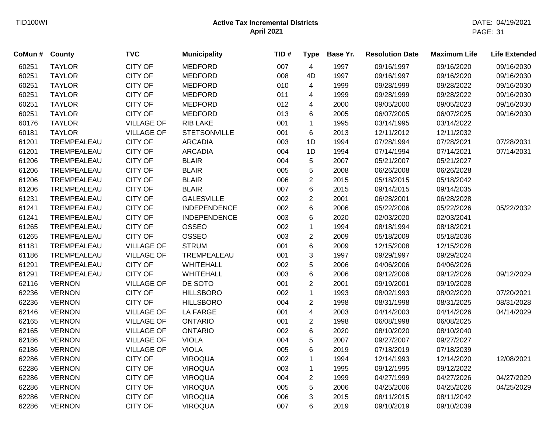| CoMun # | County        | <b>TVC</b>        | <b>Municipality</b> | TID# | <b>Type</b>             | Base Yr. | <b>Resolution Date</b> | <b>Maximum Life</b> | <b>Life Extended</b> |
|---------|---------------|-------------------|---------------------|------|-------------------------|----------|------------------------|---------------------|----------------------|
| 60251   | <b>TAYLOR</b> | <b>CITY OF</b>    | <b>MEDFORD</b>      | 007  | $\overline{4}$          | 1997     | 09/16/1997             | 09/16/2020          | 09/16/2030           |
| 60251   | <b>TAYLOR</b> | <b>CITY OF</b>    | <b>MEDFORD</b>      | 008  | 4D                      | 1997     | 09/16/1997             | 09/16/2020          | 09/16/2030           |
| 60251   | <b>TAYLOR</b> | <b>CITY OF</b>    | <b>MEDFORD</b>      | 010  | 4                       | 1999     | 09/28/1999             | 09/28/2022          | 09/16/2030           |
| 60251   | <b>TAYLOR</b> | <b>CITY OF</b>    | <b>MEDFORD</b>      | 011  | 4                       | 1999     | 09/28/1999             | 09/28/2022          | 09/16/2030           |
| 60251   | <b>TAYLOR</b> | <b>CITY OF</b>    | <b>MEDFORD</b>      | 012  | 4                       | 2000     | 09/05/2000             | 09/05/2023          | 09/16/2030           |
| 60251   | <b>TAYLOR</b> | <b>CITY OF</b>    | <b>MEDFORD</b>      | 013  | 6                       | 2005     | 06/07/2005             | 06/07/2025          | 09/16/2030           |
| 60176   | <b>TAYLOR</b> | <b>VILLAGE OF</b> | <b>RIB LAKE</b>     | 001  | $\mathbf{1}$            | 1995     | 03/14/1995             | 03/14/2022          |                      |
| 60181   | <b>TAYLOR</b> | <b>VILLAGE OF</b> | <b>STETSONVILLE</b> | 001  | 6                       | 2013     | 12/11/2012             | 12/11/2032          |                      |
| 61201   | TREMPEALEAU   | <b>CITY OF</b>    | <b>ARCADIA</b>      | 003  | 1D                      | 1994     | 07/28/1994             | 07/28/2021          | 07/28/2031           |
| 61201   | TREMPEALEAU   | <b>CITY OF</b>    | <b>ARCADIA</b>      | 004  | 1D                      | 1994     | 07/14/1994             | 07/14/2021          | 07/14/2031           |
| 61206   | TREMPEALEAU   | <b>CITY OF</b>    | <b>BLAIR</b>        | 004  | $\,$ 5 $\,$             | 2007     | 05/21/2007             | 05/21/2027          |                      |
| 61206   | TREMPEALEAU   | <b>CITY OF</b>    | <b>BLAIR</b>        | 005  | $\overline{5}$          | 2008     | 06/26/2008             | 06/26/2028          |                      |
| 61206   | TREMPEALEAU   | <b>CITY OF</b>    | <b>BLAIR</b>        | 006  | $\overline{2}$          | 2015     | 05/18/2015             | 05/18/2042          |                      |
| 61206   | TREMPEALEAU   | <b>CITY OF</b>    | <b>BLAIR</b>        | 007  | 6                       | 2015     | 09/14/2015             | 09/14/2035          |                      |
| 61231   | TREMPEALEAU   | <b>CITY OF</b>    | <b>GALESVILLE</b>   | 002  | $\overline{2}$          | 2001     | 06/28/2001             | 06/28/2028          |                      |
| 61241   | TREMPEALEAU   | <b>CITY OF</b>    | <b>INDEPENDENCE</b> | 002  | $6\phantom{1}$          | 2006     | 05/22/2006             | 05/22/2026          | 05/22/2032           |
| 61241   | TREMPEALEAU   | <b>CITY OF</b>    | <b>INDEPENDENCE</b> | 003  | 6                       | 2020     | 02/03/2020             | 02/03/2041          |                      |
| 61265   | TREMPEALEAU   | <b>CITY OF</b>    | <b>OSSEO</b>        | 002  | $\mathbf{1}$            | 1994     | 08/18/1994             | 08/18/2021          |                      |
| 61265   | TREMPEALEAU   | <b>CITY OF</b>    | <b>OSSEO</b>        | 003  | $\overline{c}$          | 2009     | 05/18/2009             | 05/18/2036          |                      |
| 61181   | TREMPEALEAU   | <b>VILLAGE OF</b> | <b>STRUM</b>        | 001  | 6                       | 2009     | 12/15/2008             | 12/15/2028          |                      |
| 61186   | TREMPEALEAU   | <b>VILLAGE OF</b> | TREMPEALEAU         | 001  | 3                       | 1997     | 09/29/1997             | 09/29/2024          |                      |
| 61291   | TREMPEALEAU   | <b>CITY OF</b>    | WHITEHALL           | 002  | 5                       | 2006     | 04/06/2006             | 04/06/2026          |                      |
| 61291   | TREMPEALEAU   | <b>CITY OF</b>    | WHITEHALL           | 003  | 6                       | 2006     | 09/12/2006             | 09/12/2026          | 09/12/2029           |
| 62116   | <b>VERNON</b> | <b>VILLAGE OF</b> | DE SOTO             | 001  | $\overline{2}$          | 2001     | 09/19/2001             | 09/19/2028          |                      |
| 62236   | <b>VERNON</b> | <b>CITY OF</b>    | <b>HILLSBORO</b>    | 002  | $\mathbf{1}$            | 1993     | 08/02/1993             | 08/02/2020          | 07/20/2021           |
| 62236   | <b>VERNON</b> | <b>CITY OF</b>    | <b>HILLSBORO</b>    | 004  | $\overline{2}$          | 1998     | 08/31/1998             | 08/31/2025          | 08/31/2028           |
| 62146   | <b>VERNON</b> | <b>VILLAGE OF</b> | <b>LA FARGE</b>     | 001  | $\overline{\mathbf{4}}$ | 2003     | 04/14/2003             | 04/14/2026          | 04/14/2029           |
| 62165   | <b>VERNON</b> | <b>VILLAGE OF</b> | <b>ONTARIO</b>      | 001  | $\overline{2}$          | 1998     | 06/08/1998             | 06/08/2025          |                      |
| 62165   | <b>VERNON</b> | <b>VILLAGE OF</b> | <b>ONTARIO</b>      | 002  | $\,6\,$                 | 2020     | 08/10/2020             | 08/10/2040          |                      |
| 62186   | <b>VERNON</b> | <b>VILLAGE OF</b> | <b>VIOLA</b>        | 004  | 5                       | 2007     | 09/27/2007             | 09/27/2027          |                      |
| 62186   | <b>VERNON</b> | <b>VILLAGE OF</b> | <b>VIOLA</b>        | 005  | 6                       | 2019     | 07/18/2019             | 07/18/2039          |                      |
| 62286   | <b>VERNON</b> | <b>CITY OF</b>    | <b>VIROQUA</b>      | 002  | $\mathbf{1}$            | 1994     | 12/14/1993             | 12/14/2020          | 12/08/2021           |
| 62286   | <b>VERNON</b> | <b>CITY OF</b>    | <b>VIROQUA</b>      | 003  | $\mathbf{1}$            | 1995     | 09/12/1995             | 09/12/2022          |                      |
| 62286   | <b>VERNON</b> | <b>CITY OF</b>    | <b>VIROQUA</b>      | 004  | $\overline{2}$          | 1999     | 04/27/1999             | 04/27/2026          | 04/27/2029           |
| 62286   | <b>VERNON</b> | <b>CITY OF</b>    | <b>VIROQUA</b>      | 005  | 5                       | 2006     | 04/25/2006             | 04/25/2026          | 04/25/2029           |
| 62286   | <b>VERNON</b> | <b>CITY OF</b>    | <b>VIROQUA</b>      | 006  | 3                       | 2015     | 08/11/2015             | 08/11/2042          |                      |
| 62286   | <b>VERNON</b> | <b>CITY OF</b>    | <b>VIROQUA</b>      | 007  | 6                       | 2019     | 09/10/2019             | 09/10/2039          |                      |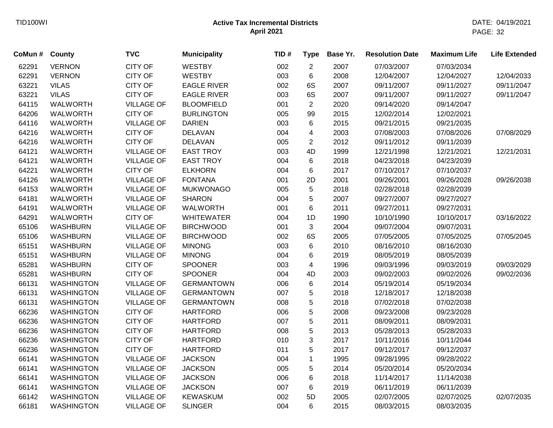| CoMun # | County            | <b>TVC</b>        | <b>Municipality</b> | TID# | <b>Type</b>             | Base Yr. | <b>Resolution Date</b> | <b>Maximum Life</b> | <b>Life Extended</b> |
|---------|-------------------|-------------------|---------------------|------|-------------------------|----------|------------------------|---------------------|----------------------|
| 62291   | <b>VERNON</b>     | <b>CITY OF</b>    | <b>WESTBY</b>       | 002  | $\overline{2}$          | 2007     | 07/03/2007             | 07/03/2034          |                      |
| 62291   | <b>VERNON</b>     | <b>CITY OF</b>    | <b>WESTBY</b>       | 003  | 6                       | 2008     | 12/04/2007             | 12/04/2027          | 12/04/2033           |
| 63221   | <b>VILAS</b>      | <b>CITY OF</b>    | <b>EAGLE RIVER</b>  | 002  | 6S                      | 2007     | 09/11/2007             | 09/11/2027          | 09/11/2047           |
| 63221   | <b>VILAS</b>      | <b>CITY OF</b>    | <b>EAGLE RIVER</b>  | 003  | 6S                      | 2007     | 09/11/2007             | 09/11/2027          | 09/11/2047           |
| 64115   | <b>WALWORTH</b>   | <b>VILLAGE OF</b> | <b>BLOOMFIELD</b>   | 001  | $\overline{2}$          | 2020     | 09/14/2020             | 09/14/2047          |                      |
| 64206   | <b>WALWORTH</b>   | <b>CITY OF</b>    | <b>BURLINGTON</b>   | 005  | 99                      | 2015     | 12/02/2014             | 12/02/2021          |                      |
| 64116   | <b>WALWORTH</b>   | <b>VILLAGE OF</b> | <b>DARIEN</b>       | 003  | 6                       | 2015     | 09/21/2015             | 09/21/2035          |                      |
| 64216   | WALWORTH          | <b>CITY OF</b>    | <b>DELAVAN</b>      | 004  | $\overline{\mathbf{4}}$ | 2003     | 07/08/2003             | 07/08/2026          | 07/08/2029           |
| 64216   | <b>WALWORTH</b>   | <b>CITY OF</b>    | <b>DELAVAN</b>      | 005  | $\overline{2}$          | 2012     | 09/11/2012             | 09/11/2039          |                      |
| 64121   | <b>WALWORTH</b>   | <b>VILLAGE OF</b> | <b>EAST TROY</b>    | 003  | 4D                      | 1999     | 12/21/1998             | 12/21/2021          | 12/21/2031           |
| 64121   | <b>WALWORTH</b>   | <b>VILLAGE OF</b> | <b>EAST TROY</b>    | 004  | 6                       | 2018     | 04/23/2018             | 04/23/2039          |                      |
| 64221   | <b>WALWORTH</b>   | <b>CITY OF</b>    | <b>ELKHORN</b>      | 004  | 6                       | 2017     | 07/10/2017             | 07/10/2037          |                      |
| 64126   | <b>WALWORTH</b>   | <b>VILLAGE OF</b> | <b>FONTANA</b>      | 001  | 2D                      | 2001     | 09/26/2001             | 09/26/2028          | 09/26/2038           |
| 64153   | <b>WALWORTH</b>   | <b>VILLAGE OF</b> | <b>MUKWONAGO</b>    | 005  | 5                       | 2018     | 02/28/2018             | 02/28/2039          |                      |
| 64181   | <b>WALWORTH</b>   | <b>VILLAGE OF</b> | <b>SHARON</b>       | 004  | 5                       | 2007     | 09/27/2007             | 09/27/2027          |                      |
| 64191   | <b>WALWORTH</b>   | <b>VILLAGE OF</b> | <b>WALWORTH</b>     | 001  | 6                       | 2011     | 09/27/2011             | 09/27/2031          |                      |
| 64291   | <b>WALWORTH</b>   | <b>CITY OF</b>    | <b>WHITEWATER</b>   | 004  | 1D                      | 1990     | 10/10/1990             | 10/10/2017          | 03/16/2022           |
| 65106   | <b>WASHBURN</b>   | <b>VILLAGE OF</b> | <b>BIRCHWOOD</b>    | 001  | 3                       | 2004     | 09/07/2004             | 09/07/2031          |                      |
| 65106   | <b>WASHBURN</b>   | <b>VILLAGE OF</b> | <b>BIRCHWOOD</b>    | 002  | 6S                      | 2005     | 07/05/2005             | 07/05/2025          | 07/05/2045           |
| 65151   | <b>WASHBURN</b>   | <b>VILLAGE OF</b> | <b>MINONG</b>       | 003  | 6                       | 2010     | 08/16/2010             | 08/16/2030          |                      |
| 65151   | <b>WASHBURN</b>   | <b>VILLAGE OF</b> | <b>MINONG</b>       | 004  | 6                       | 2019     | 08/05/2019             | 08/05/2039          |                      |
| 65281   | <b>WASHBURN</b>   | <b>CITY OF</b>    | <b>SPOONER</b>      | 003  | 4                       | 1996     | 09/03/1996             | 09/03/2019          | 09/03/2029           |
| 65281   | <b>WASHBURN</b>   | <b>CITY OF</b>    | <b>SPOONER</b>      | 004  | 4D                      | 2003     | 09/02/2003             | 09/02/2026          | 09/02/2036           |
| 66131   | <b>WASHINGTON</b> | <b>VILLAGE OF</b> | <b>GERMANTOWN</b>   | 006  | 6                       | 2014     | 05/19/2014             | 05/19/2034          |                      |
| 66131   | <b>WASHINGTON</b> | <b>VILLAGE OF</b> | <b>GERMANTOWN</b>   | 007  | $\,$ 5 $\,$             | 2018     | 12/18/2017             | 12/18/2038          |                      |
| 66131   | <b>WASHINGTON</b> | <b>VILLAGE OF</b> | <b>GERMANTOWN</b>   | 008  | $\mathbf 5$             | 2018     | 07/02/2018             | 07/02/2038          |                      |
| 66236   | <b>WASHINGTON</b> | <b>CITY OF</b>    | <b>HARTFORD</b>     | 006  | $\mathbf 5$             | 2008     | 09/23/2008             | 09/23/2028          |                      |
| 66236   | <b>WASHINGTON</b> | <b>CITY OF</b>    | <b>HARTFORD</b>     | 007  | $\mathbf 5$             | 2011     | 08/09/2011             | 08/09/2031          |                      |
| 66236   | <b>WASHINGTON</b> | <b>CITY OF</b>    | <b>HARTFORD</b>     | 008  | 5                       | 2013     | 05/28/2013             | 05/28/2033          |                      |
| 66236   | <b>WASHINGTON</b> | <b>CITY OF</b>    | <b>HARTFORD</b>     | 010  | 3                       | 2017     | 10/11/2016             | 10/11/2044          |                      |
| 66236   | <b>WASHINGTON</b> | <b>CITY OF</b>    | <b>HARTFORD</b>     | 011  | 5                       | 2017     | 09/12/2017             | 09/12/2037          |                      |
| 66141   | <b>WASHINGTON</b> | <b>VILLAGE OF</b> | <b>JACKSON</b>      | 004  | $\mathbf{1}$            | 1995     | 09/28/1995             | 09/28/2022          |                      |
| 66141   | <b>WASHINGTON</b> | <b>VILLAGE OF</b> | <b>JACKSON</b>      | 005  | 5                       | 2014     | 05/20/2014             | 05/20/2034          |                      |
| 66141   | <b>WASHINGTON</b> | <b>VILLAGE OF</b> | <b>JACKSON</b>      | 006  | 6                       | 2018     | 11/14/2017             | 11/14/2038          |                      |
| 66141   | <b>WASHINGTON</b> | <b>VILLAGE OF</b> | <b>JACKSON</b>      | 007  | 6                       | 2019     | 06/11/2019             | 06/11/2039          |                      |
| 66142   | <b>WASHINGTON</b> | <b>VILLAGE OF</b> | <b>KEWASKUM</b>     | 002  | 5D                      | 2005     | 02/07/2005             | 02/07/2025          | 02/07/2035           |
| 66181   | <b>WASHINGTON</b> | <b>VILLAGE OF</b> | <b>SLINGER</b>      | 004  | 6                       | 2015     | 08/03/2015             | 08/03/2035          |                      |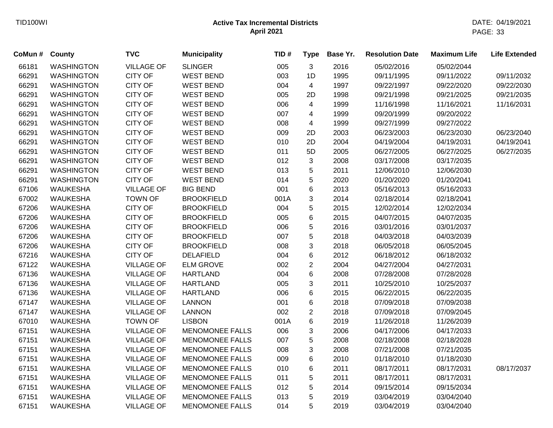| CoMun # | <b>County</b>     | <b>TVC</b>        | <b>Municipality</b>    | TID# | <b>Type</b>               | Base Yr. | <b>Resolution Date</b> | <b>Maximum Life</b> | <b>Life Extended</b> |
|---------|-------------------|-------------------|------------------------|------|---------------------------|----------|------------------------|---------------------|----------------------|
| 66181   | <b>WASHINGTON</b> | <b>VILLAGE OF</b> | <b>SLINGER</b>         | 005  | 3                         | 2016     | 05/02/2016             | 05/02/2044          |                      |
| 66291   | <b>WASHINGTON</b> | <b>CITY OF</b>    | <b>WEST BEND</b>       | 003  | 1D                        | 1995     | 09/11/1995             | 09/11/2022          | 09/11/2032           |
| 66291   | <b>WASHINGTON</b> | <b>CITY OF</b>    | <b>WEST BEND</b>       | 004  | 4                         | 1997     | 09/22/1997             | 09/22/2020          | 09/22/2030           |
| 66291   | <b>WASHINGTON</b> | <b>CITY OF</b>    | <b>WEST BEND</b>       | 005  | 2D                        | 1998     | 09/21/1998             | 09/21/2025          | 09/21/2035           |
| 66291   | <b>WASHINGTON</b> | <b>CITY OF</b>    | <b>WEST BEND</b>       | 006  | 4                         | 1999     | 11/16/1998             | 11/16/2021          | 11/16/2031           |
| 66291   | <b>WASHINGTON</b> | CITY OF           | <b>WEST BEND</b>       | 007  | 4                         | 1999     | 09/20/1999             | 09/20/2022          |                      |
| 66291   | <b>WASHINGTON</b> | <b>CITY OF</b>    | <b>WEST BEND</b>       | 008  | 4                         | 1999     | 09/27/1999             | 09/27/2022          |                      |
| 66291   | <b>WASHINGTON</b> | CITY OF           | <b>WEST BEND</b>       | 009  | 2D                        | 2003     | 06/23/2003             | 06/23/2030          | 06/23/2040           |
| 66291   | <b>WASHINGTON</b> | CITY OF           | <b>WEST BEND</b>       | 010  | 2D                        | 2004     | 04/19/2004             | 04/19/2031          | 04/19/2041           |
| 66291   | <b>WASHINGTON</b> | <b>CITY OF</b>    | <b>WEST BEND</b>       | 011  | 5D                        | 2005     | 06/27/2005             | 06/27/2025          | 06/27/2035           |
| 66291   | <b>WASHINGTON</b> | <b>CITY OF</b>    | <b>WEST BEND</b>       | 012  | $\ensuremath{\mathsf{3}}$ | 2008     | 03/17/2008             | 03/17/2035          |                      |
| 66291   | <b>WASHINGTON</b> | <b>CITY OF</b>    | <b>WEST BEND</b>       | 013  | $\sqrt{5}$                | 2011     | 12/06/2010             | 12/06/2030          |                      |
| 66291   | <b>WASHINGTON</b> | <b>CITY OF</b>    | <b>WEST BEND</b>       | 014  | 5                         | 2020     | 01/20/2020             | 01/20/2041          |                      |
| 67106   | <b>WAUKESHA</b>   | <b>VILLAGE OF</b> | <b>BIG BEND</b>        | 001  | 6                         | 2013     | 05/16/2013             | 05/16/2033          |                      |
| 67002   | <b>WAUKESHA</b>   | <b>TOWN OF</b>    | <b>BROOKFIELD</b>      | 001A | 3                         | 2014     | 02/18/2014             | 02/18/2041          |                      |
| 67206   | <b>WAUKESHA</b>   | <b>CITY OF</b>    | <b>BROOKFIELD</b>      | 004  | 5                         | 2015     | 12/02/2014             | 12/02/2034          |                      |
| 67206   | <b>WAUKESHA</b>   | <b>CITY OF</b>    | <b>BROOKFIELD</b>      | 005  | 6                         | 2015     | 04/07/2015             | 04/07/2035          |                      |
| 67206   | <b>WAUKESHA</b>   | <b>CITY OF</b>    | <b>BROOKFIELD</b>      | 006  | 5                         | 2016     | 03/01/2016             | 03/01/2037          |                      |
| 67206   | <b>WAUKESHA</b>   | <b>CITY OF</b>    | <b>BROOKFIELD</b>      | 007  | 5                         | 2018     | 04/03/2018             | 04/03/2039          |                      |
| 67206   | <b>WAUKESHA</b>   | <b>CITY OF</b>    | <b>BROOKFIELD</b>      | 008  | 3                         | 2018     | 06/05/2018             | 06/05/2045          |                      |
| 67216   | <b>WAUKESHA</b>   | <b>CITY OF</b>    | <b>DELAFIELD</b>       | 004  | 6                         | 2012     | 06/18/2012             | 06/18/2032          |                      |
| 67122   | <b>WAUKESHA</b>   | <b>VILLAGE OF</b> | <b>ELM GROVE</b>       | 002  | $\overline{c}$            | 2004     | 04/27/2004             | 04/27/2031          |                      |
| 67136   | <b>WAUKESHA</b>   | <b>VILLAGE OF</b> | <b>HARTLAND</b>        | 004  | $\,6$                     | 2008     | 07/28/2008             | 07/28/2028          |                      |
| 67136   | <b>WAUKESHA</b>   | <b>VILLAGE OF</b> | <b>HARTLAND</b>        | 005  | 3                         | 2011     | 10/25/2010             | 10/25/2037          |                      |
| 67136   | <b>WAUKESHA</b>   | <b>VILLAGE OF</b> | <b>HARTLAND</b>        | 006  | $\,6$                     | 2015     | 06/22/2015             | 06/22/2035          |                      |
| 67147   | <b>WAUKESHA</b>   | <b>VILLAGE OF</b> | <b>LANNON</b>          | 001  | 6                         | 2018     | 07/09/2018             | 07/09/2038          |                      |
| 67147   | <b>WAUKESHA</b>   | <b>VILLAGE OF</b> | <b>LANNON</b>          | 002  | $\overline{2}$            | 2018     | 07/09/2018             | 07/09/2045          |                      |
| 67010   | <b>WAUKESHA</b>   | <b>TOWN OF</b>    | <b>LISBON</b>          | 001A | $\,6$                     | 2019     | 11/26/2018             | 11/26/2039          |                      |
| 67151   | <b>WAUKESHA</b>   | <b>VILLAGE OF</b> | <b>MENOMONEE FALLS</b> | 006  | 3                         | 2006     | 04/17/2006             | 04/17/2033          |                      |
| 67151   | <b>WAUKESHA</b>   | <b>VILLAGE OF</b> | <b>MENOMONEE FALLS</b> | 007  | 5                         | 2008     | 02/18/2008             | 02/18/2028          |                      |
| 67151   | <b>WAUKESHA</b>   | <b>VILLAGE OF</b> | <b>MENOMONEE FALLS</b> | 008  | 3                         | 2008     | 07/21/2008             | 07/21/2035          |                      |
| 67151   | <b>WAUKESHA</b>   | <b>VILLAGE OF</b> | <b>MENOMONEE FALLS</b> | 009  | 6                         | 2010     | 01/18/2010             | 01/18/2030          |                      |
| 67151   | <b>WAUKESHA</b>   | <b>VILLAGE OF</b> | <b>MENOMONEE FALLS</b> | 010  | 6                         | 2011     | 08/17/2011             | 08/17/2031          | 08/17/2037           |
| 67151   | <b>WAUKESHA</b>   | <b>VILLAGE OF</b> | <b>MENOMONEE FALLS</b> | 011  | 5                         | 2011     | 08/17/2011             | 08/17/2031          |                      |
| 67151   | <b>WAUKESHA</b>   | <b>VILLAGE OF</b> | <b>MENOMONEE FALLS</b> | 012  | 5                         | 2014     | 09/15/2014             | 09/15/2034          |                      |
| 67151   | <b>WAUKESHA</b>   | <b>VILLAGE OF</b> | <b>MENOMONEE FALLS</b> | 013  | 5                         | 2019     | 03/04/2019             | 03/04/2040          |                      |
| 67151   | <b>WAUKESHA</b>   | <b>VILLAGE OF</b> | <b>MENOMONEE FALLS</b> | 014  | 5                         | 2019     | 03/04/2019             | 03/04/2040          |                      |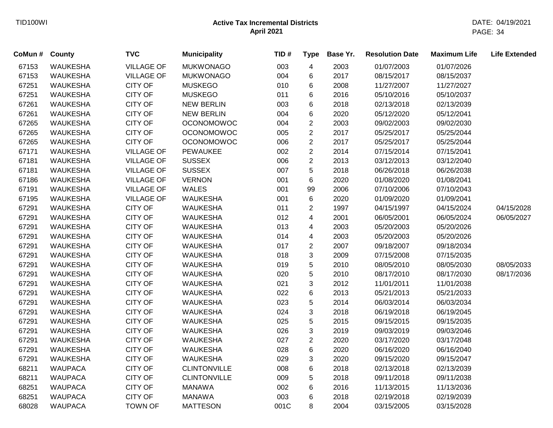| CoMun # County |                 | <b>TVC</b>        | <b>Municipality</b> | TID# | <b>Type</b>    | Base Yr. | <b>Resolution Date</b> | <b>Maximum Life</b> | <b>Life Extended</b> |
|----------------|-----------------|-------------------|---------------------|------|----------------|----------|------------------------|---------------------|----------------------|
| 67153          | <b>WAUKESHA</b> | <b>VILLAGE OF</b> | <b>MUKWONAGO</b>    | 003  | $\overline{4}$ | 2003     | 01/07/2003             | 01/07/2026          |                      |
| 67153          | <b>WAUKESHA</b> | <b>VILLAGE OF</b> | <b>MUKWONAGO</b>    | 004  | 6              | 2017     | 08/15/2017             | 08/15/2037          |                      |
| 67251          | <b>WAUKESHA</b> | <b>CITY OF</b>    | <b>MUSKEGO</b>      | 010  | 6              | 2008     | 11/27/2007             | 11/27/2027          |                      |
| 67251          | <b>WAUKESHA</b> | <b>CITY OF</b>    | <b>MUSKEGO</b>      | 011  | 6              | 2016     | 05/10/2016             | 05/10/2037          |                      |
| 67261          | <b>WAUKESHA</b> | <b>CITY OF</b>    | <b>NEW BERLIN</b>   | 003  | 6              | 2018     | 02/13/2018             | 02/13/2039          |                      |
| 67261          | <b>WAUKESHA</b> | <b>CITY OF</b>    | <b>NEW BERLIN</b>   | 004  | 6              | 2020     | 05/12/2020             | 05/12/2041          |                      |
| 67265          | <b>WAUKESHA</b> | <b>CITY OF</b>    | <b>OCONOMOWOC</b>   | 004  | $\overline{2}$ | 2003     | 09/02/2003             | 09/02/2030          |                      |
| 67265          | <b>WAUKESHA</b> | <b>CITY OF</b>    | <b>OCONOMOWOC</b>   | 005  | $\overline{c}$ | 2017     | 05/25/2017             | 05/25/2044          |                      |
| 67265          | WAUKESHA        | <b>CITY OF</b>    | <b>OCONOMOWOC</b>   | 006  | $\overline{2}$ | 2017     | 05/25/2017             | 05/25/2044          |                      |
| 67171          | <b>WAUKESHA</b> | <b>VILLAGE OF</b> | PEWAUKEE            | 002  | $\overline{2}$ | 2014     | 07/15/2014             | 07/15/2041          |                      |
| 67181          | <b>WAUKESHA</b> | <b>VILLAGE OF</b> | <b>SUSSEX</b>       | 006  | $\overline{2}$ | 2013     | 03/12/2013             | 03/12/2040          |                      |
| 67181          | <b>WAUKESHA</b> | <b>VILLAGE OF</b> | <b>SUSSEX</b>       | 007  | 5              | 2018     | 06/26/2018             | 06/26/2038          |                      |
| 67186          | <b>WAUKESHA</b> | <b>VILLAGE OF</b> | <b>VERNON</b>       | 001  | 6              | 2020     | 01/08/2020             | 01/08/2041          |                      |
| 67191          | <b>WAUKESHA</b> | <b>VILLAGE OF</b> | <b>WALES</b>        | 001  | 99             | 2006     | 07/10/2006             | 07/10/2043          |                      |
| 67195          | <b>WAUKESHA</b> | <b>VILLAGE OF</b> | <b>WAUKESHA</b>     | 001  | $\,6\,$        | 2020     | 01/09/2020             | 01/09/2041          |                      |
| 67291          | <b>WAUKESHA</b> | <b>CITY OF</b>    | <b>WAUKESHA</b>     | 011  | $\overline{2}$ | 1997     | 04/15/1997             | 04/15/2024          | 04/15/2028           |
| 67291          | <b>WAUKESHA</b> | <b>CITY OF</b>    | <b>WAUKESHA</b>     | 012  | 4              | 2001     | 06/05/2001             | 06/05/2024          | 06/05/2027           |
| 67291          | <b>WAUKESHA</b> | <b>CITY OF</b>    | <b>WAUKESHA</b>     | 013  | 4              | 2003     | 05/20/2003             | 05/20/2026          |                      |
| 67291          | <b>WAUKESHA</b> | <b>CITY OF</b>    | <b>WAUKESHA</b>     | 014  | 4              | 2003     | 05/20/2003             | 05/20/2026          |                      |
| 67291          | <b>WAUKESHA</b> | <b>CITY OF</b>    | <b>WAUKESHA</b>     | 017  | $\overline{2}$ | 2007     | 09/18/2007             | 09/18/2034          |                      |
| 67291          | <b>WAUKESHA</b> | <b>CITY OF</b>    | <b>WAUKESHA</b>     | 018  | 3              | 2009     | 07/15/2008             | 07/15/2035          |                      |
| 67291          | <b>WAUKESHA</b> | <b>CITY OF</b>    | WAUKESHA            | 019  | 5              | 2010     | 08/05/2010             | 08/05/2030          | 08/05/2033           |
| 67291          | <b>WAUKESHA</b> | <b>CITY OF</b>    | <b>WAUKESHA</b>     | 020  | 5              | 2010     | 08/17/2010             | 08/17/2030          | 08/17/2036           |
| 67291          | <b>WAUKESHA</b> | <b>CITY OF</b>    | <b>WAUKESHA</b>     | 021  | 3              | 2012     | 11/01/2011             | 11/01/2038          |                      |
| 67291          | <b>WAUKESHA</b> | <b>CITY OF</b>    | <b>WAUKESHA</b>     | 022  | 6              | 2013     | 05/21/2013             | 05/21/2033          |                      |
| 67291          | <b>WAUKESHA</b> | <b>CITY OF</b>    | <b>WAUKESHA</b>     | 023  | 5              | 2014     | 06/03/2014             | 06/03/2034          |                      |
| 67291          | <b>WAUKESHA</b> | <b>CITY OF</b>    | <b>WAUKESHA</b>     | 024  | 3              | 2018     | 06/19/2018             | 06/19/2045          |                      |
| 67291          | <b>WAUKESHA</b> | <b>CITY OF</b>    | <b>WAUKESHA</b>     | 025  | 5              | 2015     | 09/15/2015             | 09/15/2035          |                      |
| 67291          | WAUKESHA        | <b>CITY OF</b>    | <b>WAUKESHA</b>     | 026  | 3              | 2019     | 09/03/2019             | 09/03/2046          |                      |
| 67291          | WAUKESHA        | <b>CITY OF</b>    | <b>WAUKESHA</b>     | 027  | $\overline{2}$ | 2020     | 03/17/2020             | 03/17/2048          |                      |
| 67291          | <b>WAUKESHA</b> | <b>CITY OF</b>    | <b>WAUKESHA</b>     | 028  | 6              | 2020     | 06/16/2020             | 06/16/2040          |                      |
| 67291          | <b>WAUKESHA</b> | <b>CITY OF</b>    | <b>WAUKESHA</b>     | 029  | 3              | 2020     | 09/15/2020             | 09/15/2047          |                      |
| 68211          | <b>WAUPACA</b>  | <b>CITY OF</b>    | <b>CLINTONVILLE</b> | 008  | 6              | 2018     | 02/13/2018             | 02/13/2039          |                      |
| 68211          | <b>WAUPACA</b>  | CITY OF           | <b>CLINTONVILLE</b> | 009  | 5              | 2018     | 09/11/2018             | 09/11/2038          |                      |
| 68251          | <b>WAUPACA</b>  | <b>CITY OF</b>    | <b>MANAWA</b>       | 002  | 6              | 2016     | 11/13/2015             | 11/13/2036          |                      |
| 68251          | <b>WAUPACA</b>  | <b>CITY OF</b>    | <b>MANAWA</b>       | 003  | 6              | 2018     | 02/19/2018             | 02/19/2039          |                      |
| 68028          | <b>WAUPACA</b>  | <b>TOWN OF</b>    | <b>MATTESON</b>     | 001C | 8              | 2004     | 03/15/2005             | 03/15/2028          |                      |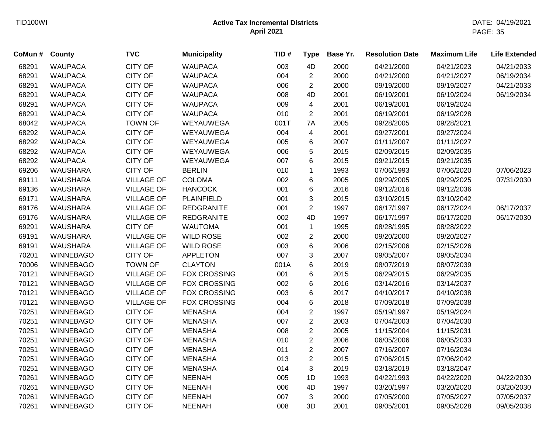| County           | <b>TVC</b>        | <b>Municipality</b> | TID# | <b>Type</b>    | Base Yr. | <b>Resolution Date</b> | <b>Maximum Life</b> | <b>Life Extended</b> |
|------------------|-------------------|---------------------|------|----------------|----------|------------------------|---------------------|----------------------|
| <b>WAUPACA</b>   | <b>CITY OF</b>    | <b>WAUPACA</b>      | 003  | 4D             | 2000     | 04/21/2000             | 04/21/2023          | 04/21/2033           |
| <b>WAUPACA</b>   | <b>CITY OF</b>    | <b>WAUPACA</b>      | 004  | $\overline{c}$ | 2000     | 04/21/2000             | 04/21/2027          | 06/19/2034           |
| <b>WAUPACA</b>   | <b>CITY OF</b>    | <b>WAUPACA</b>      | 006  | $\overline{2}$ | 2000     | 09/19/2000             | 09/19/2027          | 04/21/2033           |
| <b>WAUPACA</b>   | <b>CITY OF</b>    | <b>WAUPACA</b>      | 008  | 4D             | 2001     | 06/19/2001             | 06/19/2024          | 06/19/2034           |
| <b>WAUPACA</b>   | <b>CITY OF</b>    | <b>WAUPACA</b>      | 009  | 4              | 2001     | 06/19/2001             | 06/19/2024          |                      |
| <b>WAUPACA</b>   | <b>CITY OF</b>    | <b>WAUPACA</b>      | 010  | $\overline{2}$ | 2001     | 06/19/2001             | 06/19/2028          |                      |
| <b>WAUPACA</b>   | <b>TOWN OF</b>    | WEYAUWEGA           | 001T | 7A             | 2005     | 09/28/2005             | 09/28/2021          |                      |
| <b>WAUPACA</b>   | <b>CITY OF</b>    | WEYAUWEGA           | 004  | 4              | 2001     | 09/27/2001             | 09/27/2024          |                      |
| <b>WAUPACA</b>   | <b>CITY OF</b>    | WEYAUWEGA           | 005  | 6              | 2007     | 01/11/2007             | 01/11/2027          |                      |
| <b>WAUPACA</b>   | <b>CITY OF</b>    | WEYAUWEGA           | 006  | 5              | 2015     | 02/09/2015             | 02/09/2035          |                      |
| <b>WAUPACA</b>   | <b>CITY OF</b>    | WEYAUWEGA           | 007  | 6              | 2015     | 09/21/2015             | 09/21/2035          |                      |
| <b>WAUSHARA</b>  | <b>CITY OF</b>    | <b>BERLIN</b>       | 010  | $\mathbf{1}$   | 1993     | 07/06/1993             | 07/06/2020          | 07/06/2023           |
| <b>WAUSHARA</b>  | <b>VILLAGE OF</b> | <b>COLOMA</b>       | 002  | $\,6\,$        | 2005     | 09/29/2005             | 09/29/2025          | 07/31/2030           |
| <b>WAUSHARA</b>  | <b>VILLAGE OF</b> | <b>HANCOCK</b>      | 001  | 6              | 2016     | 09/12/2016             | 09/12/2036          |                      |
| <b>WAUSHARA</b>  | <b>VILLAGE OF</b> | <b>PLAINFIELD</b>   | 001  | 3              | 2015     | 03/10/2015             | 03/10/2042          |                      |
| <b>WAUSHARA</b>  | <b>VILLAGE OF</b> | <b>REDGRANITE</b>   | 001  | $\overline{2}$ | 1997     | 06/17/1997             | 06/17/2024          | 06/17/2037           |
| <b>WAUSHARA</b>  | <b>VILLAGE OF</b> | <b>REDGRANITE</b>   | 002  | 4D             | 1997     | 06/17/1997             | 06/17/2020          | 06/17/2030           |
| WAUSHARA         | <b>CITY OF</b>    | <b>WAUTOMA</b>      | 001  | $\mathbf{1}$   | 1995     | 08/28/1995             | 08/28/2022          |                      |
| <b>WAUSHARA</b>  | <b>VILLAGE OF</b> | <b>WILD ROSE</b>    | 002  | $\overline{c}$ | 2000     | 09/20/2000             | 09/20/2027          |                      |
| <b>WAUSHARA</b>  | <b>VILLAGE OF</b> | <b>WILD ROSE</b>    | 003  | 6              | 2006     | 02/15/2006             | 02/15/2026          |                      |
| <b>WINNEBAGO</b> | <b>CITY OF</b>    | <b>APPLETON</b>     | 007  | 3              | 2007     | 09/05/2007             | 09/05/2034          |                      |
| <b>WINNEBAGO</b> | <b>TOWN OF</b>    | <b>CLAYTON</b>      | 001A | 6              | 2019     | 08/07/2019             | 08/07/2039          |                      |
| <b>WINNEBAGO</b> | <b>VILLAGE OF</b> | <b>FOX CROSSING</b> | 001  | 6              | 2015     | 06/29/2015             | 06/29/2035          |                      |
| <b>WINNEBAGO</b> | <b>VILLAGE OF</b> | <b>FOX CROSSING</b> | 002  | 6              | 2016     | 03/14/2016             | 03/14/2037          |                      |
| <b>WINNEBAGO</b> | <b>VILLAGE OF</b> | <b>FOX CROSSING</b> | 003  | 6              | 2017     | 04/10/2017             | 04/10/2038          |                      |
| <b>WINNEBAGO</b> | <b>VILLAGE OF</b> | <b>FOX CROSSING</b> | 004  | $\,6$          | 2018     | 07/09/2018             | 07/09/2038          |                      |
| <b>WINNEBAGO</b> | <b>CITY OF</b>    | <b>MENASHA</b>      | 004  | $\overline{c}$ | 1997     | 05/19/1997             | 05/19/2024          |                      |
| <b>WINNEBAGO</b> | <b>CITY OF</b>    | <b>MENASHA</b>      | 007  | $\overline{c}$ | 2003     | 07/04/2003             | 07/04/2030          |                      |
| <b>WINNEBAGO</b> | <b>CITY OF</b>    | <b>MENASHA</b>      | 008  | $\overline{c}$ | 2005     | 11/15/2004             | 11/15/2031          |                      |
| <b>WINNEBAGO</b> | <b>CITY OF</b>    | <b>MENASHA</b>      | 010  | $\overline{c}$ | 2006     | 06/05/2006             | 06/05/2033          |                      |
| <b>WINNEBAGO</b> | <b>CITY OF</b>    | <b>MENASHA</b>      | 011  | $\overline{c}$ | 2007     | 07/16/2007             | 07/16/2034          |                      |
| <b>WINNEBAGO</b> | <b>CITY OF</b>    | <b>MENASHA</b>      | 013  | $\overline{c}$ | 2015     | 07/06/2015             | 07/06/2042          |                      |
| <b>WINNEBAGO</b> | <b>CITY OF</b>    | <b>MENASHA</b>      | 014  | 3              | 2019     | 03/18/2019             | 03/18/2047          |                      |
| <b>WINNEBAGO</b> | <b>CITY OF</b>    | <b>NEENAH</b>       | 005  | 1D             | 1993     | 04/22/1993             | 04/22/2020          | 04/22/2030           |
| <b>WINNEBAGO</b> | <b>CITY OF</b>    | <b>NEENAH</b>       | 006  | 4D             | 1997     | 03/20/1997             | 03/20/2020          | 03/20/2030           |
| <b>WINNEBAGO</b> | <b>CITY OF</b>    | <b>NEENAH</b>       | 007  | 3              | 2000     | 07/05/2000             | 07/05/2027          | 07/05/2037           |
| <b>WINNEBAGO</b> | <b>CITY OF</b>    | <b>NEENAH</b>       | 008  | 3D             | 2001     | 09/05/2001             | 09/05/2028          | 09/05/2038           |
|                  |                   |                     |      |                |          |                        |                     |                      |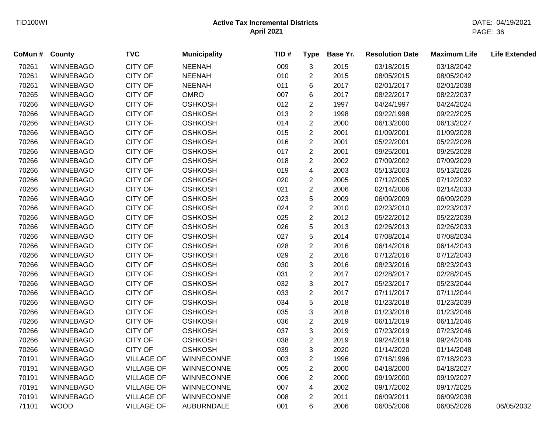| CoMun # | County           | <b>TVC</b>        | <b>Municipality</b> | TID# | <b>Type</b>             | Base Yr. | <b>Resolution Date</b> | <b>Maximum Life</b> | <b>Life Extended</b> |
|---------|------------------|-------------------|---------------------|------|-------------------------|----------|------------------------|---------------------|----------------------|
| 70261   | <b>WINNEBAGO</b> | <b>CITY OF</b>    | <b>NEENAH</b>       | 009  | 3                       | 2015     | 03/18/2015             | 03/18/2042          |                      |
| 70261   | <b>WINNEBAGO</b> | <b>CITY OF</b>    | <b>NEENAH</b>       | 010  | $\overline{2}$          | 2015     | 08/05/2015             | 08/05/2042          |                      |
| 70261   | <b>WINNEBAGO</b> | <b>CITY OF</b>    | <b>NEENAH</b>       | 011  | 6                       | 2017     | 02/01/2017             | 02/01/2038          |                      |
| 70265   | <b>WINNEBAGO</b> | <b>CITY OF</b>    | <b>OMRO</b>         | 007  | 6                       | 2017     | 08/22/2017             | 08/22/2037          |                      |
| 70266   | <b>WINNEBAGO</b> | <b>CITY OF</b>    | <b>OSHKOSH</b>      | 012  | $\overline{c}$          | 1997     | 04/24/1997             | 04/24/2024          |                      |
| 70266   | <b>WINNEBAGO</b> | <b>CITY OF</b>    | <b>OSHKOSH</b>      | 013  | $\overline{c}$          | 1998     | 09/22/1998             | 09/22/2025          |                      |
| 70266   | <b>WINNEBAGO</b> | <b>CITY OF</b>    | <b>OSHKOSH</b>      | 014  | $\overline{c}$          | 2000     | 06/13/2000             | 06/13/2027          |                      |
| 70266   | <b>WINNEBAGO</b> | <b>CITY OF</b>    | <b>OSHKOSH</b>      | 015  | $\overline{c}$          | 2001     | 01/09/2001             | 01/09/2028          |                      |
| 70266   | <b>WINNEBAGO</b> | <b>CITY OF</b>    | <b>OSHKOSH</b>      | 016  | $\overline{2}$          | 2001     | 05/22/2001             | 05/22/2028          |                      |
| 70266   | <b>WINNEBAGO</b> | <b>CITY OF</b>    | <b>OSHKOSH</b>      | 017  | $\overline{2}$          | 2001     | 09/25/2001             | 09/25/2028          |                      |
| 70266   | <b>WINNEBAGO</b> | <b>CITY OF</b>    | <b>OSHKOSH</b>      | 018  | $\overline{2}$          | 2002     | 07/09/2002             | 07/09/2029          |                      |
| 70266   | <b>WINNEBAGO</b> | <b>CITY OF</b>    | <b>OSHKOSH</b>      | 019  | $\overline{\mathbf{4}}$ | 2003     | 05/13/2003             | 05/13/2026          |                      |
| 70266   | <b>WINNEBAGO</b> | <b>CITY OF</b>    | <b>OSHKOSH</b>      | 020  | $\overline{c}$          | 2005     | 07/12/2005             | 07/12/2032          |                      |
| 70266   | <b>WINNEBAGO</b> | <b>CITY OF</b>    | <b>OSHKOSH</b>      | 021  | $\overline{c}$          | 2006     | 02/14/2006             | 02/14/2033          |                      |
| 70266   | <b>WINNEBAGO</b> | <b>CITY OF</b>    | <b>OSHKOSH</b>      | 023  | 5                       | 2009     | 06/09/2009             | 06/09/2029          |                      |
| 70266   | <b>WINNEBAGO</b> | <b>CITY OF</b>    | <b>OSHKOSH</b>      | 024  | $\overline{2}$          | 2010     | 02/23/2010             | 02/23/2037          |                      |
| 70266   | <b>WINNEBAGO</b> | <b>CITY OF</b>    | <b>OSHKOSH</b>      | 025  | $\overline{c}$          | 2012     | 05/22/2012             | 05/22/2039          |                      |
| 70266   | <b>WINNEBAGO</b> | <b>CITY OF</b>    | <b>OSHKOSH</b>      | 026  | 5                       | 2013     | 02/26/2013             | 02/26/2033          |                      |
| 70266   | <b>WINNEBAGO</b> | <b>CITY OF</b>    | <b>OSHKOSH</b>      | 027  | 5                       | 2014     | 07/08/2014             | 07/08/2034          |                      |
| 70266   | <b>WINNEBAGO</b> | <b>CITY OF</b>    | <b>OSHKOSH</b>      | 028  | $\overline{c}$          | 2016     | 06/14/2016             | 06/14/2043          |                      |
| 70266   | <b>WINNEBAGO</b> | <b>CITY OF</b>    | <b>OSHKOSH</b>      | 029  | $\overline{c}$          | 2016     | 07/12/2016             | 07/12/2043          |                      |
| 70266   | <b>WINNEBAGO</b> | <b>CITY OF</b>    | <b>OSHKOSH</b>      | 030  | 3                       | 2016     | 08/23/2016             | 08/23/2043          |                      |
| 70266   | <b>WINNEBAGO</b> | <b>CITY OF</b>    | <b>OSHKOSH</b>      | 031  | $\overline{c}$          | 2017     | 02/28/2017             | 02/28/2045          |                      |
| 70266   | <b>WINNEBAGO</b> | <b>CITY OF</b>    | <b>OSHKOSH</b>      | 032  | 3                       | 2017     | 05/23/2017             | 05/23/2044          |                      |
| 70266   | <b>WINNEBAGO</b> | <b>CITY OF</b>    | <b>OSHKOSH</b>      | 033  | $\overline{c}$          | 2017     | 07/11/2017             | 07/11/2044          |                      |
| 70266   | <b>WINNEBAGO</b> | <b>CITY OF</b>    | <b>OSHKOSH</b>      | 034  | 5                       | 2018     | 01/23/2018             | 01/23/2039          |                      |
| 70266   | <b>WINNEBAGO</b> | <b>CITY OF</b>    | <b>OSHKOSH</b>      | 035  | 3                       | 2018     | 01/23/2018             | 01/23/2046          |                      |
| 70266   | <b>WINNEBAGO</b> | CITY OF           | <b>OSHKOSH</b>      | 036  | $\overline{c}$          | 2019     | 06/11/2019             | 06/11/2046          |                      |
| 70266   | <b>WINNEBAGO</b> | <b>CITY OF</b>    | <b>OSHKOSH</b>      | 037  | 3                       | 2019     | 07/23/2019             | 07/23/2046          |                      |
| 70266   | <b>WINNEBAGO</b> | <b>CITY OF</b>    | <b>OSHKOSH</b>      | 038  | $\overline{2}$          | 2019     | 09/24/2019             | 09/24/2046          |                      |
| 70266   | <b>WINNEBAGO</b> | <b>CITY OF</b>    | <b>OSHKOSH</b>      | 039  | 3                       | 2020     | 01/14/2020             | 01/14/2048          |                      |
| 70191   | <b>WINNEBAGO</b> | <b>VILLAGE OF</b> | <b>WINNECONNE</b>   | 003  | $\overline{c}$          | 1996     | 07/18/1996             | 07/18/2023          |                      |
| 70191   | <b>WINNEBAGO</b> | <b>VILLAGE OF</b> | <b>WINNECONNE</b>   | 005  | $\overline{2}$          | 2000     | 04/18/2000             | 04/18/2027          |                      |
| 70191   | <b>WINNEBAGO</b> | <b>VILLAGE OF</b> | WINNECONNE          | 006  | $\overline{c}$          | 2000     | 09/19/2000             | 09/19/2027          |                      |
| 70191   | <b>WINNEBAGO</b> | <b>VILLAGE OF</b> | WINNECONNE          | 007  | 4                       | 2002     | 09/17/2002             | 09/17/2025          |                      |
| 70191   | <b>WINNEBAGO</b> | <b>VILLAGE OF</b> | <b>WINNECONNE</b>   | 008  | $\overline{2}$          | 2011     | 06/09/2011             | 06/09/2038          |                      |
| 71101   | <b>WOOD</b>      | <b>VILLAGE OF</b> | <b>AUBURNDALE</b>   | 001  | 6                       | 2006     | 06/05/2006             | 06/05/2026          | 06/05/2032           |
|         |                  |                   |                     |      |                         |          |                        |                     |                      |